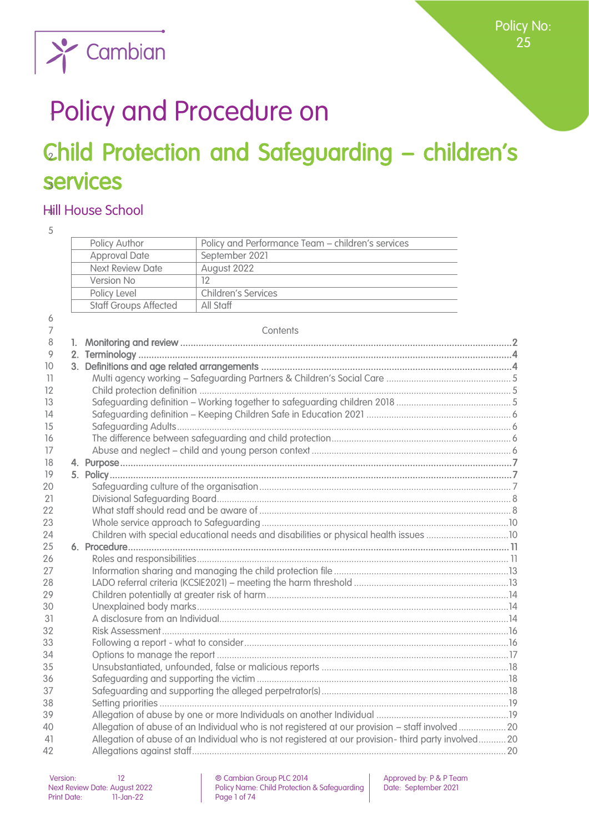

# Policy and Procedure on

# Child Protection and Safeguarding - children's services

# Hill House School

| 5               |                              |                                                                                                                                        |  |
|-----------------|------------------------------|----------------------------------------------------------------------------------------------------------------------------------------|--|
|                 | Policy Author                | Policy and Performance Team - children's services                                                                                      |  |
|                 | <b>Approval Date</b>         | September 2021<br><u> 1989 - Johann Barbara, martin amerikan basal dan berasal dan berasal dalam basal dan berasal dan berasal dan</u> |  |
|                 | <b>Next Review Date</b>      | August 2022<br>the control of the control of the control of the control of the control of the control of                               |  |
|                 | Version No                   | 12                                                                                                                                     |  |
|                 | Policy Level                 | Children's Services                                                                                                                    |  |
|                 | <b>Staff Groups Affected</b> | All Staff                                                                                                                              |  |
| 6               |                              |                                                                                                                                        |  |
| 7               |                              | Contents                                                                                                                               |  |
| 8               |                              |                                                                                                                                        |  |
| 9               |                              |                                                                                                                                        |  |
| 10              |                              |                                                                                                                                        |  |
| $\overline{11}$ |                              |                                                                                                                                        |  |
| 12              |                              |                                                                                                                                        |  |
| 13              |                              |                                                                                                                                        |  |
| 14              |                              |                                                                                                                                        |  |
| 15              |                              |                                                                                                                                        |  |
| 16              |                              |                                                                                                                                        |  |
| 17              |                              |                                                                                                                                        |  |
| 18              |                              |                                                                                                                                        |  |
| 19              |                              |                                                                                                                                        |  |
| 20              |                              |                                                                                                                                        |  |
| 21              |                              |                                                                                                                                        |  |
| 22              |                              |                                                                                                                                        |  |
| 23              |                              |                                                                                                                                        |  |
| 24              |                              |                                                                                                                                        |  |
| 25              |                              |                                                                                                                                        |  |
| 26              |                              |                                                                                                                                        |  |
| 27              |                              |                                                                                                                                        |  |
| 28              |                              |                                                                                                                                        |  |
| 29              |                              |                                                                                                                                        |  |
| 30              |                              |                                                                                                                                        |  |
| 31              |                              |                                                                                                                                        |  |
| 32              |                              |                                                                                                                                        |  |
| 33              |                              |                                                                                                                                        |  |
| 34              |                              |                                                                                                                                        |  |
| 35              |                              |                                                                                                                                        |  |
| 36              |                              |                                                                                                                                        |  |
| 37              |                              |                                                                                                                                        |  |
| 38              |                              |                                                                                                                                        |  |
| 39              |                              |                                                                                                                                        |  |
| 40              |                              | Allegation of abuse of an Individual who is not registered at our provision - staff involved  20                                       |  |
| 41              |                              | Allegation of abuse of an Individual who is not registered at our provision- third party involved20                                    |  |
| 42              |                              |                                                                                                                                        |  |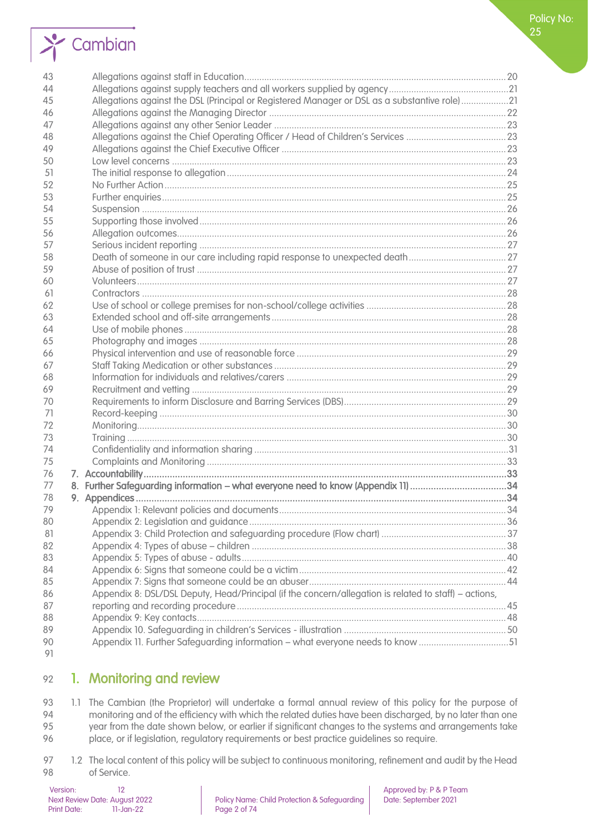# $\sum_{i=1}^{n}$  Cambian

| 44<br>Allegations against the DSL (Principal or Registered Manager or DSL as a substantive role)21<br>45<br>46<br>47<br>48<br>49<br>50<br>51<br>52<br>53<br>54<br>55<br>56<br>57<br>58<br>59<br>60<br>61<br>62<br>63<br>64<br>65<br>66<br>67<br>68<br>69<br>70<br>71<br>72<br>73<br>74<br>75<br>76<br>8. Further Safeguarding information - what everyone need to know (Appendix 11) 34<br>77<br>78<br>79<br>80<br>81<br>82<br>83<br>84<br>85<br>Appendix 8: DSL/DSL Deputy, Head/Principal (if the concern/allegation is related to staff) - actions,<br>86<br>87<br>88 | 43 |  |  |
|--------------------------------------------------------------------------------------------------------------------------------------------------------------------------------------------------------------------------------------------------------------------------------------------------------------------------------------------------------------------------------------------------------------------------------------------------------------------------------------------------------------------------------------------------------------------------|----|--|--|
|                                                                                                                                                                                                                                                                                                                                                                                                                                                                                                                                                                          |    |  |  |
|                                                                                                                                                                                                                                                                                                                                                                                                                                                                                                                                                                          |    |  |  |
|                                                                                                                                                                                                                                                                                                                                                                                                                                                                                                                                                                          |    |  |  |
|                                                                                                                                                                                                                                                                                                                                                                                                                                                                                                                                                                          |    |  |  |
|                                                                                                                                                                                                                                                                                                                                                                                                                                                                                                                                                                          |    |  |  |
|                                                                                                                                                                                                                                                                                                                                                                                                                                                                                                                                                                          |    |  |  |
|                                                                                                                                                                                                                                                                                                                                                                                                                                                                                                                                                                          |    |  |  |
|                                                                                                                                                                                                                                                                                                                                                                                                                                                                                                                                                                          |    |  |  |
|                                                                                                                                                                                                                                                                                                                                                                                                                                                                                                                                                                          |    |  |  |
|                                                                                                                                                                                                                                                                                                                                                                                                                                                                                                                                                                          |    |  |  |
|                                                                                                                                                                                                                                                                                                                                                                                                                                                                                                                                                                          |    |  |  |
|                                                                                                                                                                                                                                                                                                                                                                                                                                                                                                                                                                          |    |  |  |
|                                                                                                                                                                                                                                                                                                                                                                                                                                                                                                                                                                          |    |  |  |
|                                                                                                                                                                                                                                                                                                                                                                                                                                                                                                                                                                          |    |  |  |
|                                                                                                                                                                                                                                                                                                                                                                                                                                                                                                                                                                          |    |  |  |
|                                                                                                                                                                                                                                                                                                                                                                                                                                                                                                                                                                          |    |  |  |
|                                                                                                                                                                                                                                                                                                                                                                                                                                                                                                                                                                          |    |  |  |
|                                                                                                                                                                                                                                                                                                                                                                                                                                                                                                                                                                          |    |  |  |
|                                                                                                                                                                                                                                                                                                                                                                                                                                                                                                                                                                          |    |  |  |
|                                                                                                                                                                                                                                                                                                                                                                                                                                                                                                                                                                          |    |  |  |
|                                                                                                                                                                                                                                                                                                                                                                                                                                                                                                                                                                          |    |  |  |
|                                                                                                                                                                                                                                                                                                                                                                                                                                                                                                                                                                          |    |  |  |
|                                                                                                                                                                                                                                                                                                                                                                                                                                                                                                                                                                          |    |  |  |
|                                                                                                                                                                                                                                                                                                                                                                                                                                                                                                                                                                          |    |  |  |
|                                                                                                                                                                                                                                                                                                                                                                                                                                                                                                                                                                          |    |  |  |
|                                                                                                                                                                                                                                                                                                                                                                                                                                                                                                                                                                          |    |  |  |
|                                                                                                                                                                                                                                                                                                                                                                                                                                                                                                                                                                          |    |  |  |
|                                                                                                                                                                                                                                                                                                                                                                                                                                                                                                                                                                          |    |  |  |
|                                                                                                                                                                                                                                                                                                                                                                                                                                                                                                                                                                          |    |  |  |
|                                                                                                                                                                                                                                                                                                                                                                                                                                                                                                                                                                          |    |  |  |
|                                                                                                                                                                                                                                                                                                                                                                                                                                                                                                                                                                          |    |  |  |
|                                                                                                                                                                                                                                                                                                                                                                                                                                                                                                                                                                          |    |  |  |
|                                                                                                                                                                                                                                                                                                                                                                                                                                                                                                                                                                          |    |  |  |
|                                                                                                                                                                                                                                                                                                                                                                                                                                                                                                                                                                          |    |  |  |
|                                                                                                                                                                                                                                                                                                                                                                                                                                                                                                                                                                          |    |  |  |
|                                                                                                                                                                                                                                                                                                                                                                                                                                                                                                                                                                          |    |  |  |
|                                                                                                                                                                                                                                                                                                                                                                                                                                                                                                                                                                          |    |  |  |
|                                                                                                                                                                                                                                                                                                                                                                                                                                                                                                                                                                          |    |  |  |
|                                                                                                                                                                                                                                                                                                                                                                                                                                                                                                                                                                          |    |  |  |
|                                                                                                                                                                                                                                                                                                                                                                                                                                                                                                                                                                          |    |  |  |
|                                                                                                                                                                                                                                                                                                                                                                                                                                                                                                                                                                          |    |  |  |
|                                                                                                                                                                                                                                                                                                                                                                                                                                                                                                                                                                          |    |  |  |
|                                                                                                                                                                                                                                                                                                                                                                                                                                                                                                                                                                          |    |  |  |
|                                                                                                                                                                                                                                                                                                                                                                                                                                                                                                                                                                          |    |  |  |
|                                                                                                                                                                                                                                                                                                                                                                                                                                                                                                                                                                          |    |  |  |
| 89<br>Appendix 11. Further Safeguarding information - what everyone needs to know 51<br>90                                                                                                                                                                                                                                                                                                                                                                                                                                                                               |    |  |  |
| 91                                                                                                                                                                                                                                                                                                                                                                                                                                                                                                                                                                       |    |  |  |

# <span id="page-1-0"></span>1. Monitoring and review

93 1.1 The Cambian (the Proprietor) will undertake a formal annual review of this policy for the purpose of monitoring and of the efficiency with which the related duties have been discharaed, by no later than one 94 monitoring and of the efficiency with which the related duties have been discharged, by no later than one<br>95 vear from the date shown below, or earlier if sianificant changes to the systems and arrangements take year from the date shown below, or earlier if significant changes to the systems and arrangements take place, or if legislation, regulatory requirements or best practice guidelines so require.

97 1.2 The local content of this policy will be subject to continuous monitoring, refinement and audit by the Head of Service.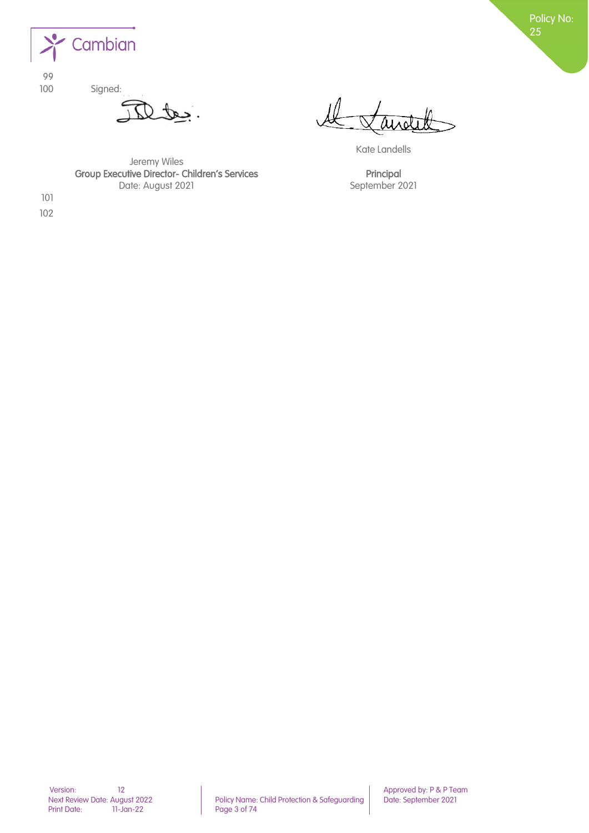

99 100 Signed:

tes

Kate Landells

Jeremy Wiles Group Executive Director- Children's Services **Principal** Date: August 2021 September 2021

<span id="page-2-0"></span>101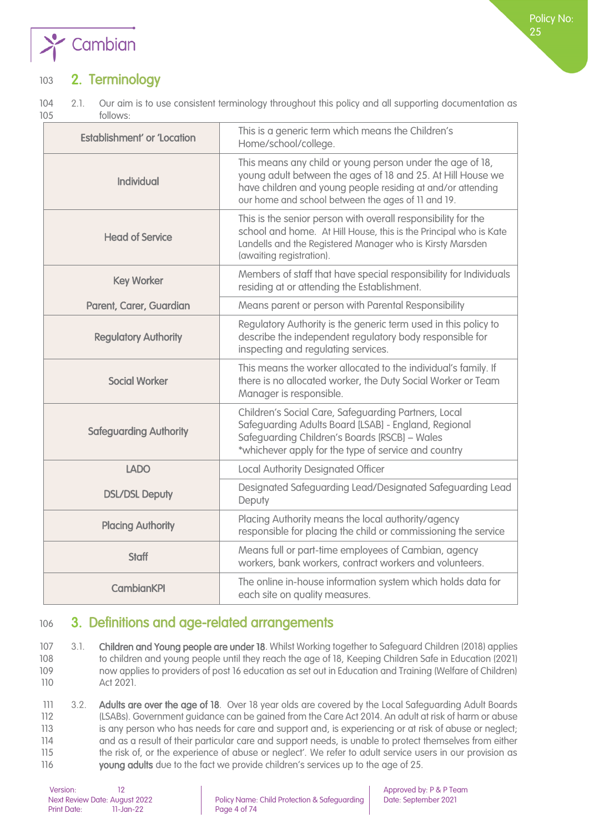

# 103 2. Terminology

104 2.1. Our aim is to use consistent terminology throughout this policy and all supporting documentation as 105 follows:

| <b>Establishment' or 'Location</b> | This is a generic term which means the Children's<br>Home/school/college.                                                                                                                                                                     |
|------------------------------------|-----------------------------------------------------------------------------------------------------------------------------------------------------------------------------------------------------------------------------------------------|
| <b>Individual</b>                  | This means any child or young person under the age of 18,<br>young adult between the ages of 18 and 25. At Hill House we<br>have children and young people residing at and/or attending<br>our home and school between the ages of 11 and 19. |
| <b>Head of Service</b>             | This is the senior person with overall responsibility for the<br>school and home. At Hill House, this is the Principal who is Kate<br>Landells and the Registered Manager who is Kirsty Marsden<br>(awaiting registration).                   |
| <b>Key Worker</b>                  | Members of staff that have special responsibility for Individuals<br>residing at or attending the Establishment.                                                                                                                              |
| Parent, Carer, Guardian            | Means parent or person with Parental Responsibility                                                                                                                                                                                           |
| <b>Regulatory Authority</b>        | Regulatory Authority is the generic term used in this policy to<br>describe the independent regulatory body responsible for<br>inspecting and regulating services.                                                                            |
| <b>Social Worker</b>               | This means the worker allocated to the individual's family. If<br>there is no allocated worker, the Duty Social Worker or Team<br>Manager is responsible.                                                                                     |
| <b>Safeguarding Authority</b>      | Children's Social Care, Safeguarding Partners, Local<br>Safeguarding Adults Board [LSAB] - England, Regional<br>Safeguarding Children's Boards [RSCB] - Wales<br>*whichever apply for the type of service and country                         |
| <b>LADO</b>                        | <b>Local Authority Designated Officer</b>                                                                                                                                                                                                     |
| <b>DSL/DSL Deputy</b>              | Designated Safeguarding Lead/Designated Safeguarding Lead<br>Deputy                                                                                                                                                                           |
| <b>Placing Authority</b>           | Placing Authority means the local authority/agency<br>responsible for placing the child or commissioning the service                                                                                                                          |
| <b>Staff</b>                       | Means full or part-time employees of Cambian, agency<br>workers, bank workers, contract workers and volunteers.                                                                                                                               |
| <b>CambianKPI</b>                  | The online in-house information system which holds data for<br>each site on quality measures.                                                                                                                                                 |

# <span id="page-3-0"></span>106 3. Definitions and age-related arrangements

107 3.1. Children and Young people are under 18. Whilst Working together to Safeguard Children (2018) applies to children and young people until they reach the age of 18, Keeping Children Safe in Education (2021) now applies to providers of post 16 education as set out in Education and Training (Welfare of Children) Act 2021.

111 3.2. Adults are over the age of 18. Over 18 year olds are covered by the Local Safeguarding Adult Boards 112 (LSABs). Government guidance can be gained from the Care Act 2014. An adult at risk of harm or abuse 113 is any person who has needs for care and support and, is experiencing or at risk of abuse or neglect; 114 and as a result of their particular care and support needs, is unable to protect themselves from either 115 the risk of, or the experience of abuse or neglect'. We refer to adult service users in our provision as 116 young adults due to the fact we provide children's services up to the age of 25.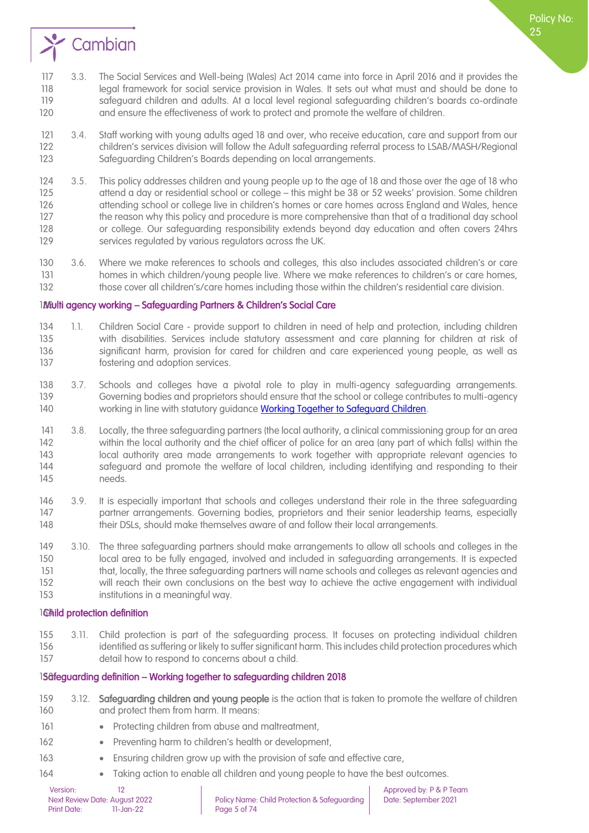

- 117 3.3. The Social Services and Well-being (Wales) Act 2014 came into force in April 2016 and it provides the 118 legal framework for social service provision in Wales. It sets out what must and should be done to 119 safeguard children and adults. At a local level regional safeguarding children's boards co-ordinate 120 and ensure the effectiveness of work to protect and promote the welfare of children.
- 121 3.4. Staff working with young adults aged 18 and over, who receive education, care and support from our 122 children's services division will follow the Adult safeguarding referral process to LSAB/MASH/Regional 123 Safeguarding Children's Boards depending on local arrangements.
- 124 3.5. This policy addresses children and young people up to the age of 18 and those over the age of 18 who 125 attend a day or residential school or college – this might be 38 or 52 weeks' provision. Some children 126 attending school or college live in children's homes or care homes across England and Wales, hence 127 the reason why this policy and procedure is more comprehensive than that of a traditional day school 128 or college. Our safeguarding responsibility extends beyond day education and often covers 24hrs 129 services regulated by various regulators across the UK.
- 130 3.6. Where we make references to schools and colleges, this also includes associated children's or care 131 homes in which children/young people live. Where we make references to children's or care homes, 132 those cover all children's/care homes including those within the children's residential care division.

#### <span id="page-4-0"></span>133Multi agency working – Safeguarding Partners & Children's Social Care

- 134 1.1. Children Social Care provide support to children in need of help and protection, including children 135 with disabilities. Services include statutory assessment and care planning for children at risk of 136 significant harm, provision for cared for children and care experienced young people, as well as 137 fostering and adoption services.
- 138 3.7. Schools and colleges have a pivotal role to play in multi-agency safeguarding arrangements. 139 Governing bodies and proprietors should ensure that the school or college contributes to multi-agency 140 working in line with statutory quidance [Working Together to Safeguard Children.](https://assets.publishing.service.gov.uk/government/uploads/system/uploads/attachment_data/file/779401/Working_Together_to_Safeguard-Children.pdf)
- 141 3.8. Locally, the three safeguarding partners (the local authority, a clinical commissioning group for an area 142 within the local authority and the chief officer of police for an area (any part of which falls) within the 143 local authority area made arrangements to work together with appropriate relevant agencies to 144 safeguard and promote the welfare of local children, including identifying and responding to their 145 needs.
- 146 3.9. It is especially important that schools and colleges understand their role in the three safeguarding 147 partner arrangements. Governing bodies, proprietors and their senior leadership teams, especially 148 their DSLs, should make themselves aware of and follow their local arrangements.
- 149 3.10. The three safeguarding partners should make arrangements to allow all schools and colleges in the 150 local area to be fully engaged, involved and included in safeguarding arrangements. It is expected 151 that, locally, the three safeguarding partners will name schools and colleges as relevant agencies and 152 will reach their own conclusions on the best way to achieve the active engagement with individual 153 institutions in a meaningful way.

#### <span id="page-4-1"></span>16hild protection definition

155 3.11. Child protection is part of the safeguarding process. It focuses on protecting individual children 156 identified as suffering or likely to suffer significant harm. This includes child protection procedures which 157 detail how to respond to concerns about a child.

#### <span id="page-4-2"></span>158 feguarding definition – Working together to safeguarding children 2018

- 159 3.12. Safequarding children and young people is the action that is taken to promote the welfare of children 160 and protect them from harm. It means:
- 161 Protecting children from abuse and maltreatment,
- 162 Preventing harm to children's health or development.
- 163 Ensuring children grow up with the provision of safe and effective care,
- 164 Taking action to enable all children and young people to have the best outcomes.

Policy No: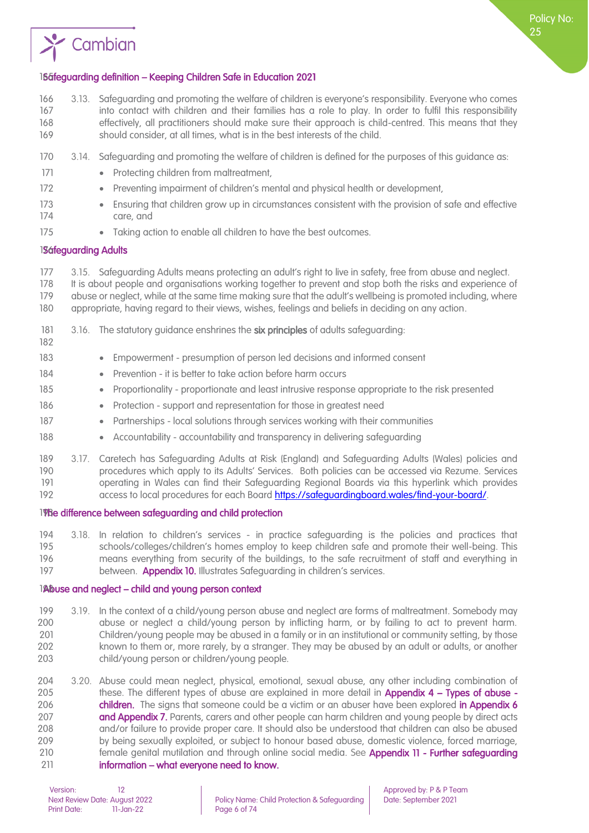

# <span id="page-5-0"></span>165 and 165 and 165 and 165 and 165 and 165 and 165 and 165 and 165 and 165 and 165 and 165 and 165 and 165 and 165 and 165 and 165 and 165 and 165 and 165 and 165 and 165 and 165 and 165 and 165 and 165 and 165 and 165 an

Cambian

- 166 3.13. Safeguarding and promoting the welfare of children is everyone's responsibility. Everyone who comes 167 into contact with children and their families has a role to play. In order to fulfil this responsibility 168 effectively, all practitioners should make sure their approach is child-centred. This means that they 169 should consider, at all times, what is in the best interests of the child.
- 170 3.14. Safeguarding and promoting the welfare of children is defined for the purposes of this guidance as:
- 171 Protecting children from maltreatment.
- 172 Preventing impairment of children's mental and physical health or development,
- 173 Ensuring that children grow up in circumstances consistent with the provision of safe and effective 174 care, and
- 175 Taking action to enable all children to have the best outcomes.

#### <span id="page-5-1"></span>1**Sáfeguarding Adults**

- 177 3.15. Safeguarding Adults means protecting an adult's right to live in safety, free from abuse and neglect.
- 178 It is about people and organisations working together to prevent and stop both the risks and experience of 179 abuse or neglect, while at the same time making sure that the adult's wellbeing is promoted including, where 180 appropriate, having regard to their views, wishes, feelings and beliefs in deciding on any action.
- 181 3.16. The statutory guidance enshrines the six principles of adults safeguarding: 182
- 183 Empowerment presumption of person led decisions and informed consent
- 184 Prevention it is better to take action before harm occurs
- 185 Proportionality proportionate and least intrusive response appropriate to the risk presented
- 186 Protection support and representation for those in greatest need
- 187 Partnerships local solutions through services working with their communities
- 188 Accountability accountability and transparency in delivering safeguarding
- 189 3.17. Caretech has Safeguarding Adults at Risk (England) and Safeguarding Adults (Wales) policies and 190 procedures which apply to its Adults' Services. Both policies can be accessed via Rezume. Services 191 operating in Wales can find their Safeguarding Regional Boards via this hyperlink which provides 192 access to local procedures for each Board [https://safeguardingboard.wales/find-your-board/.](https://safeguardingboard.wales/find-your-board/)
- <span id="page-5-2"></span>198e difference between safeguarding and child protection
- 194 3.18. In relation to children's services in practice safeguarding is the policies and practices that 195 schools/colleges/children's homes employ to keep children safe and promote their well-being. This 196 means everything from security of the buildings, to the safe recruitment of staff and everything in 197 between. **Appendix 10.** Illustrates Safeguarding in children's services.

#### <span id="page-5-3"></span>1Abuse and neglect – child and young person context

- 199 3.19. In the context of a child/young person abuse and neglect are forms of maltreatment. Somebody may 200 abuse or neglect a child/young person by inflicting harm, or by failing to act to prevent harm. 201 Children/young people may be abused in a family or in an institutional or community setting, by those 202 known to them or, more rarely, by a stranger. They may be abused by an adult or adults, or another 203 child/young person or children/young people.
- 204 3.20. Abuse could mean neglect, physical, emotional, sexual abuse, any other including combination of 205 these. The different types of abuse are explained in more detail in **Appendix 4 – Types of abuse -**206 **children.** The signs that someone could be a victim or an abuser have been explored in Appendix 6 207 **and Appendix 7.** Parents, carers and other people can harm children and young people by direct acts 208 and/or failure to provide proper care. It should also be understood that children can also be abused 209 by being sexually exploited, or subject to honour based abuse, domestic violence, forced marriage, 210 female genital mutilation and through online social media. See Appendix 11 - Further safequarding 211 information – what everyone need to know.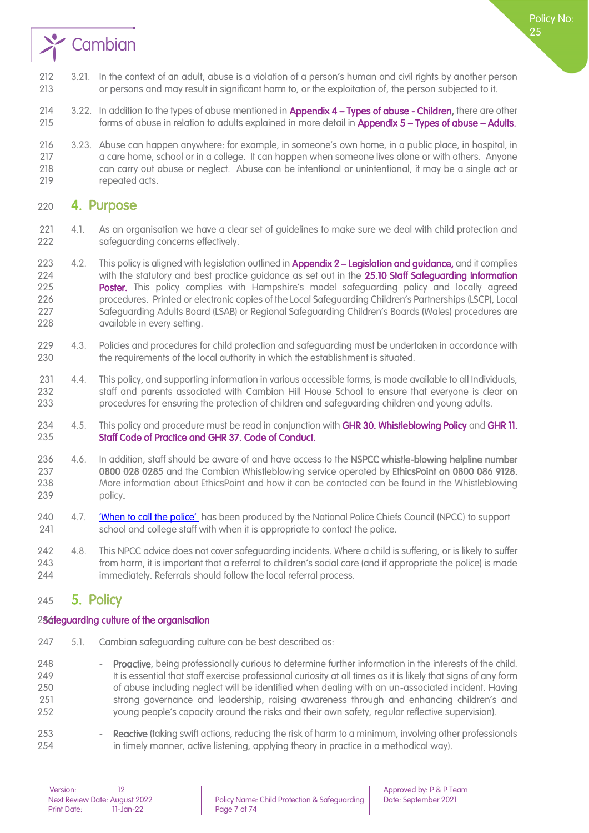

- 3.21. In the context of an adult, abuse is a violation of a person's human and civil rights by another person or persons and may result in significant harm to, or the exploitation of, the person subjected to it.
- 214 3.22. In addition to the types of abuse mentioned in **Appendix 4 Types of abuse Children**, there are other 215 forms of abuse in relation to adults explained in more detail in Appendix 5 – Types of abuse – Adults.
- 3.23. Abuse can happen anywhere: for example, in someone's own home, in a public place, in hospital, in 217 a care home, school or in a college. It can happen when someone lives alone or with others. Anyone can carry out abuse or neglect. Abuse can be intentional or unintentional, it may be a single act or 219 repeated acts.

### <span id="page-6-0"></span>4. Purpose

- 4.1. As an organisation we have a clear set of guidelines to make sure we deal with child protection and safeguarding concerns effectively.
- 223 4.2. This policy is aligned with legislation outlined in **Appendix 2 Legislation and guidance**, and it complies 224 with the statutory and best practice guidance as set out in the **25.10 Staff Safeguarding Information**<br>225 **Poster.** This policy complies with Hampshire's model safeguarding policy and locally agreed Poster. This policy complies with Hampshire's model safeguarding policy and locally agreed procedures. Printed or electronic copies of the Local Safeguarding Children's Partnerships (LSCP), Local Safeguarding Adults Board (LSAB) or Regional Safeguarding Children's Boards (Wales) procedures are available in every setting.
- 4.3. Policies and procedures for child protection and safeguarding must be undertaken in accordance with the requirements of the local authority in which the establishment is situated.
- 4.4. This policy, and supporting information in various accessible forms, is made available to all Individuals, staff and parents associated with Cambian Hill House School to ensure that everyone is clear on procedures for ensuring the protection of children and safeguarding children and young adults.
- 234 4.5. This policy and procedure must be read in conjunction with GHR 30[. Whistleblowing Policy](file://///cambianpoint/DavWWWRoot/pandp/Documents/GHR%2030%20Whistleblowing%20policy%20v2%20FINAL.pdf) and GHR 11. **Staff Code of Practice and GHR 37. Code of Conduct.**
- 236 4.6. In addition, staff should be aware of and have access to the NSPCC whistle-blowing helpline number 0800 028 0285 and the Cambian Whistleblowing service operated by EthicsPoint on 0800 086 9128. More information about EthicsPoint and how it can be contacted can be found in the Whistleblowing 239 policy.
- 240 4.7. ['When to call the police'](https://www.npcc.police.uk/documents/Children%20and%20Young%20people/When%20to%20call%20the%20police%20guidance%20for%20schools%20and%20colleges.pdf) has been produced by the National Police Chiefs Council (NPCC) to support school and college staff with when it is appropriate to contact the police.
- 4.8. This NPCC advice does not cover safeguarding incidents. Where a child is suffering, or is likely to suffer from harm, it is important that a referral to children's social care (and if appropriate the police) is made **immediately. Referrals should follow the local referral process.**

# <span id="page-6-1"></span>5. Policy

#### <span id="page-6-2"></span>296 feguarding culture of the organisation

5.1. Cambian safeguarding culture can be best described as:

248 - Proactive, being professionally curious to determine further information in the interests of the child. 249 It is essential that staff exercise professional curiosity at all times as it is likely that signs of any form of abuse including neglect will be identified when dealing with an un-associated incident. Having strong governance and leadership, raising awareness through and enhancing children's and young people's capacity around the risks and their own safety, regular reflective supervision).

253 - Reactive (taking swift actions, reducing the risk of harm to a minimum, involving other professionals in timely manner, active listening, applying theory in practice in a methodical way).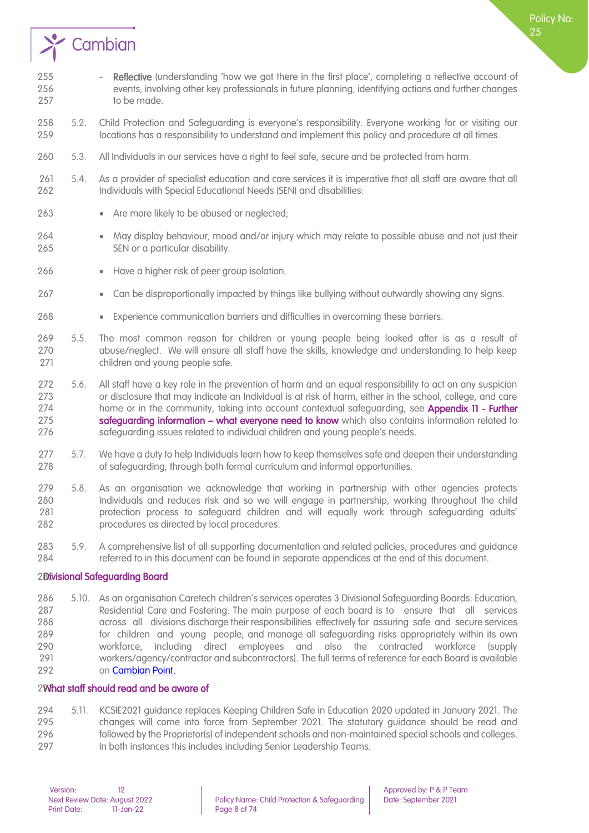

- 5.2. Child Protection and Safeguarding is everyone's responsibility. Everyone working for or visiting our locations has a responsibility to understand and implement this policy and procedure at all times.
- 5.3. All Individuals in our services have a right to feel safe, secure and be protected from harm.
- 5.4. As a provider of specialist education and care services it is imperative that all staff are aware that all 262 Individuals with Special Educational Needs (SEN) and disabilities:
- 263 Are more likely to be abused or neglected;
- May display behaviour, mood and/or injury which may relate to possible abuse and not just their SEN or a particular disability.
- 266 Have a higher risk of peer group isolation.
- Can be disproportionally impacted by things like bullying without outwardly showing any signs.
- Experience communication barriers and difficulties in overcoming these barriers.
- 5.5. The most common reason for children or young people being looked after is as a result of abuse/neglect. We will ensure all staff have the skills, knowledge and understanding to help keep children and young people safe.
- 5.6. All staff have a key role in the prevention of harm and an equal responsibility to act on any suspicion or disclosure that may indicate an Individual is at risk of harm, either in the school, college, and care 274 home or in the community, taking into account contextual safeguarding, see **Appendix 11 - Further safequarding information – what everyone need to know** which also contains information related to safeguarding issues related to individual children and young people's needs.
- 277 5.7. We have a duty to help Individuals learn how to keep themselves safe and deepen their understanding of safeguarding, through both formal curriculum and informal opportunities.
- 5.8. As an organisation we acknowledge that working in partnership with other agencies protects Individuals and reduces risk and so we will engage in partnership, working throughout the child protection process to safeguard children and will equally work through safeguarding adults' procedures as directed by local procedures.
- 5.9. A comprehensive list of all supporting documentation and related policies, procedures and guidance referred to in this document can be found in separate appendices at the end of this document.

#### <span id="page-7-0"></span>2Bivisional Safeguarding Board

 5.10. As an organisation Caretech children's services operates 3 Divisional Safeguarding Boards: Education, Residential Care and Fostering. The main purpose of each board is to ensure that all services across all divisions discharge their responsibilities effectively for assuring safe and secure services for children and young people, and manage all safeguarding risks appropriately within its own workforce, including direct employees and also the contracted workforce (supply workers/agency/contractor and subcontractors). The full terms of reference for each Board is available o[n Cambian Point.](http://cambianpoint/pandp/SitePages/Quality.aspx?RootFolder=%2Fpandp%2FShared%20Documents%2FSafeguarding%20Board%20%2D%20Terms%20of%20Reference&FolderCTID=0x01200071CCE0FFA332384082C97564DC912834&View=%7BBA919D22%2D8151%2D4161%2DA056%2DE9CA7C753908%7D)

#### <span id="page-7-1"></span>200that staff should read and be aware of

 5.11. KCSIE2021 guidance replaces Keeping Children Safe in Education 2020 updated in January 2021. The changes will come into force from September 2021. The statutory guidance should be read and followed by the Proprietor(s) of independent schools and non-maintained special schools and colleges. 297 In both instances this includes including Senior Leadership Teams.

Policy No: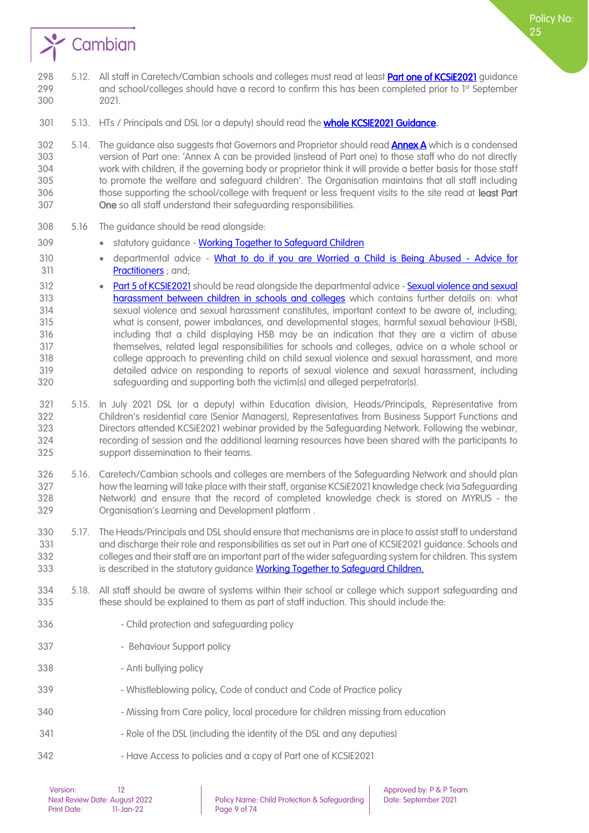

- 301 5.13. HTs / Principals and DSL (or a deputy) should read the **whole KCSIE2021 Guidance**.
- 302 5.14. The quidance also suggests that Governors and Proprietor should read **Annex A** which is a condensed version of Part one: 'Annex A can be provided (instead of Part one) to those staff who do not directly work with children, if the governing body or proprietor think it will provide a better basis for those staff to promote the welfare and safeguard children'. The Organisation maintains that all staff including 306 those supporting the school/college with frequent or less frequent visits to the site read at least Part One so all staff understand their safeguarding responsibilities.
- 5.16 The guidance should be read alongside:
- 309 statutory guidance Working Together to Safeguard Children
- 310 departmental advice [What to do if you are Worried a Child is Being Abused -](https://assets.publishing.service.gov.uk/government/uploads/system/uploads/attachment_data/file/419604/What_to_do_if_you_re_worried_a_child_is_being_abused.pdf) Advice for **[Practitioners](https://assets.publishing.service.gov.uk/government/uploads/system/uploads/attachment_data/file/419604/What_to_do_if_you_re_worried_a_child_is_being_abused.pdf)** : and:
- 312 [Part 5 of KCSIE2021](https://assets.publishing.service.gov.uk/government/uploads/system/uploads/attachment_data/file/999348/Keeping_children_safe_in_education_2021.pdf) should be read alongside the departmental advice Sexual violence and sexual [harassment between children in schools and colleges](https://assets.publishing.service.gov.uk/government/uploads/system/uploads/attachment_data/file/999239/SVSH_2021.pdf) which contains further details on: what sexual violence and sexual harassment constitutes, important context to be aware of, including; what is consent, power imbalances, and developmental stages, harmful sexual behaviour (HSB), including that a child displaying HSB may be an indication that they are a victim of abuse themselves, related legal responsibilities for schools and colleges, advice on a whole school or college approach to preventing child on child sexual violence and sexual harassment, and more detailed advice on responding to reports of sexual violence and sexual harassment, including safeguarding and supporting both the victim(s) and alleged perpetrator(s).
- 5.15. In July 2021 DSL (or a deputy) within Education division, Heads/Principals, Representative from Children's residential care (Senior Managers), Representatives from Business Support Functions and Directors attended KCSiE2021 webinar provided by the Safeguarding Network. Following the webinar, recording of session and the additional learning resources have been shared with the participants to support dissemination to their teams.
- 5.16. Caretech/Cambian schools and colleges are members of the Safeguarding Network and should plan how the learning will take place with their staff, organise KCSiE2021 knowledge check (via Safeguarding Network) and ensure that the record of completed knowledge check is stored on MYRUS - the Organisation's Learning and Development platform .
- 5.17. The Heads/Principals and DSL should ensure that mechanisms are in place to assist staff to understand and discharge their role and responsibilities as set out in Part one of KCSIE2021 guidance. Schools and colleges and their staff are an important part of the wider safeguarding system for children. This system 333 is described in the statutory quidance [Working Together to Safeguard Children.](https://assets.publishing.service.gov.uk/government/uploads/system/uploads/attachment_data/file/942454/Working_together_to_safeguard_children_inter_agency_guidance.pdf)
- 5.18. All staff should be aware of systems within their school or college which support safeguarding and these should be explained to them as part of staff induction. This should include the:
- Child protection and safeguarding policy
- 337 Behaviour Support policy
- 338 Anti bullving policy
- 339 Whistleblowing policy, Code of conduct and Code of Practice policy
- Missing from Care policy, local procedure for children missing from education
- 341 Role of the DSL (including the identity of the DSL and any deputies)
- 342 Have Access to policies and a copy of Part one of KCSIE2021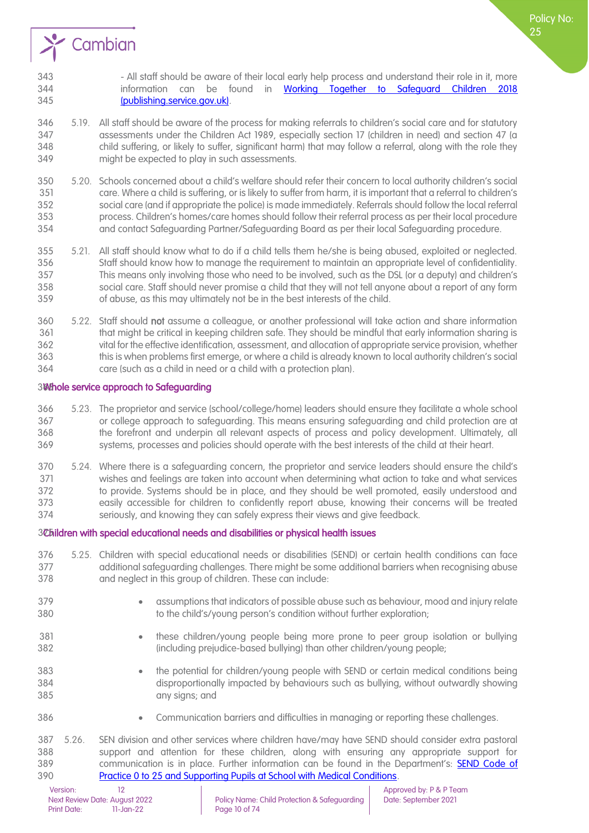

Policy No:

- 5.19. All staff should be aware of the process for making referrals to children's social care and for statutory assessments under the Children Act 1989, especially section 17 (children in need) and section 47 (a child suffering, or likely to suffer, significant harm) that may follow a referral, along with the role they might be expected to play in such assessments.
- 5.20. Schools concerned about a child's welfare should refer their concern to local authority children's social care. Where a child is suffering, or is likely to suffer from harm, it is important that a referral to children's social care (and if appropriate the police) is made immediately. Referrals should follow the local referral process. Children's homes/care homes should follow their referral process as per their local procedure and contact Safeguarding Partner/Safeguarding Board as per their local Safeguarding procedure.
- 5.21. All staff should know what to do if a child tells them he/she is being abused, exploited or neglected. Staff should know how to manage the requirement to maintain an appropriate level of confidentiality. This means only involving those who need to be involved, such as the DSL (or a deputy) and children's social care. Staff should never promise a child that they will not tell anyone about a report of any form of abuse, as this may ultimately not be in the best interests of the child.
- 5.22. Staff should not assume a colleague, or another professional will take action and share information that might be critical in keeping children safe. They should be mindful that early information sharing is vital for the effective identification, assessment, and allocation of appropriate service provision, whether this is when problems first emerge, or where a child is already known to local authority children's social care (such as a child in need or a child with a protection plan).

#### <span id="page-9-0"></span>365Whole service approach to Safeguarding

- 5.23. The proprietor and service (school/college/home) leaders should ensure they facilitate a whole school or college approach to safeguarding. This means ensuring safeguarding and child protection are at the forefront and underpin all relevant aspects of process and policy development. Ultimately, all systems, processes and policies should operate with the best interests of the child at their heart.
- 5.24. Where there is a safeguarding concern, the proprietor and service leaders should ensure the child's wishes and feelings are taken into account when determining what action to take and what services to provide. Systems should be in place, and they should be well promoted, easily understood and easily accessible for children to confidently report abuse, knowing their concerns will be treated seriously, and knowing they can safely express their views and give feedback.

#### <span id="page-9-1"></span>375Children with special educational needs and disabilities or physical health issues

Version: 12 12<br>Next Review Date: August 2022 Policy Name: Child Protection & Safeguarding Date: September 2021 5.25. Children with special educational needs or disabilities (SEND) or certain health conditions can face additional safeguarding challenges. There might be some additional barriers when recognising abuse and neglect in this group of children. These can include: **• assumptions that indicators of possible abuse such as behaviour, mood and injury relate** 380 to the child's/young person's condition without further exploration; • these children/young people being more prone to peer group isolation or bullying (including prejudice-based bullying) than other children/young people; • the potential for children/young people with SEND or certain medical conditions being disproportionally impacted by behaviours such as bullying, without outwardly showing any signs; and • Communication barriers and difficulties in managing or reporting these challenges. 5.26. SEN division and other services where children have/may have SEND should consider extra pastoral support and attention for these children, along with ensuring any appropriate support for 389 communication is in place. Further information can be found in the Department's: **SEND Code of** [Practice 0 to 25 and Supporting Pupils at School with Medical Conditions.](https://www.gov.uk/government/publications/send-code-of-practice-0-to-25)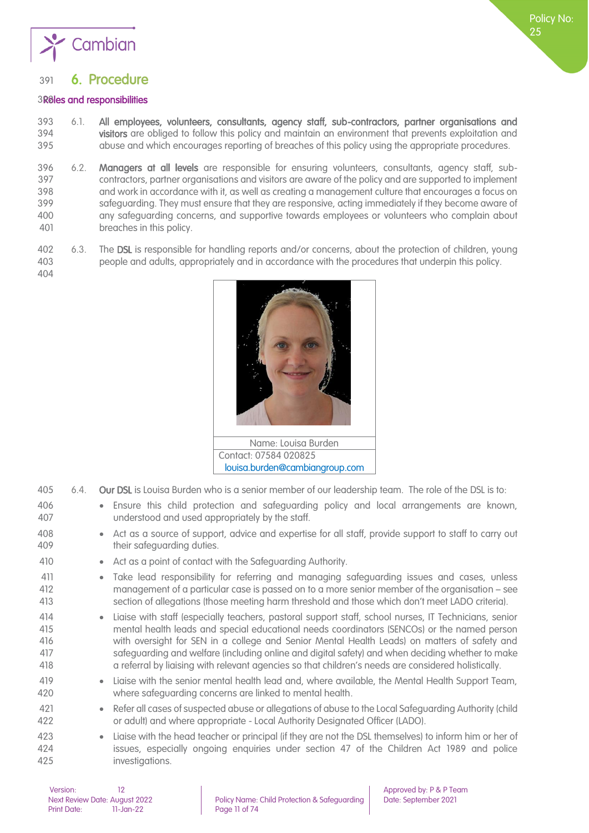

# <span id="page-10-0"></span>6. Procedure

#### <span id="page-10-1"></span>3Roles and responsibilities

- 6.1. All employees, volunteers, consultants, agency staff, sub-contractors, partner organisations and 394 visitors are obliged to follow this policy and maintain an environment that prevents exploitation and<br>395 a buse and which encourages reporting of breaches of this policy using the appropriate procedures. abuse and which encourages reporting of breaches of this policy using the appropriate procedures.
- 396 6.2. Managers at all levels are responsible for ensuring volunteers, consultants, agency staff, sub- contractors, partner organisations and visitors are aware of the policy and are supported to implement and work in accordance with it, as well as creating a management culture that encourages a focus on safeguarding. They must ensure that they are responsive, acting immediately if they become aware of any safeguarding concerns, and supportive towards employees or volunteers who complain about breaches in this policy.
- 6.3. The DSL is responsible for handling reports and/or concerns, about the protection of children, young people and adults, appropriately and in accordance with the procedures that underpin this policy.
	- Name: Louisa Burden Contact: 07584 020825 [louisa.burden@cambiangroup.com](mailto:louisa.burden@cambiangroup.com)
- 6.4. Our DSL is Louisa Burden who is a senior member of our leadership team. The role of the DSL is to: • Ensure this child protection and safeguarding policy and local arrangements are known, understood and used appropriately by the staff. 408 • Act as a source of support, advice and expertise for all staff, provide support to staff to carry out 409 their safeguarding duties. 410 • Act as a point of contact with the Safeguarding Authority. • Take lead responsibility for referring and managing safeguarding issues and cases, unless management of a particular case is passed on to a more senior member of the organisation – see section of allegations (those meeting harm threshold and those which don't meet LADO criteria). • Liaise with staff (especially teachers, pastoral support staff, school nurses, IT Technicians, senior mental health leads and special educational needs coordinators (SENCOs) or the named person with oversight for SEN in a college and Senior Mental Health Leads) on matters of safety and safeguarding and welfare (including online and digital safety) and when deciding whether to make a referral by liaising with relevant agencies so that children's needs are considered holistically. • Liaise with the senior mental health lead and, where available, the Mental Health Support Team, where safeguarding concerns are linked to mental health. • Refer all cases of suspected abuse or allegations of abuse to the Local Safeguarding Authority (child or adult) and where appropriate - Local Authority Designated Officer (LADO). • Liaise with the head teacher or principal (if they are not the DSL themselves) to inform him or her of issues, especially ongoing enquiries under section 47 of the Children Act 1989 and police investigations.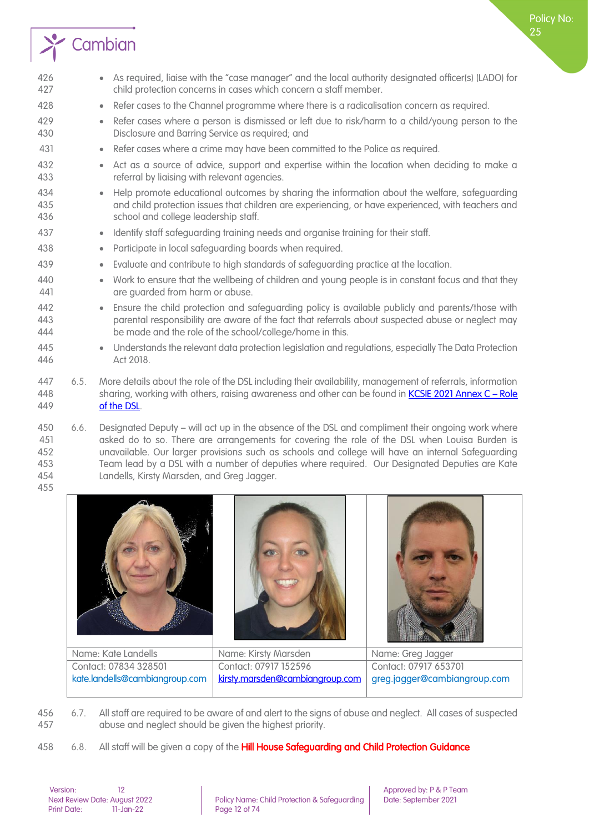

- As required, liaise with the "case manager" and the local authority designated officer(s) (LADO) for child protection concerns in cases which concern a staff member. • Refer cases to the Channel programme where there is a radicalisation concern as required. • Refer cases where a person is dismissed or left due to risk/harm to a child/young person to the Disclosure and Barring Service as required; and • Refer cases where a crime may have been committed to the Police as required. • Act as a source of advice, support and expertise within the location when deciding to make a referral by liaising with relevant agencies. • Help promote educational outcomes by sharing the information about the welfare, safeguarding and child protection issues that children are experiencing, or have experienced, with teachers and school and college leadership staff. • Identify staff safeguarding training needs and organise training for their staff. • Participate in local safeguarding boards when required. • Evaluate and contribute to high standards of safeguarding practice at the location. • Work to ensure that the wellbeing of children and young people is in constant focus and that they **are guarded from harm or abuse.**  • Ensure the child protection and safeguarding policy is available publicly and parents/those with parental responsibility are aware of the fact that referrals about suspected abuse or neglect may be made and the role of the school/college/home in this. • Understands the relevant data protection legislation and regulations, especially The Data Protection Act 2018.
- 6.5. More details about the role of the DSL including their availability, management of referrals, information 448 sharing, working with others, raising awareness and other can be found in [KCSIE 2021 Annex C](https://assets.publishing.service.gov.uk/government/uploads/system/uploads/attachment_data/file/999348/Keeping_children_safe_in_education_2021.pdf) – Role [of the DSL.](https://assets.publishing.service.gov.uk/government/uploads/system/uploads/attachment_data/file/999348/Keeping_children_safe_in_education_2021.pdf)
- 6.6. Designated Deputy will act up in the absence of the DSL and compliment their ongoing work where asked do to so. There are arrangements for covering the role of the DSL when Louisa Burden is unavailable. Our larger provisions such as schools and college will have an internal Safeguarding Team lead by a DSL with a number of deputies where required. Our Designated Deputies are Kate Landells, Kirsty Marsden, and Greg Jagger.



| Name: Kate Landells   | Name: Kirsty Marsden                                                                            | Name: Greg Jagger     |
|-----------------------|-------------------------------------------------------------------------------------------------|-----------------------|
| Contact: 07834 328501 | Contact: 07917 152596                                                                           | Contact: 07917 653701 |
|                       | kate.landells@cambiangroup.com   kirsty.marsden@cambiangroup.com   greg.jagger@cambiangroup.com |                       |

 6.7. All staff are required to be aware of and alert to the signs of abuse and neglect. All cases of suspected abuse and neglect should be given the highest priority.

458 6.8. All staff will be given a copy of the Hill House Safeguarding and Child Protection Guidance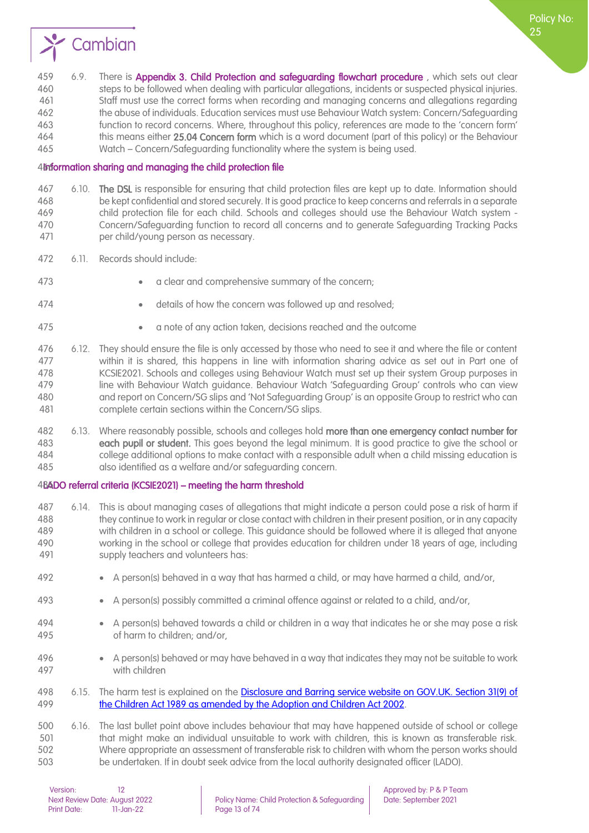

459 6.9. There is Appendix 3. Child Protection and safeguarding flowchart procedure, which sets out clear steps to be followed when dealing with particular allegations, incidents or suspected physical injuries. Staff must use the correct forms when recording and managing concerns and allegations regarding the abuse of individuals. Education services must use Behaviour Watch system: Concern/Safeguarding function to record concerns. Where, throughout this policy, references are made to the 'concern form' 464 this means either 25.04 Concern form which is a word document (part of this policy) or the Behaviour Watch – Concern/Safeguarding functionality where the system is being used.

#### <span id="page-12-0"></span>4bformation sharing and managing the child protection file

467 6.10. The DSL is responsible for ensuring that child protection files are kept up to date. Information should be kept confidential and stored securely. It is good practice to keep concerns and referrals in a separate child protection file for each child. Schools and colleges should use the Behaviour Watch system - Concern/Safeguarding function to record all concerns and to generate Safeguarding Tracking Packs per child/young person as necessary.

- 6.11. Records should include:
- **•** a clear and comprehensive summary of the concern;
- 
- **•** details of how the concern was followed up and resolved;
- 
- a note of any action taken, decisions reached and the outcome
- 6.12. They should ensure the file is only accessed by those who need to see it and where the file or content within it is shared, this happens in line with information sharing advice as set out in Part one of KCSIE2021. Schools and colleges using Behaviour Watch must set up their system Group purposes in line with Behaviour Watch guidance. Behaviour Watch 'Safeguarding Group' controls who can view and report on Concern/SG slips and 'Not Safeguarding Group' is an opposite Group to restrict who can complete certain sections within the Concern/SG slips.
- 482 6.13. Where reasonably possible, schools and colleges hold more than one emergency contact number for each pupil or student. This goes beyond the legal minimum. It is good practice to give the school or college additional options to make contact with a responsible adult when a child missing education is also identified as a welfare and/or safeguarding concern.

#### <span id="page-12-1"></span>4BADO referral criteria (KCSIE2021) – meeting the harm threshold

- 6.14. This is about managing cases of allegations that might indicate a person could pose a risk of harm if they continue to work in regular or close contact with children in their present position, or in any capacity with children in a school or college. This guidance should be followed where it is alleged that anyone working in the school or college that provides education for children under 18 years of age, including supply teachers and volunteers has:
- A person(s) behaved in a way that has harmed a child, or may have harmed a child, and/or,
- A person(s) possibly committed a criminal offence against or related to a child, and/or,
- A person(s) behaved towards a child or children in a way that indicates he or she may pose a risk of harm to children; and/or,
- A person(s) behaved or may have behaved in a way that indicates they may not be suitable to work with children
- 6.15. The harm test is explained on the [Disclosure and Barring service website on GOV.UK. Section 31\(9\) of](https://www.legislation.gov.uk/ukpga/1989/41/section/31)  [the Children Act 1989 as amended by the Adoption and Children Act 2002.](https://www.legislation.gov.uk/ukpga/1989/41/section/31)

 6.16. The last bullet point above includes behaviour that may have happened outside of school or college that might make an individual unsuitable to work with children, this is known as transferable risk. Where appropriate an assessment of transferable risk to children with whom the person works should be undertaken. If in doubt seek advice from the local authority designated officer (LADO).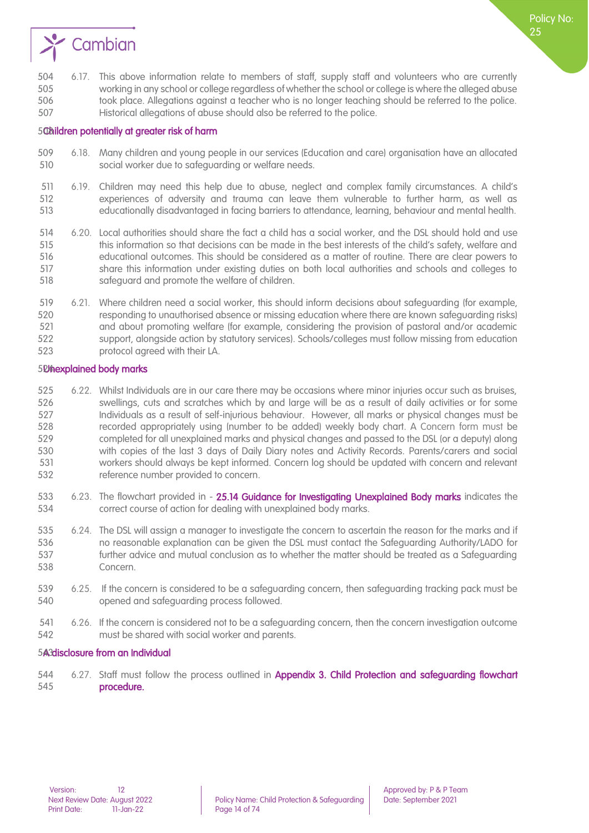

#### <span id="page-13-0"></span>50 bildren potentially at greater risk of harm

- 6.18. Many children and young people in our services (Education and care) organisation have an allocated social worker due to safeguarding or welfare needs.
- 6.19. Children may need this help due to abuse, neglect and complex family circumstances. A child's experiences of adversity and trauma can leave them vulnerable to further harm, as well as educationally disadvantaged in facing barriers to attendance, learning, behaviour and mental health.
- 6.20. Local authorities should share the fact a child has a social worker, and the DSL should hold and use 515 this information so that decisions can be made in the best interests of the child's safety, welfare and educational outcomes. This should be considered as a matter of routine. There are clear powers to share this information under existing duties on both local authorities and schools and colleges to safeguard and promote the welfare of children.
- 6.21. Where children need a social worker, this should inform decisions about safeguarding (for example, responding to unauthorised absence or missing education where there are known safeguarding risks) and about promoting welfare (for example, considering the provision of pastoral and/or academic support, alongside action by statutory services). Schools/colleges must follow missing from education protocol agreed with their LA.

#### <span id="page-13-1"></span>5D hexplained body marks

- 6.22. Whilst Individuals are in our care there may be occasions where minor injuries occur such as bruises, swellings, cuts and scratches which by and large will be as a result of daily activities or for some Individuals as a result of self-injurious behaviour. However, all marks or physical changes must be recorded appropriately using (number to be added) weekly body chart. A Concern form must be completed for all unexplained marks and physical changes and passed to the DSL (or a deputy) along with copies of the last 3 days of Daily Diary notes and Activity Records. Parents/carers and social workers should always be kept informed. Concern log should be updated with concern and relevant reference number provided to concern.
- 533 6.23. The flowchart provided in 25.14 Guidance for Investigating Unexplained Body marks indicates the correct course of action for dealing with unexplained body marks.
- 6.24. The DSL will assign a manager to investigate the concern to ascertain the reason for the marks and if no reasonable explanation can be given the DSL must contact the Safeguarding Authority/LADO for further advice and mutual conclusion as to whether the matter should be treated as a Safeguarding Concern.
- 6.25. If the concern is considered to be a safeguarding concern, then safeguarding tracking pack must be opened and safeguarding process followed.
- 6.26. If the concern is considered not to be a safeguarding concern, then the concern investigation outcome must be shared with social worker and parents.

#### <span id="page-13-2"></span>5A3 disclosure from an Individual

 6.27. Staff must follow the process outlined in Appendix 3. Child Protection and safeguarding flowchart procedure.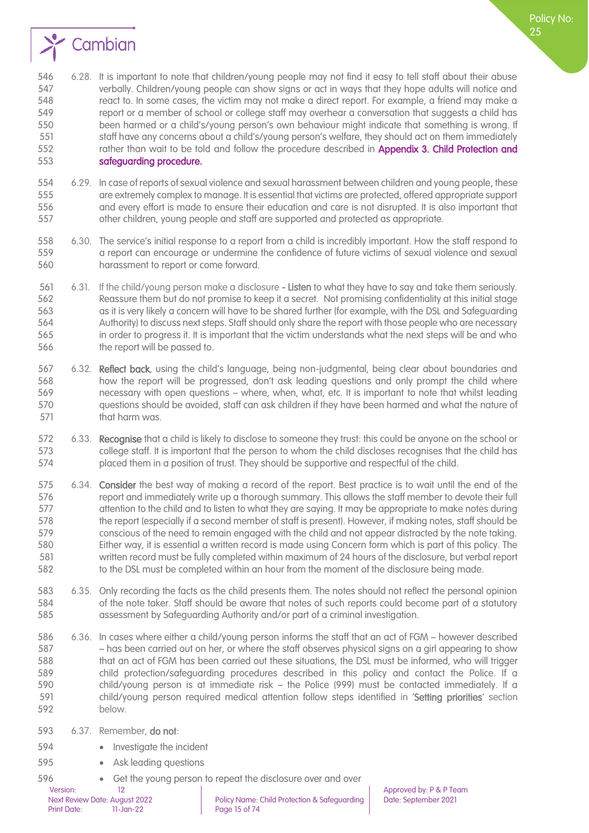

- 6.29. In case of reports of sexual violence and sexual harassment between children and young people, these are extremely complex to manage. It is essential that victims are protected, offered appropriate support and every effort is made to ensure their education and care is not disrupted. It is also important that other children, young people and staff are supported and protected as appropriate.
- 6.30. The service's initial response to a report from a child is incredibly important. How the staff respond to a report can encourage or undermine the confidence of future victims of sexual violence and sexual harassment to report or come forward.
- 6.31. If the child/young person make a disclosure Listen to what they have to say and take them seriously. Reassure them but do not promise to keep it a secret. Not promising confidentiality at this initial stage as it is very likely a concern will have to be shared further (for example, with the DSL and Safeguarding Authority) to discuss next steps. Staff should only share the report with those people who are necessary in order to progress it. It is important that the victim understands what the next steps will be and who the report will be passed to.
- 6.32. Reflect back, using the child's language, being non-judgmental, being clear about boundaries and how the report will be progressed, don't ask leading questions and only prompt the child where necessary with open questions – where, when, what, etc. It is important to note that whilst leading questions should be avoided, staff can ask children if they have been harmed and what the nature of 571 that harm was.
- 6.33. Recognise that a child is likely to disclose to someone they trust: this could be anyone on the school or college staff. It is important that the person to whom the child discloses recognises that the child has placed them in a position of trust. They should be supportive and respectful of the child.
- 6.34. Consider the best way of making a record of the report. Best practice is to wait until the end of the report and immediately write up a thorough summary. This allows the staff member to devote their full 577 steps of the child and to listen to what they are saying. It may be appropriate to make notes during 578 the report (especially if a second member of staff is present). However, if making notes, staff should be conscious of the need to remain engaged with the child and not appear distracted by the note taking. Either way, it is essential a written record is made using Concern form which is part of this policy. The written record must be fully completed within maximum of 24 hours of the disclosure, but verbal report to the DSL must be completed within an hour from the moment of the disclosure being made.
- 6.35. Only recording the facts as the child presents them. The notes should not reflect the personal opinion of the note taker. Staff should be aware that notes of such reports could become part of a statutory assessment by Safeguarding Authority and/or part of a criminal investigation.
- 6.36. In cases where either a child/young person informs the staff that an act of FGM however described – has been carried out on her, or where the staff observes physical signs on a girl appearing to show that an act of FGM has been carried out these situations, the DSL must be informed, who will trigger child protection/safeguarding procedures described in this policy and contact the Police. If a child/young person is at immediate risk – the Police (999) must be contacted immediately. If a 591 child/young person required medical attention follow steps identified in 'Setting priorities' section below.
- 6.37. Remember, do not:
- 594 Investigate the incident
- 595 Ask leading questions
- Get the young person to repeat the disclosure over and over

Policy No: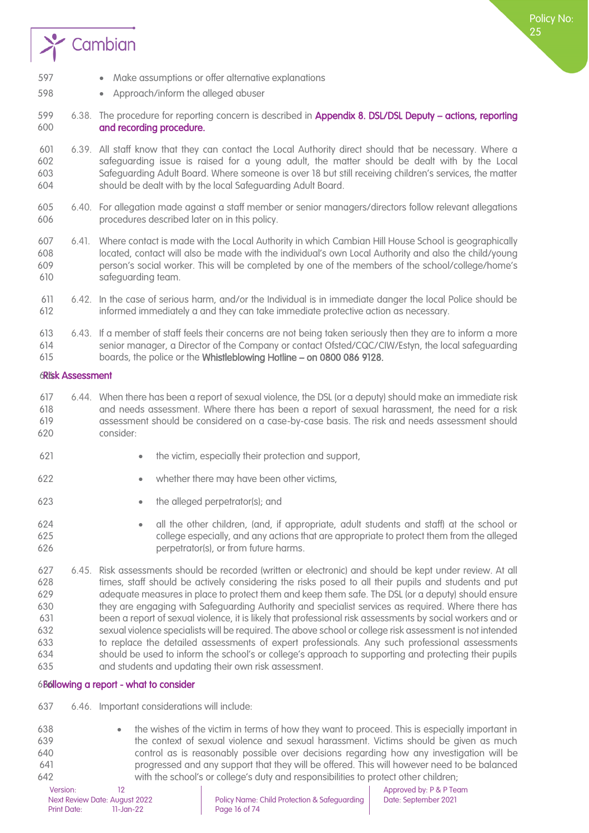

- Make assumptions or offer alternative explanations
- Approach/inform the alleged abuser
- 6.38. The procedure for reporting concern is described in Appendix 8. DSL/DSL Deputy actions, reporting and recording procedure.
- 6.39. All staff know that they can contact the Local Authority direct should that be necessary. Where a safeguarding issue is raised for a young adult, the matter should be dealt with by the Local Safeguarding Adult Board. Where someone is over 18 but still receiving children's services, the matter should be dealt with by the local Safeguarding Adult Board.
- 6.40. For allegation made against a staff member or senior managers/directors follow relevant allegations procedures described later on in this policy.
- 6.41. Where contact is made with the Local Authority in which Cambian Hill House School is geographically located, contact will also be made with the individual's own Local Authority and also the child/young person's social worker. This will be completed by one of the members of the school/college/home's safeguarding team.
- 6.42. In the case of serious harm, and/or the Individual is in immediate danger the local Police should be informed immediately a and they can take immediate protective action as necessary.
- 6.43. If a member of staff feels their concerns are not being taken seriously then they are to inform a more senior manager, a Director of the Company or contact Ofsted/CQC/CIW/Estyn, the local safeguarding boards, the police or the Whistleblowing Hotline – on 0800 086 9128.

#### <span id="page-15-0"></span>616Risk Assessment

- 6.44. When there has been a report of sexual violence, the DSL (or a deputy) should make an immediate risk and needs assessment. Where there has been a report of sexual harassment, the need for a risk assessment should be considered on a case-by-case basis. The risk and needs assessment should consider:
- 621 the victim, especially their protection and support,
- whether there may have been other victims,
- 
- the alleged perpetrator(s); and
- all the other children, (and, if appropriate, adult students and staff) at the school or college especially, and any actions that are appropriate to protect them from the alleged perpetrator(s), or from future harms.
- 6.45. Risk assessments should be recorded (written or electronic) and should be kept under review. At all times, staff should be actively considering the risks posed to all their pupils and students and put adequate measures in place to protect them and keep them safe. The DSL (or a deputy) should ensure they are engaging with Safeguarding Authority and specialist services as required. Where there has been a report of sexual violence, it is likely that professional risk assessments by social workers and or sexual violence specialists will be required. The above school or college risk assessment is not intended to replace the detailed assessments of expert professionals. Any such professional assessments should be used to inform the school's or college's approach to supporting and protecting their pupils and students and updating their own risk assessment.

#### <span id="page-15-1"></span>6B6llowing a report - what to consider

- 6.46. Important considerations will include:
- the wishes of the victim in terms of how they want to proceed. This is especially important in the context of sexual violence and sexual harassment. Victims should be given as much control as is reasonably possible over decisions regarding how any investigation will be progressed and any support that they will be offered. This will however need to be balanced with the school's or college's duty and responsibilities to protect other children;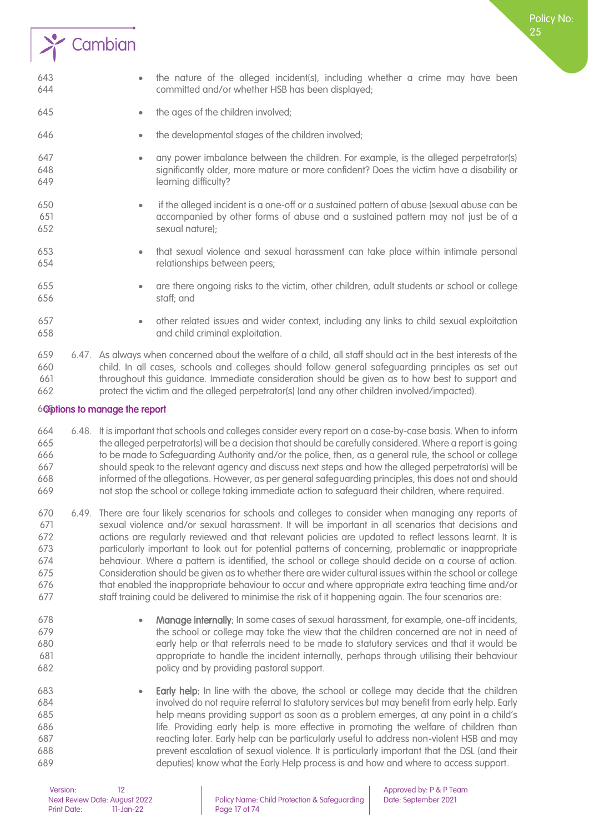

- the ages of the children involved;
- **the developmental stages of the children involved;**
- any power imbalance between the children. For example, is the alleged perpetrator(s) significantly older, more mature or more confident? Does the victim have a disability or learning difficulty?
- if the alleged incident is a one-off or a sustained pattern of abuse (sexual abuse can be accompanied by other forms of abuse and a sustained pattern may not just be of a sexual nature);
- that sexual violence and sexual harassment can take place within intimate personal relationships between peers;
- are there ongoing risks to the victim, other children, adult students or school or college staff; and
- other related issues and wider context, including any links to child sexual exploitation and child criminal exploitation.

 6.47. As always when concerned about the welfare of a child, all staff should act in the best interests of the child. In all cases, schools and colleges should follow general safeguarding principles as set out throughout this guidance. Immediate consideration should be given as to how best to support and protect the victim and the alleged perpetrator(s) (and any other children involved/impacted).

#### <span id="page-16-0"></span>663Options to manage the report

- 6.48. It is important that schools and colleges consider every report on a case-by-case basis. When to inform the alleged perpetrator(s) will be a decision that should be carefully considered. Where a report is going to be made to Safeguarding Authority and/or the police, then, as a general rule, the school or college should speak to the relevant agency and discuss next steps and how the alleged perpetrator(s) will be informed of the allegations. However, as per general safeguarding principles, this does not and should not stop the school or college taking immediate action to safeguard their children, where required.
- 6.49. There are four likely scenarios for schools and colleges to consider when managing any reports of sexual violence and/or sexual harassment. It will be important in all scenarios that decisions and actions are regularly reviewed and that relevant policies are updated to reflect lessons learnt. It is particularly important to look out for potential patterns of concerning, problematic or inappropriate behaviour. Where a pattern is identified, the school or college should decide on a course of action. Consideration should be given as to whether there are wider cultural issues within the school or college that enabled the inappropriate behaviour to occur and where appropriate extra teaching time and/or 677 staff training could be delivered to minimise the risk of it happening again. The four scenarios are:
- 
- Manage internally; In some cases of sexual harassment, for example, one-off incidents, 679 the school or college may take the view that the children concerned are not in need of early help or that referrals need to be made to statutory services and that it would be appropriate to handle the incident internally, perhaps through utilising their behaviour policy and by providing pastoral support.
- Early help: In line with the above, the school or college may decide that the children involved do not require referral to statutory services but may benefit from early help. Early help means providing support as soon as a problem emerges, at any point in a child's life. Providing early help is more effective in promoting the welfare of children than reacting later. Early help can be particularly useful to address non-violent HSB and may prevent escalation of sexual violence. It is particularly important that the DSL (and their deputies) know what the Early Help process is and how and where to access support.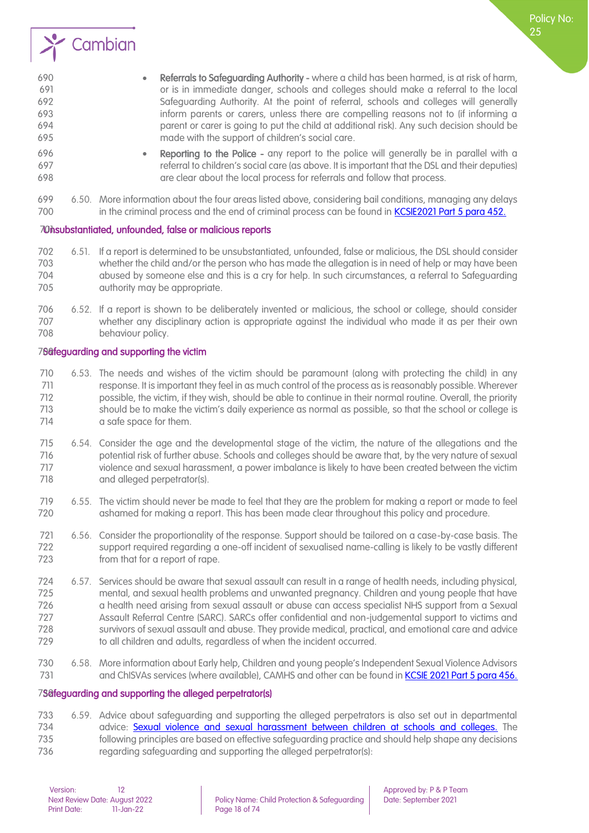

 • Reporting to the Police - any report to the police will generally be in parallel with a referral to children's social care (as above. It is important that the DSL and their deputies) are clear about the local process for referrals and follow that process.

Policy No:

 6.50. More information about the four areas listed above, considering bail conditions, managing any delays 700 in the criminal process and the end of criminal process can be found in [KCSIE2021 Part 5 para 452.](https://assets.publishing.service.gov.uk/government/uploads/system/uploads/attachment_data/file/999348/Keeping_children_safe_in_education_2021.pdf)

#### <span id="page-17-0"></span>70 Musubstantiated, unfounded, false or malicious reports

- 6.51. If a report is determined to be unsubstantiated, unfounded, false or malicious, the DSL should consider whether the child and/or the person who has made the allegation is in need of help or may have been abused by someone else and this is a cry for help. In such circumstances, a referral to Safeguarding authority may be appropriate.
- 6.52. If a report is shown to be deliberately invented or malicious, the school or college, should consider whether any disciplinary action is appropriate against the individual who made it as per their own behaviour policy.

#### <span id="page-17-1"></span>78@feguarding and supporting the victim

- 6.53. The needs and wishes of the victim should be paramount (along with protecting the child) in any response. It is important they feel in as much control of the process as is reasonably possible. Wherever possible, the victim, if they wish, should be able to continue in their normal routine. Overall, the priority should be to make the victim's daily experience as normal as possible, so that the school or college is 714 a safe space for them.
- 6.54. Consider the age and the developmental stage of the victim, the nature of the allegations and the potential risk of further abuse. Schools and colleges should be aware that, by the very nature of sexual violence and sexual harassment, a power imbalance is likely to have been created between the victim and alleged perpetrator(s).
- 6.55. The victim should never be made to feel that they are the problem for making a report or made to feel ashamed for making a report. This has been made clear throughout this policy and procedure.
- 6.56. Consider the proportionality of the response. Support should be tailored on a case-by-case basis. The support required regarding a one-off incident of sexualised name-calling is likely to be vastly different from that for a report of rape.
- 6.57. Services should be aware that sexual assault can result in a range of health needs, including physical, mental, and sexual health problems and unwanted pregnancy. Children and young people that have a health need arising from sexual assault or abuse can access specialist NHS support from a Sexual Assault Referral Centre (SARC). SARCs offer confidential and non-judgemental support to victims and survivors of sexual assault and abuse. They provide medical, practical, and emotional care and advice to all children and adults, regardless of when the incident occurred.
- 6.58. More information about Early help, Children and young people's Independent Sexual Violence Advisors 731 and ChISVAs services (where available), CAMHS and other can be found i[n KCSIE 2021 Part 5 para 456.](https://assets.publishing.service.gov.uk/government/uploads/system/uploads/attachment_data/file/999348/Keeping_children_safe_in_education_2021.pdf)

#### <span id="page-17-2"></span>7Safeguarding and supporting the alleged perpetrator(s)

 6.59. Advice about safeguarding and supporting the alleged perpetrators is also set out in departmental advice: [Sexual violence and sexual harassment between children at schools and colleges.](https://www.gov.uk/government/publications/sexual-violence-and-sexual-harassment-between-children-in-schools-and-colleges) The following principles are based on effective safeguarding practice and should help shape any decisions 736 regarding safeguarding and supporting the alleged perpetrator(s):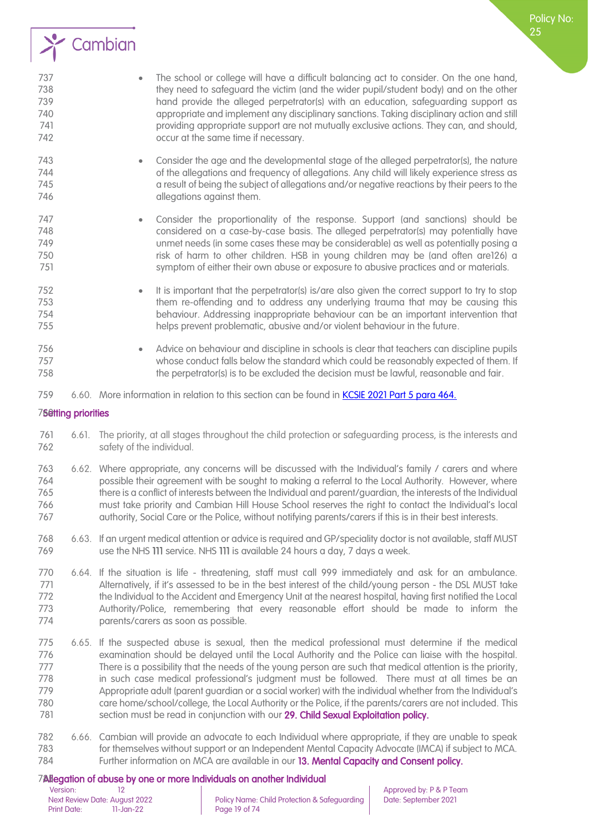

Policy No:

- Consider the age and the developmental stage of the alleged perpetrator(s), the nature of the allegations and frequency of allegations. Any child will likely experience stress as a result of being the subject of allegations and/or negative reactions by their peers to the **allegations against them.**
- Consider the proportionality of the response. Support (and sanctions) should be considered on a case-by-case basis. The alleged perpetrator(s) may potentially have unmet needs (in some cases these may be considerable) as well as potentially posing a risk of harm to other children. HSB in young children may be (and often are126) a symptom of either their own abuse or exposure to abusive practices and or materials.
- It is important that the perpetrator(s) is/are also given the correct support to try to stop them re-offending and to address any underlying trauma that may be causing this behaviour. Addressing inappropriate behaviour can be an important intervention that helps prevent problematic, abusive and/or violent behaviour in the future.
- Advice on behaviour and discipline in schools is clear that teachers can discipline pupils whose conduct falls below the standard which could be reasonably expected of them. If 758 the perpetrator(s) is to be excluded the decision must be lawful, reasonable and fair.
- 6.60. More information in relation to this section can be found in [KCSIE 2021 Part 5 para 464.](https://assets.publishing.service.gov.uk/government/uploads/system/uploads/attachment_data/file/999348/Keeping_children_safe_in_education_2021.pdf)

#### <span id="page-18-0"></span>75etting priorities

- 6.61. The priority, at all stages throughout the child protection or safeguarding process, is the interests and safety of the individual.
- 6.62. Where appropriate, any concerns will be discussed with the Individual's family / carers and where possible their agreement with be sought to making a referral to the Local Authority. However, where there is a conflict of interests between the Individual and parent/guardian, the interests of the Individual must take priority and Cambian Hill House School reserves the right to contact the Individual's local authority, Social Care or the Police, without notifying parents/carers if this is in their best interests.
- 6.63. If an urgent medical attention or advice is required and GP/speciality doctor is not available, staff MUST use the NHS 111 service. NHS 111 is available 24 hours a day, 7 days a week.
- 6.64. If the situation is life threatening, staff must call 999 immediately and ask for an ambulance. 771 Alternatively, if it's assessed to be in the best interest of the child/young person - the DSL MUST take 772 the Individual to the Accident and Emergency Unit at the nearest hospital, having first notified the Local Authority/Police, remembering that every reasonable effort should be made to inform the parents/carers as soon as possible.
- 6.65. If the suspected abuse is sexual, then the medical professional must determine if the medical examination should be delayed until the Local Authority and the Police can liaise with the hospital. There is a possibility that the needs of the young person are such that medical attention is the priority, in such case medical professional's judgment must be followed. There must at all times be an Appropriate adult (parent guardian or a social worker) with the individual whether from the Individual's care home/school/college, the Local Authority or the Police, if the parents/carers are not included. This 781 section must be read in conjunction with our 29. Child Sexual Exploitation policy.
- 6.66. Cambian will provide an advocate to each Individual where appropriate, if they are unable to speak for themselves without support or an Independent Mental Capacity Advocate (IMCA) if subject to MCA. 784 Further information on MCA are available in our 13. [Mental Capacity and Consent](file://///cambianpoint/DavWWWRoot/pandp/Documents/13.00%20-%20Mental%20Capacity%20and%20Consent.docx) policy.

## <span id="page-18-1"></span>785Allegation of abuse by one or more Individuals on another Individual

Next Review Date: August 2022 Policy Name: Child Protection & Safeguarding Date: September 2021<br>Print Date: 11-Jan-22 Page 19 of 74 Page 19 of 74

Version: 12 12<br>Next Review Date: August 2022 Policy Name: Child Protection & Safeguarding Date: September 2021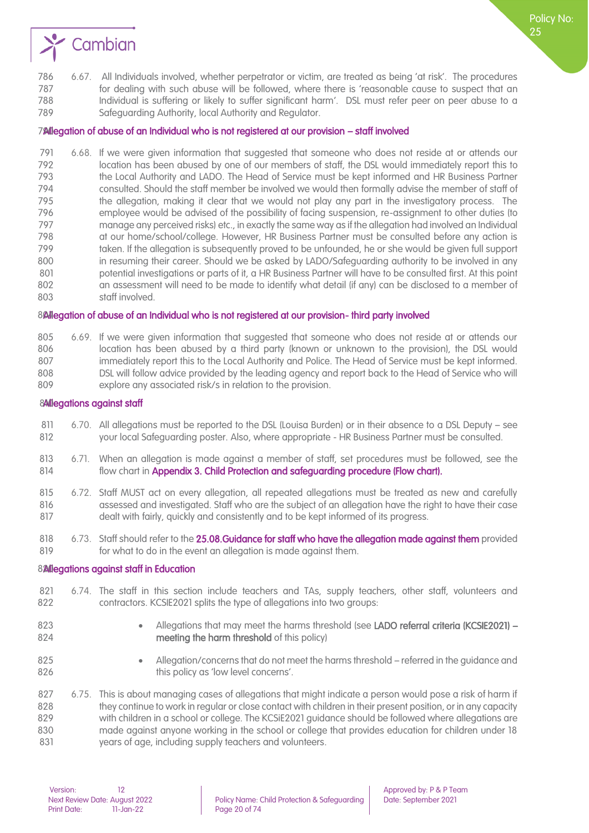

#### <span id="page-19-0"></span>790Allegation of abuse of an Individual who is not registered at our provision – staff involved

 6.68. If we were given information that suggested that someone who does not reside at or attends our location has been abused by one of our members of staff, the DSL would immediately report this to the Local Authority and LADO. The Head of Service must be kept informed and HR Business Partner consulted. Should the staff member be involved we would then formally advise the member of staff of the allegation, making it clear that we would not play any part in the investigatory process. The employee would be advised of the possibility of facing suspension, re-assignment to other duties (to manage any perceived risks) etc., in exactly the same way as if the allegation had involved an Individual at our home/school/college. However, HR Business Partner must be consulted before any action is 799 taken. If the allegation is subsequently proved to be unfounded, he or she would be given full support in resuming their career. Should we be asked by LADO/Safeguarding authority to be involved in any 801 potential investigations or parts of it, a HR Business Partner will have to be consulted first. At this point an assessment will need to be made to identify what detail (if any) can be disclosed to a member of staff involved.

#### <span id="page-19-1"></span>804 legation of abuse of an Individual who is not registered at our provision-third party involved

| 805 | 6.69. If we were given information that suggested that someone who does not reside at or attends our  |
|-----|-------------------------------------------------------------------------------------------------------|
| 806 | location has been abused by a third party (known or unknown to the provision), the DSL would          |
| 807 | immediately report this to the Local Authority and Police. The Head of Service must be kept informed. |
| 808 | DSL will follow advice provided by the leading agency and report back to the Head of Service who will |
| 809 | explore any associated risk/s in relation to the provision.                                           |

#### <span id="page-19-2"></span>8Allegations against staff

- 6.70. All allegations must be reported to the DSL (Louisa Burden) or in their absence to a DSL Deputy see your local Safeguarding poster. Also, where appropriate - HR Business Partner must be consulted.
- 6.71. When an allegation is made against a member of staff, set procedures must be followed, see the 814 flow chart in Appendix 3. Child Protection and safeguarding procedure (Flow chart).
- 6.72. Staff MUST act on every allegation, all repeated allegations must be treated as new and carefully assessed and investigated. Staff who are the subject of an allegation have the right to have their case dealt with fairly, quickly and consistently and to be kept informed of its progress.
- 818 6.73. Staff should refer to the 25.08. Guidance for staff who have the allegation made against them provided for what to do in the event an allegation is made against them.

#### <span id="page-19-3"></span>82 Meadtions against staff in Education

- 6.74. The staff in this section include teachers and TAs, supply teachers, other staff, volunteers and contractors. KCSIE2021 splits the type of allegations into two groups:
- 
- 823 Allegations that may meet the harms threshold (see LADO referral criteria (KCSIE2021) meeting the harm threshold of this policy)
- 
- Allegation/concerns that do not meet the harms threshold referred in the guidance and **this policy as 'low level concerns'.**

 6.75. This is about managing cases of allegations that might indicate a person would pose a risk of harm if 828 they continue to work in regular or close contact with children in their present position, or in any capacity with children in a school or college. The KCSiE2021 guidance should be followed where allegations are made against anyone working in the school or college that provides education for children under 18 years of age, including supply teachers and volunteers.

Policy No: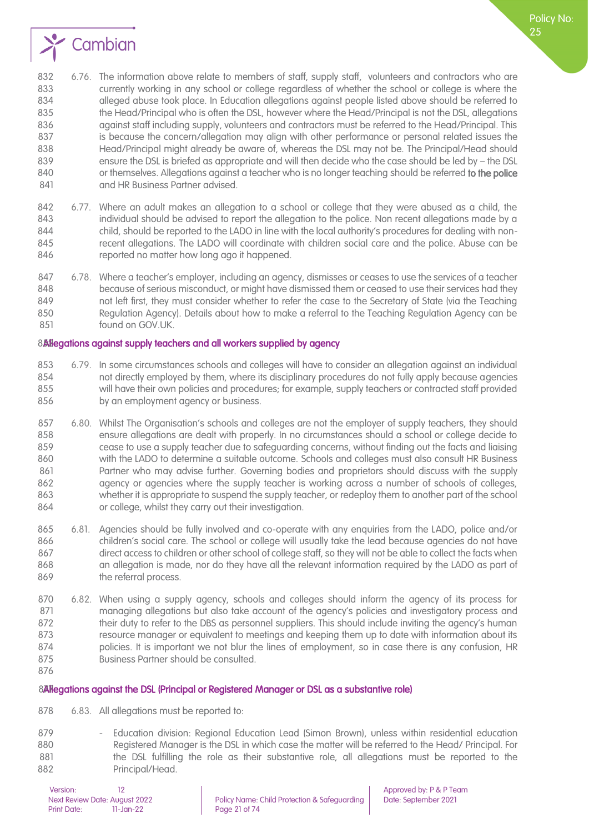

- 6.76. The information above relate to members of staff, supply staff, volunteers and contractors who are currently working in any school or college regardless of whether the school or college is where the alleged abuse took place. In Education allegations against people listed above should be referred to 835 the Head/Principal who is often the DSL, however where the Head/Principal is not the DSL, allegations 836 against staff including supply, volunteers and contractors must be referred to the Head/Principal. This 837 is because the concern/allegation may align with other performance or personal related issues the Head/Principal might already be aware of, whereas the DSL may not be. The Principal/Head should ensure the DSL is briefed as appropriate and will then decide who the case should be led by – the DSL 840 or themselves. Allegations against a teacher who is no longer teaching should be referred to the police 841 and HR Business Partner advised.
- 6.77. Where an adult makes an allegation to a school or college that they were abused as a child, the individual should be advised to report the allegation to the police. Non recent allegations made by a child, should be reported to the LADO in line with the local authority's procedures for dealing with non-845 recent allegations. The LADO will coordinate with children social care and the police. Abuse can be 846 reported no matter how long ago it happened.
- 6.78. Where a teacher's employer, including an agency, dismisses or ceases to use the services of a teacher because of serious misconduct, or might have dismissed them or ceased to use their services had they not left first, they must consider whether to refer the case to the Secretary of State (via the Teaching Regulation Agency). Details about how to make a referral to the Teaching Regulation Agency can be found on GOV.UK.

#### <span id="page-20-0"></span>8. 8 8 allegations against supply teachers and all workers supplied by agency

- 6.79. In some circumstances schools and colleges will have to consider an allegation against an individual not directly employed by them, where its disciplinary procedures do not fully apply because agencies will have their own policies and procedures; for example, supply teachers or contracted staff provided by an employment agency or business.
- 6.80. Whilst The Organisation's schools and colleges are not the employer of supply teachers, they should ensure allegations are dealt with properly. In no circumstances should a school or college decide to cease to use a supply teacher due to safeguarding concerns, without finding out the facts and liaising with the LADO to determine a suitable outcome. Schools and colleges must also consult HR Business Partner who may advise further. Governing bodies and proprietors should discuss with the supply agency or agencies where the supply teacher is working across a number of schools of colleges, whether it is appropriate to suspend the supply teacher, or redeploy them to another part of the school or college, whilst they carry out their investigation.
- 6.81. Agencies should be fully involved and co-operate with any enquiries from the LADO, police and/or children's social care. The school or college will usually take the lead because agencies do not have direct access to children or other school of college staff, so they will not be able to collect the facts when an allegation is made, nor do they have all the relevant information required by the LADO as part of 869 the referral process.
- 6.82. When using a supply agency, schools and colleges should inform the agency of its process for 871 managing allegations but also take account of the agency's policies and investigatory process and 872 their duty to refer to the DBS as personnel suppliers. This should include inviting the agency's human resource manager or equivalent to meetings and keeping them up to date with information about its policies. It is important we not blur the lines of employment, so in case there is any confusion, HR Business Partner should be consulted.
- 

#### <span id="page-20-1"></span>877 Ballegations against the DSL (Principal or Registered Manager or DSL as a substantive role)

- 6.83. All allegations must be reported to:
- 879 Education division: Regional Education Lead (Simon Brown), unless within residential education Registered Manager is the DSL in which case the matter will be referred to the Head/ Principal. For 881 the DSL fulfilling the role as their substantive role, all allegations must be reported to the Principal/Head.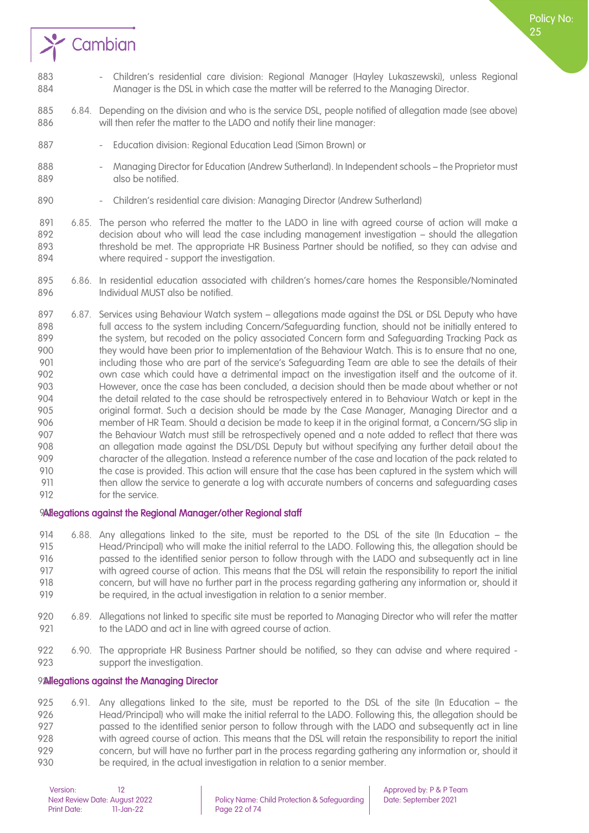

- 883 Children's residential care division: Regional Manager (Hayley Lukaszewski), unless Regional Manager is the DSL in which case the matter will be referred to the Managing Director.
- 6.84. Depending on the division and who is the service DSL, people notified of allegation made (see above) will then refer the matter to the LADO and notify their line manager:
- 887 Education division: Regional Education Lead (Simon Brown) or
- 888 Managing Director for Education (Andrew Sutherland). In Independent schools the Proprietor must 889 also be notified.
- 890 Children's residential care division: Managing Director (Andrew Sutherland)
- 6.85. The person who referred the matter to the LADO in line with agreed course of action will make a decision about who will lead the case including management investigation – should the allegation threshold be met. The appropriate HR Business Partner should be notified, so they can advise and where required - support the investigation.
- 6.86. In residential education associated with children's homes/care homes the Responsible/Nominated Individual MUST also be notified.
- 6.87. Services using Behaviour Watch system allegations made against the DSL or DSL Deputy who have full access to the system including Concern/Safeguarding function, should not be initially entered to the system, but recoded on the policy associated Concern form and Safeguarding Tracking Pack as they would have been prior to implementation of the Behaviour Watch. This is to ensure that no one, including those who are part of the service's Safeguarding Team are able to see the details of their own case which could have a detrimental impact on the investigation itself and the outcome of it. However, once the case has been concluded, a decision should then be made about whether or not the detail related to the case should be retrospectively entered in to Behaviour Watch or kept in the original format. Such a decision should be made by the Case Manager, Managing Director and a member of HR Team. Should a decision be made to keep it in the original format, a Concern/SG slip in 907 the Behaviour Watch must still be retrospectively opened and a note added to reflect that there was an allegation made against the DSL/DSL Deputy but without specifying any further detail about the character of the allegation. Instead a reference number of the case and location of the pack related to 910 the case is provided. This action will ensure that the case has been captured in the system which will then allow the service to generate a log with accurate numbers of concerns and safeguarding cases for the service.

#### 9Allegations against the Regional Manager/other Regional staff

- 6.88. Any allegations linked to the site, must be reported to the DSL of the site (In Education the Head/Principal) who will make the initial referral to the LADO. Following this, the allegation should be passed to the identified senior person to follow through with the LADO and subsequently act in line with agreed course of action. This means that the DSL will retain the responsibility to report the initial concern, but will have no further part in the process regarding gathering any information or, should it be required, in the actual investigation in relation to a senior member.
- 6.89. Allegations not linked to specific site must be reported to Managing Director who will refer the matter 921 to the LADO and act in line with agreed course of action.
- 6.90. The appropriate HR Business Partner should be notified, so they can advise and where required support the investigation.

#### <span id="page-21-0"></span>924 Alegations against the Managing Director

 6.91. Any allegations linked to the site, must be reported to the DSL of the site (In Education – the Head/Principal) who will make the initial referral to the LADO. Following this, the allegation should be passed to the identified senior person to follow through with the LADO and subsequently act in line with agreed course of action. This means that the DSL will retain the responsibility to report the initial concern, but will have no further part in the process regarding gathering any information or, should it be required, in the actual investigation in relation to a senior member.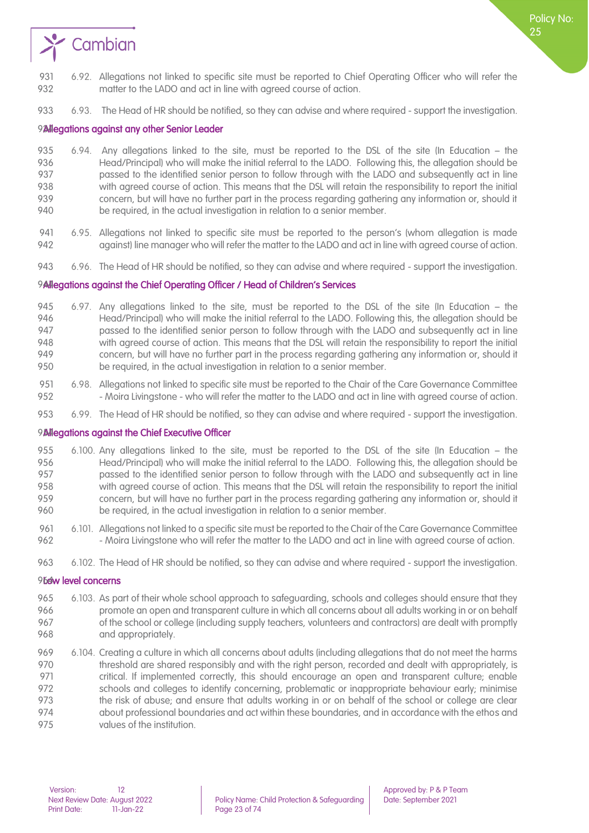

6.93. The Head of HR should be notified, so they can advise and where required - support the investigation.

#### <span id="page-22-0"></span>924 Alegations against any other Senior Leader

- 6.94. Any allegations linked to the site, must be reported to the DSL of the site (In Education the Head/Principal) who will make the initial referral to the LADO. Following this, the allegation should be passed to the identified senior person to follow through with the LADO and subsequently act in line with agreed course of action. This means that the DSL will retain the responsibility to report the initial concern, but will have no further part in the process regarding gathering any information or, should it be required, in the actual investigation in relation to a senior member.
- 6.95. Allegations not linked to specific site must be reported to the person's (whom allegation is made 942 against) line manager who will refer the matter to the LADO and act in line with agreed course of action.
- 6.96. The Head of HR should be notified, so they can advise and where required support the investigation.

#### <span id="page-22-1"></span>9Allegations against the Chief Operating Officer / Head of Children's Services

- 6.97. Any allegations linked to the site, must be reported to the DSL of the site (In Education the Head/Principal) who will make the initial referral to the LADO. Following this, the allegation should be passed to the identified senior person to follow through with the LADO and subsequently act in line with agreed course of action. This means that the DSL will retain the responsibility to report the initial concern, but will have no further part in the process regarding gathering any information or, should it be required, in the actual investigation in relation to a senior member.
- 6.98. Allegations not linked to specific site must be reported to the Chair of the Care Governance Committee 952 - Moira Livingstone - who will refer the matter to the LADO and act in line with agreed course of action.
- 6.99. The Head of HR should be notified, so they can advise and where required support the investigation.

#### <span id="page-22-2"></span>**Allegations against the Chief Executive Officer**

- 6.100. Any allegations linked to the site, must be reported to the DSL of the site (In Education the Head/Principal) who will make the initial referral to the LADO. Following this, the allegation should be passed to the identified senior person to follow through with the LADO and subsequently act in line with agreed course of action. This means that the DSL will retain the responsibility to report the initial concern, but will have no further part in the process regarding gathering any information or, should it be required, in the actual investigation in relation to a senior member.
- 6.101. Allegations not linked to a specific site must be reported to the Chair of the Care Governance Committee 962 - Moira Livingstone who will refer the matter to the LADO and act in line with agreed course of action.
- 6.102. The Head of HR should be notified, so they can advise and where required support the investigation.

#### <span id="page-22-3"></span>96<sub>64</sub>w level concerns

- 6.103. As part of their whole school approach to safeguarding, schools and colleges should ensure that they promote an open and transparent culture in which all concerns about all adults working in or on behalf 967 of the school or college (including supply teachers, volunteers and contractors) are dealt with promptly 968 and appropriately.
- 6.104. Creating a culture in which all concerns about adults (including allegations that do not meet the harms 970 threshold are shared responsibly and with the right person, recorded and dealt with appropriately, is 971 critical. If implemented correctly, this should encourage an open and transparent culture; enable schools and colleges to identify concerning, problematic or inappropriate behaviour early; minimise 973 the risk of abuse; and ensure that adults working in or on behalf of the school or college are clear about professional boundaries and act within these boundaries, and in accordance with the ethos and values of the institution.

Policy No: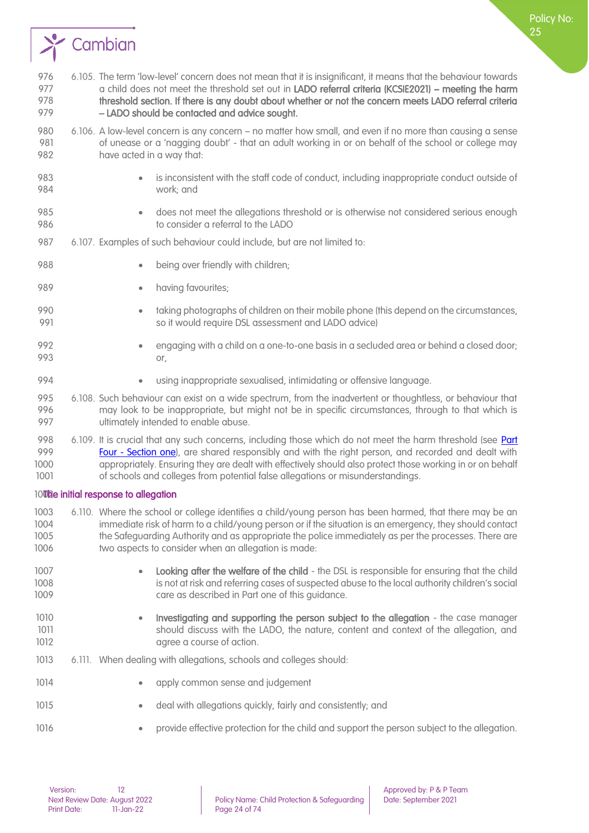

- 6.106. A low-level concern is any concern no matter how small, and even if no more than causing a sense 981 of unease or a 'nagging doubt' - that an adult working in or on behalf of the school or college may have acted in a way that:
- is inconsistent with the staff code of conduct, including inappropriate conduct outside of work; and
- does not meet the allegations threshold or is otherwise not considered serious enough to consider a referral to the LADO
- 6.107. Examples of such behaviour could include, but are not limited to:
- **•** being over friendly with children;
- **•** having favourites;
- taking photographs of children on their mobile phone (this depend on the circumstances, so it would require DSL assessment and LADO advice)
- engaging with a child on a one-to-one basis in a secluded area or behind a closed door; or,
- using inappropriate sexualised, intimidating or offensive language.
- 6.108. Such behaviour can exist on a wide spectrum, from the inadvertent or thoughtless, or behaviour that may look to be inappropriate, but might not be in specific circumstances, through to that which is ultimately intended to enable abuse.
- 998 6.109. It is crucial that any such concerns, including those which do not meet the harm threshold (see Part **Four - Section one**), are shared responsibly and with the right person, and recorded and dealt with appropriately. Ensuring they are dealt with effectively should also protect those working in or on behalf of schools and colleges from potential false allegations or misunderstandings.

#### <span id="page-23-0"></span>100<sub>0</sub> 100<sub>0</sub> initial response to allegation

- 6.110. Where the school or college identifies a child/young person has been harmed, that there may be an immediate risk of harm to a child/young person or if the situation is an emergency, they should contact the Safeguarding Authority and as appropriate the police immediately as per the processes. There are 1006 two aspects to consider when an allegation is made:
- 1007 Looking after the welfare of the child the DSL is responsible for ensuring that the child is not at risk and referring cases of suspected abuse to the local authority children's social care as described in Part one of this guidance.
- Investigating and supporting the person subject to the allegation the case manager 1011 should discuss with the LADO, the nature, content and context of the allegation, and **agree a course of action.**
- 6.111. When dealing with allegations, schools and colleges should:
- **•** apply common sense and judgement
- 1015 deal with allegations quickly, fairly and consistently; and
- provide effective protection for the child and support the person subject to the allegation.

Policy No: りに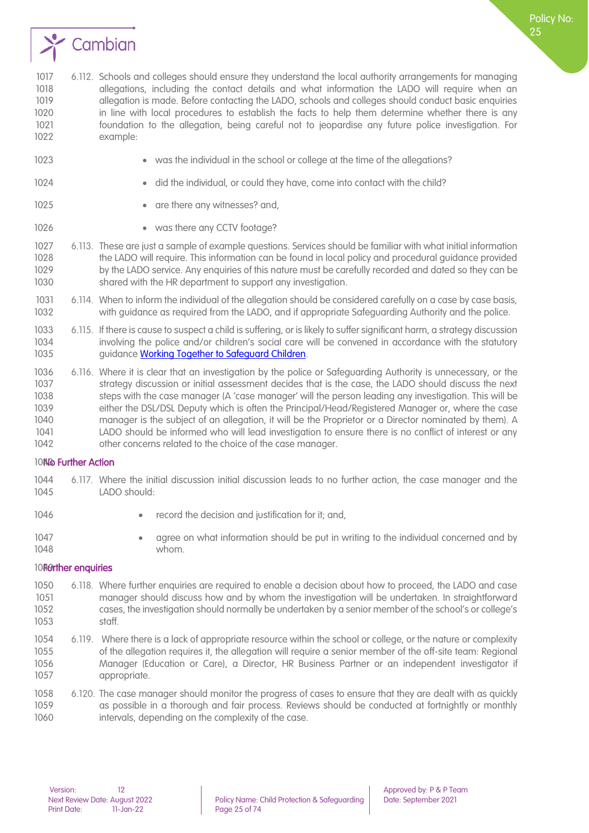

 6.112. Schools and colleges should ensure they understand the local authority arrangements for managing allegations, including the contact details and what information the LADO will require when an 1019 allegation is made. Before contacting the LADO, schools and colleges should conduct basic enquiries in line with local procedures to establish the facts to help them determine whether there is any foundation to the allegation, being careful not to jeopardise any future police investigation. For example:

- was the individual in the school or college at the time of the allegations?
- 
- 
- 1024 did the individual, or could they have, come into contact with the child?

**•** are there any witnesses? and,

- 1026 was there any CCTV footage?
- 6.113. These are just a sample of example questions. Services should be familiar with what initial information the LADO will require. This information can be found in local policy and procedural guidance provided by the LADO service. Any enquiries of this nature must be carefully recorded and dated so they can be shared with the HR department to support any investigation.
- 6.114. When to inform the individual of the allegation should be considered carefully on a case by case basis, with guidance as required from the LADO, and if appropriate Safeguarding Authority and the police.
- 6.115. If there is cause to suspect a child is suffering, or is likely to suffer significant harm, a strategy discussion involving the police and/or children's social care will be convened in accordance with the statutory 1035 guidance Working Together to Safeguard Children.
- 6.116. Where it is clear that an investigation by the police or Safeguarding Authority is unnecessary, or the 1037 strategy discussion or initial assessment decides that is the case, the LADO should discuss the next steps with the case manager (A 'case manager' will the person leading any investigation. This will be either the DSL/DSL Deputy which is often the Principal/Head/Registered Manager or, where the case manager is the subject of an allegation, it will be the Proprietor or a Director nominated by them). A LADO should be informed who will lead investigation to ensure there is no conflict of interest or any other concerns related to the choice of the case manager.

#### <span id="page-24-0"></span>1043No Further Action

- 6.117. Where the initial discussion initial discussion leads to no further action, the case manager and the LADO should:
- 
- **•** record the decision and justification for it; and,
- 
- 
- 1047 agree on what information should be put in writing to the individual concerned and by whom.

#### <span id="page-24-1"></span>10<sub>H9</sub>rther enquiries

- 6.118. Where further enquiries are required to enable a decision about how to proceed, the LADO and case manager should discuss how and by whom the investigation will be undertaken. In straightforward cases, the investigation should normally be undertaken by a senior member of the school's or college's staff.
- 6.119. Where there is a lack of appropriate resource within the school or college, or the nature or complexity of the allegation requires it, the allegation will require a senior member of the off-site team: Regional Manager (Education or Care), a Director, HR Business Partner or an independent investigator if appropriate.
- 6.120. The case manager should monitor the progress of cases to ensure that they are dealt with as quickly as possible in a thorough and fair process. Reviews should be conducted at fortnightly or monthly intervals, depending on the complexity of the case.

Policy No: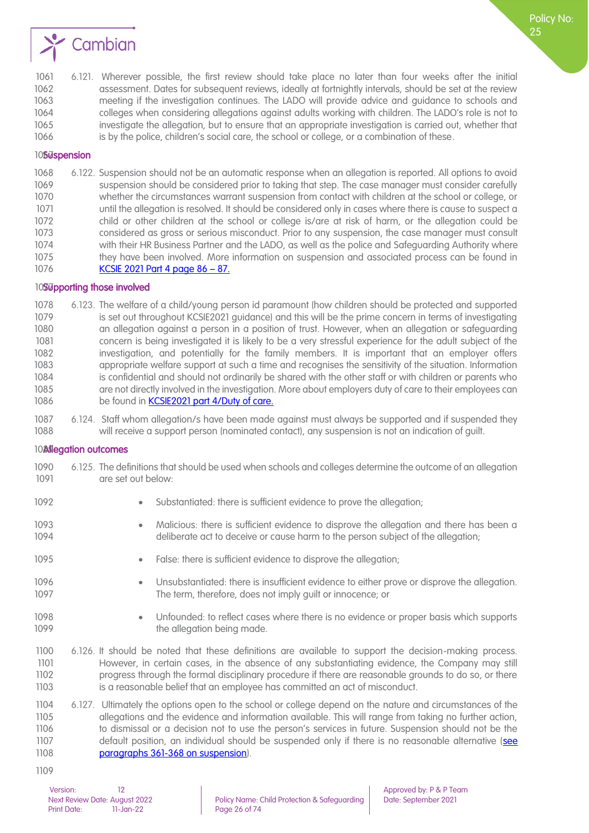

 6.121. Wherever possible, the first review should take place no later than four weeks after the initial assessment. Dates for subsequent reviews, ideally at fortnightly intervals, should be set at the review meeting if the investigation continues. The LADO will provide advice and guidance to schools and colleges when considering allegations against adults working with children. The LADO's role is not to investigate the allegation, but to ensure that an appropriate investigation is carried out, whether that is by the police, children's social care, the school or college, or a combination of these.

#### <span id="page-25-0"></span>10**S<sub>U</sub>spension**

 6.122. Suspension should not be an automatic response when an allegation is reported. All options to avoid suspension should be considered prior to taking that step. The case manager must consider carefully whether the circumstances warrant suspension from contact with children at the school or college, or 1071 until the allegation is resolved. It should be considered only in cases where there is cause to suspect a child or other children at the school or college is/are at risk of harm, or the allegation could be considered as gross or serious misconduct. Prior to any suspension, the case manager must consult with their HR Business Partner and the LADO, as well as the police and Safeguarding Authority where they have been involved. More information on suspension and associated process can be found in [KCSIE 2021 Part 4 page 86](https://assets.publishing.service.gov.uk/government/uploads/system/uploads/attachment_data/file/999348/Keeping_children_safe_in_education_2021.pdf) – 87.

#### <span id="page-25-1"></span>10Supporting those involved

 6.123. [The welfare of a child/young person id paramount \(how children should be protected and supported](https://assets.publishing.service.gov.uk/government/uploads/system/uploads/attachment_data/file/999348/Keeping_children_safe_in_education_2021.pdf)  1079 is set out throughout KCSIE2021 guidance) and this will be the prime concern in terms of investigating an allegation against a person in a position of [trust. However, when an allegation or safeguarding](https://assets.publishing.service.gov.uk/government/uploads/system/uploads/attachment_data/file/999348/Keeping_children_safe_in_education_2021.pdf)  [concern is being investigated it is likely to be a very stressful experience for the adult subject of the](https://assets.publishing.service.gov.uk/government/uploads/system/uploads/attachment_data/file/999348/Keeping_children_safe_in_education_2021.pdf)  [investigation, and potentially for the family members. It is important that an employer offers](https://assets.publishing.service.gov.uk/government/uploads/system/uploads/attachment_data/file/999348/Keeping_children_safe_in_education_2021.pdf)  [appropriate welfare support at such a time and recognises the sensitivity of the situation. Information](https://assets.publishing.service.gov.uk/government/uploads/system/uploads/attachment_data/file/999348/Keeping_children_safe_in_education_2021.pdf)  [is confidential and should not ordinarily be shared with the other staff or with children or parents who](https://assets.publishing.service.gov.uk/government/uploads/system/uploads/attachment_data/file/999348/Keeping_children_safe_in_education_2021.pdf)  [are not directly involved in the investigation. More about employers duty of care to their employees can](https://assets.publishing.service.gov.uk/government/uploads/system/uploads/attachment_data/file/999348/Keeping_children_safe_in_education_2021.pdf)  1086 be found in **KCSIE2021 part 4/Duty of care.** 

 6.124. Staff whom allegation/s have been made against must always be supported and if suspended they will receive a support person (nominated contact), any suspension is not an indication of guilt.

#### <span id="page-25-2"></span>**Allegation outcomes**

- 6.125. The definitions that should be used when schools and colleges determine the outcome of an allegation 1091 are set out below:
- 
- 1092 Substantiated: there is sufficient evidence to prove the allegation;
- 1093 Malicious: there is sufficient evidence to disprove the allegation and there has been a deliberate act to deceive or cause harm to the person subject of the allegation;
- 1095 False: there is sufficient evidence to disprove the allegation;
- Unsubstantiated: there is insufficient evidence to either prove or disprove the allegation. The term, therefore, does not imply guilt or innocence; or
- Unfounded: to reflect cases where there is no evidence or proper basis which supports **the allegation being made.**
- 6.126. It should be noted that these definitions are available to support the decision-making process. However, in certain cases, in the absence of any substantiating evidence, the Company may still progress through the formal disciplinary procedure if there are reasonable grounds to do so, or there is a reasonable belief that an employee has committed an act of misconduct.
- 6.127. Ultimately the options open to the school or college depend on the nature and circumstances of the allegations and the evidence and information available. This will range from taking no further action, to dismissal or a decision not to use the person's services in future. Suspension should not be the 1107 default position, an individual should be suspended only if there is no reasonable alternative (see **paragraphs 361-368 on suspension**).
-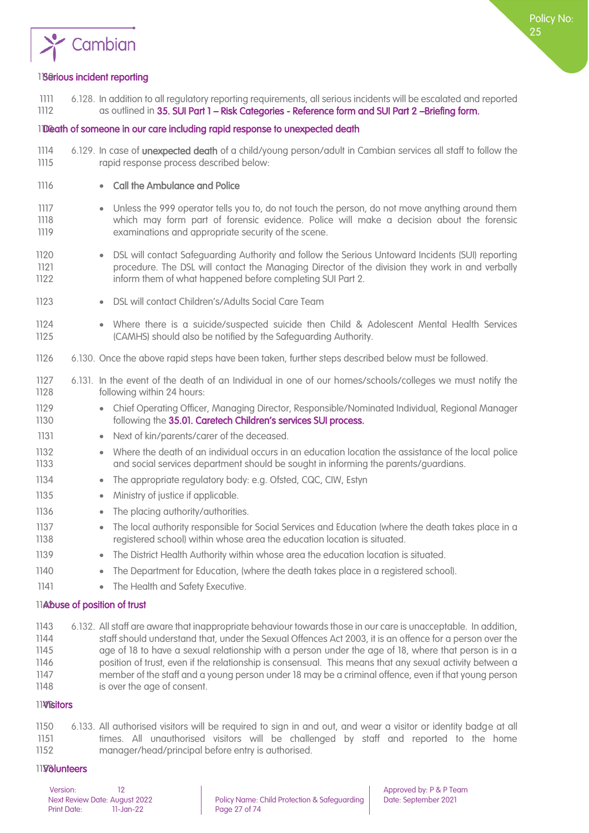

#### <span id="page-26-0"></span>118erious incident reporting

1111 6.128. In addition to all regulatory reporting requirements, all serious incidents will be escalated and reported 1112 as outlined in 35. SUI Part 1 – Risk Categories - Reference form and SUI Part 2 –Briefing form.

#### <span id="page-26-1"></span>1Death of someone in our care including rapid response to unexpected death

- 1114 6.129. In case of unexpected death of a child/young person/adult in Cambian services all staff to follow the 1115 rapid response process described below:
- 1116 Call the Ambulance and Police
- 1117 Unless the 999 operator tells you to, do not touch the person, do not move anything around them 1118 which may form part of forensic evidence. Police will make a decision about the forensic 1119 examinations and appropriate security of the scene.
- 1120 DSL will contact Safeguarding Authority and follow the Serious Untoward Incidents (SUI) reporting 1121 procedure. The DSL will contact the Managing Director of the division they work in and verbally 1122 inform them of what happened before completing SUI Part 2.
- 1123 DSL will contact Children's/Adults Social Care Team
- 1124 Where there is a suicide/suspected suicide then Child & Adolescent Mental Health Services 1125 (CAMHS) should also be notified by the Safeguarding Authority.
- 1126 6.130. Once the above rapid steps have been taken, further steps described below must be followed.
- 1127 6.131. In the event of the death of an Individual in one of our homes/schools/colleges we must notify the 1128 following within 24 hours:
- 1129 Chief Operating Officer, Managing Director, Responsible/Nominated Individual, Regional Manager 1130 **following the 35.01. Caretech Children's services SUI process.**
- 1131 Next of kin/parents/carer of the deceased.
- 1132 Where the death of an individual occurs in an education location the assistance of the local police 1133 and social services department should be sought in informing the parents/guardians.
- 1134 The appropriate regulatory body: e.g. Ofsted, CQC, CIW, Estyn
- 1135 Ministry of justice if applicable.
- 1136 The placing authority/authorities.
- 1137 The local authority responsible for Social Services and Education (where the death takes place in a 1138 registered school) within whose area the education location is situated.
- 1139 The District Health Authority within whose area the education location is situated.
- 1140 The Department for Education, (where the death takes place in a registered school).
- 1141 The Health and Safety Executive.

#### <span id="page-26-2"></span>11Abuse of position of trust

 6.132. All staff are aware that inappropriate behaviour towards those in our care is unacceptable. In addition, staff should understand that, under the Sexual Offences Act 2003, it is an offence for a person over the 1145 age of 18 to have a sexual relationship with a person under the age of 18, where that person is in a position of trust, even if the relationship is consensual. This means that any sexual activity between a member of the staff and a young person under 18 may be a criminal offence, even if that young person is over the age of consent.

#### 11**¥**<sup>Bitors</sup>

1150 6.133. All authorised visitors will be required to sign in and out, and wear a visitor or identity badge at all 1151 times. All unauthorised visitors will be challenged by staff and reported to the home 1152 manager/head/principal before entry is authorised.

#### <span id="page-26-3"></span>1193**Solunteers**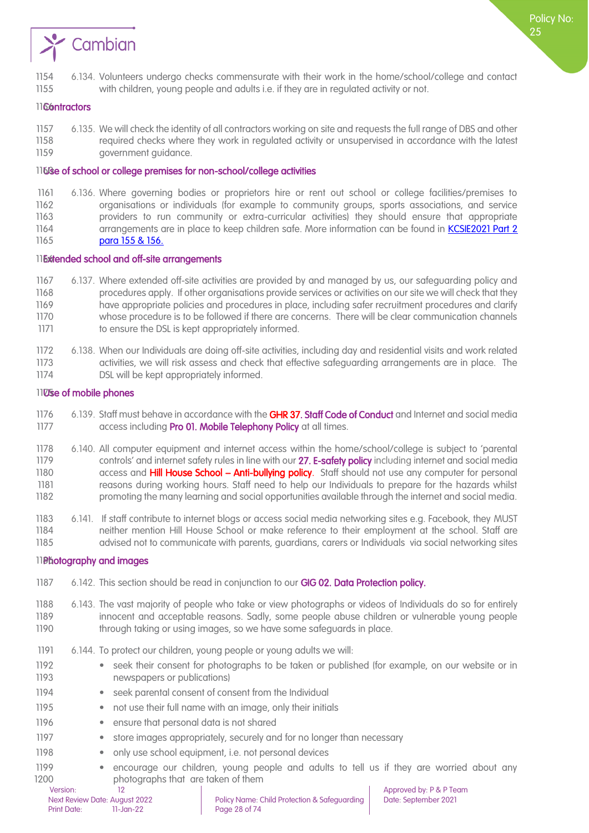

- 6.134. Volunteers undergo checks commensurate with their work in the home/school/college and contact
- with children, young people and adults i.e. if they are in regulated activity or not.

#### <span id="page-27-0"></span>1166ntractors

 6.135. We will check the identity of all contractors working on site and requests the full range of DBS and other required checks where they work in regulated activity or unsupervised in accordance with the latest government guidance.

#### <span id="page-27-1"></span>1160se of school or college premises for non-school/college activities

 6.136. Where governing bodies or proprietors hire or rent out school or college facilities/premises to organisations or individuals (for example to community groups, sports associations, and service providers to run community or extra-curricular activities) they should ensure that appropriate 1164 arrangements are in place to keep children safe. More information can be found in **KCSIE2021 Part 2 para [155 & 156.](https://assets.publishing.service.gov.uk/government/uploads/system/uploads/attachment_data/file/999348/Keeping_children_safe_in_education_2021.pdf)** 

#### <span id="page-27-2"></span>*Extended school and off-site arrangements*

- 6.137. Where extended off-site activities are provided by and managed by us, our safeguarding policy and procedures apply. If other organisations provide services or activities on our site we will check that they have appropriate policies and procedures in place, including safer recruitment procedures and clarify whose procedure is to be followed if there are concerns. There will be clear communication channels 1171 to ensure the DSL is kept appropriately informed.
- 6.138. When our Individuals are doing off-site activities, including day and residential visits and work related activities, we will risk assess and check that effective safeguarding arrangements are in place. The DSL will be kept appropriately informed.

#### <span id="page-27-3"></span>1105se of mobile phones

- 1176 6.139. Staff must behave in accordance with the GHR 37[. Staff Code of Conduct](#page-33-0) and Internet and social media 1177 access including Pro 01. Mobile Telephony Policy at all times.
- 6.140. All computer equipment and internet access within the home/school/college is subject to 'parental 1179 controls' and internet safety rules in line with our 27. E-safety policy including internet and social media 1180 access and **Hill House School – Anti-bullying policy**. Staff should not use any computer for personal reasons during working hours. Staff need to help our Individuals to prepare for the hazards whilst promoting the many learning and social opportunities available through the internet and social media.
- 6.141. If staff contribute to internet blogs or access social media networking sites e.g. Facebook, they MUST neither mention Hill House School or make reference to their employment at the school. Staff are advised not to communicate with parents, guardians, carers or Individuals via social networking sites

#### <span id="page-27-4"></span>**Photography and images**

- 1187 6.142. This section should be read in conjunction to our GIG 02. Data Protection policy.
- 6.143. The vast majority of people who take or view photographs or videos of Individuals do so for entirely innocent and acceptable reasons. Sadly, some people abuse children or vulnerable young people 1190 through taking or using images, so we have some safeguards in place.
- 6.144. To protect our children, young people or young adults we will:
- seek their consent for photographs to be taken or published (for example, on our website or in newspapers or publications)
- 1194 seek parental consent of consent from the Individual
- 1195 not use their full name with an image, only their initials
- 1196 ensure that personal data is not shared
- 1197 store images appropriately, securely and for no longer than necessary
- 1198 only use school equipment, i.e. not personal devices
- encourage our children, young people and adults to tell us if they are worried about any **photographs that are taken of them** 
	-

Policy No: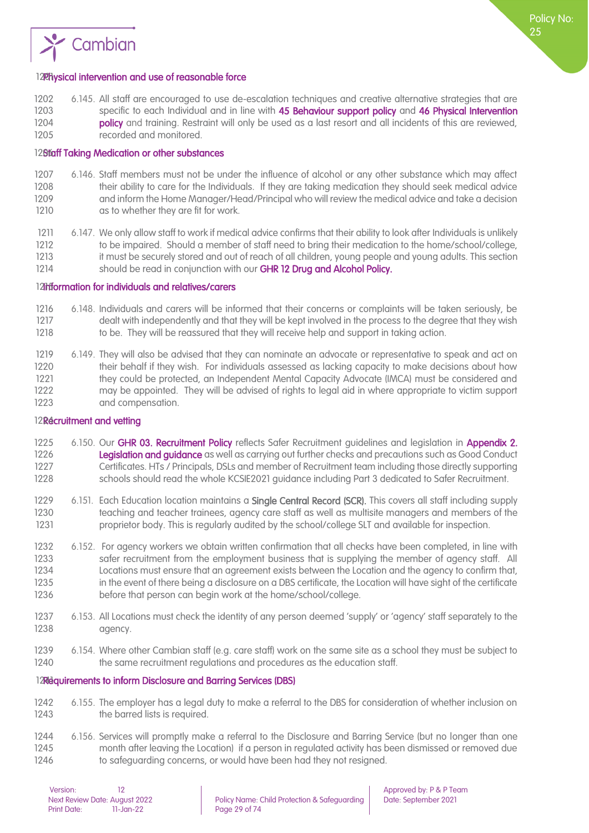

#### <span id="page-28-0"></span>12Physical intervention and use of reasonable force

 6.145. All staff are encouraged to use de-escalation techniques and creative alternative strategies that are 1203 specific to each Individual and in line with 45 Behaviour support policy and 46 Physical Intervention **policy** and training. Restraint will only be used as a last resort and all incidents of this are reviewed, recorded and monitored.

#### <span id="page-28-1"></span>128faff Taking Medication or other substances

- 1207 6.146. Staff members must not be under the influence of alcohol or any other substance which may affect 1208 their ability to care for the Individuals. If they are taking medication they should seek medical advice 1209 and inform the Home Manager/Head/Principal who will review the medical advice and take a decision 1210 as to whether they are fit for work.
- 1211 6.147. We only allow staff to work if medical advice confirms that their ability to look after Individuals is unlikely 1212 to be impaired. Should a member of staff need to bring their medication to the home/school/college, 1213 it must be securely stored and out of reach of all children, young people and young adults. This section 1214 should be read in conjunction with our **GHR 12 Drug and Alcohol Policy.**

#### <span id="page-28-2"></span>12Information for individuals and relatives/carers

- 1216 6.148. Individuals and carers will be informed that their concerns or complaints will be taken seriously, be 1217 dealt with independently and that they will be kept involved in the process to the degree that they wish<br>1218 to be. They will be reassured that they will receive help and support in taking action. to be. They will be reassured that they will receive help and support in taking action.
- 1219 6.149. They will also be advised that they can nominate an advocate or representative to speak and act on 1220 their behalf if they wish. For individuals assessed as lacking capacity to make decisions about how 1221 they could be protected, an Independent Mental Capacity Advocate (IMCA) must be considered and 1222 may be appointed. They will be advised of rights to legal aid in where appropriate to victim support 1223 and compensation.

#### <span id="page-28-3"></span>12Recruitment and vetting

- 1225 6.150. Our GHR 03. [Recruitment Policy](file://///cambianpoint/DavWWWRoot/pandp/Documents/GHR%2003%20POLICY%20-%20Recruitment%20v5.doc) reflects Safer Recruitment guidelines and legislation in Appendix 2. 1226 **Legislation and quidance** as well as carrying out further checks and precautions such as Good Conduct 1227 Certificates. HTs / Principals, DSLs and member of Recruitment team including those directly supporting 1228 schools should read the whole KCSIE2021 guidance including Part 3 dedicated to Safer Recruitment.
- 1229 6.151. Each Education location maintains a **Single Central Record (SCR)**. This covers all staff including supply 1230 teaching and teacher trainees, agency care staff as well as multisite managers and members of the 1231 proprietor body. This is regularly audited by the school/college SLT and available for inspection.
- 1232 6.152. For agency workers we obtain written confirmation that all checks have been completed, in line with 1233 safer recruitment from the employment business that is supplying the member of agency staff. All 1234 Locations must ensure that an agreement exists between the Location and the agency to confirm that,<br>1235 in the event of there being a disclosure on a DBS certificate, the Location will have sight of the certificate in the event of there being a disclosure on a DBS certificate, the Location will have sight of the certificate 1236 before that person can begin work at the home/school/college.
- 1237 6.153. All Locations must check the identity of any person deemed 'supply' or 'agency' staff separately to the 1238 agency.
- 1239 6.154. Where other Cambian staff (e.g. care staff) work on the same site as a school they must be subject to 1240 the same recruitment regulations and procedures as the education staff.

#### <span id="page-28-4"></span>12Requirements to inform Disclosure and Barring Services (DBS)

- 1242 6.155. The employer has a legal duty to make a referral to the DBS for consideration of whether inclusion on 1243 the barred lists is required.
- 1244 6.156. Services will promptly make a referral to the Disclosure and Barring Service (but no longer than one 1245 month after leaving the Location) if a person in regulated activity has been dismissed or removed due 1246 to safeguarding concerns, or would have been had they not resigned.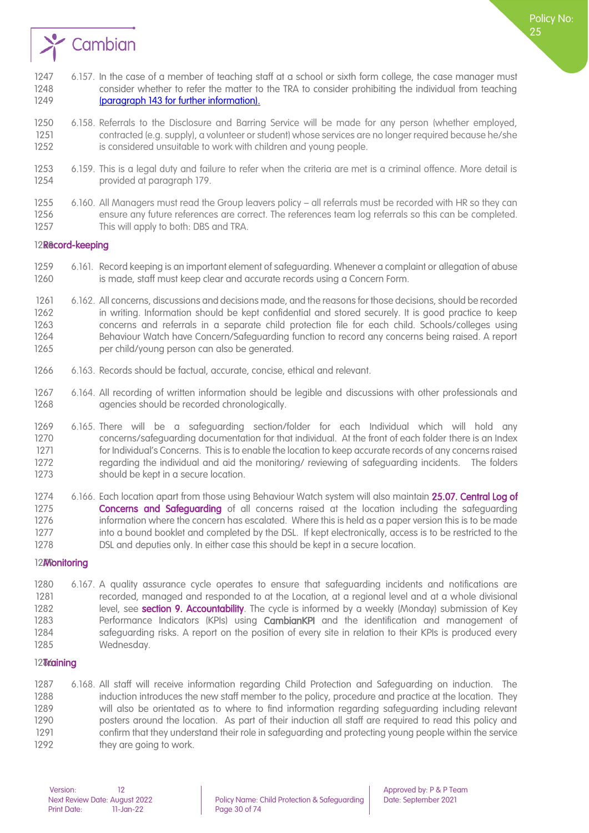

- 1247 6.157. In the case of a member of teaching staff at a school or sixth form college, the case manager must consider whether to refer the matter to the TRA to consider prohibiting the individual from teaching **[\(paragraph 143 for further information\).](https://assets.publishing.service.gov.uk/government/uploads/system/uploads/attachment_data/file/999348/Keeping_children_safe_in_education_2021.pdf)**
- 1250 6.158. Referrals to the Disclosure and Barring Service will be made for any person (whether employed, contracted (e.g. supply), a volunteer or student) whose services are no longer required because he/she 1252 is considered unsuitable to work with children and young people.
- 6.159. This is a legal duty and failure to refer when the criteria are met is a criminal offence. More detail is provided at paragraph 179.
- 6.160. All Managers must read the Group leavers policy all referrals must be recorded with HR so they can 1256 ensure any future references are correct. The references team log referrals so this can be completed.<br>1257 This will apply to both: DBS and TRA. This will apply to both: DBS and TRA.

#### <span id="page-29-0"></span>12Record-keeping

- 6.161. Record keeping is an important element of safeguarding. Whenever a complaint or allegation of abuse is made, staff must keep clear and accurate records using a Concern Form.
- 6.162. All concerns, discussions and decisions made, and the reasons for those decisions, should be recorded in writing. Information should be kept confidential and stored securely. It is good practice to keep concerns and referrals in a separate child protection file for each child. Schools/colleges using 1264 Behaviour Watch have Concern/Safeguarding function to record any concerns being raised. A report per child/young person can also be generated.
- 6.163. Records should be factual, accurate, concise, ethical and relevant.
- 6.164. All recording of written information should be legible and discussions with other professionals and 1268 agencies should be recorded chronologically.
- 6.165. There will be a safeguarding section/folder for each Individual which will hold any concerns/safeguarding documentation for that individual. At the front of each folder there is an [Index](#page-33-0)  [for Individual's Concerns](#page-33-0). This is to enable the location to keep accurate records of any concerns raised regarding the individual and aid the monitoring/ reviewing of safeguarding incidents. The folders 1273 should be kept in a secure location.
- 1274 6.166. Each location apart from those using Behaviour Watch system will also maintain 25.07. Central Log of **Concerns and Safeauardina** of all concerns raised at the location including the safeauarding 1276 information where the concern has escalated. Where this is held as a paper version this is to be made 1277 into a bound booklet and completed by the DSL. If kept electronically, access is to be restricted to the DSL and deputies only. In either case this should be kept in a secure location.

#### <span id="page-29-1"></span>**Monitoring**

 6.167. A quality assurance cycle operates to ensure that safeguarding incidents and notifications are recorded, managed and responded to at the Location, at a regional level and at a whole divisional 1282 level, see **section 9. Accountability**. The cycle is informed by a weekly (Monday) submission of Key 1283 Performance Indicators (KPIs) using **CambianKPI** and the identification and management of 1284 safeguarding risks. A report on the position of every site in relation to their KPIs is produced every Wednesday.

#### <span id="page-29-2"></span>*Training*

 6.168. All staff will receive information regarding Child Protection and Safeguarding on induction. The induction introduces the new staff member to the policy, procedure and practice at the location. They will also be orientated as to where to find information regarding safeguarding including relevant posters around the location. As part of their induction all staff are required to read this policy and confirm that they understand their role in safeguarding and protecting young people within the service 1292 they are going to work.

Policy No: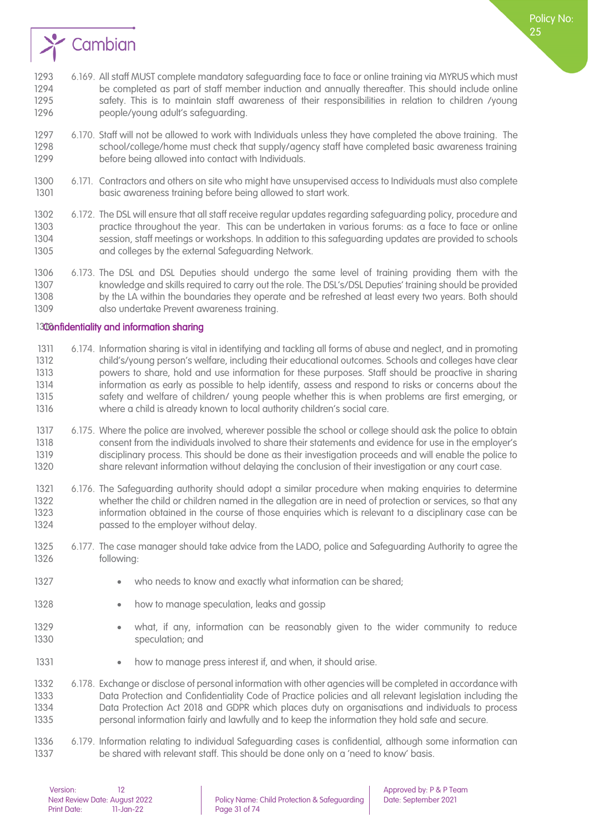

- 6.170. Staff will not be allowed to work with Individuals unless they have completed the above training. The school/college/home must check that supply/agency staff have completed basic awareness training 1299 before being allowed into contact with Individuals.
- 6.171. Contractors and others on site who might have unsupervised access to Individuals must also complete basic awareness training before being allowed to start work.
- 6.172. The DSL will ensure that all staff receive regular updates regarding safeguarding policy, procedure and practice throughout the year. This can be undertaken in various forums: as a face to face or online session, staff meetings or workshops. In addition to this safeguarding updates are provided to schools 1305 and colleges by the external Safeguarding Network.
- 6.173. The DSL and DSL Deputies should undergo the same level of training providing them with the knowledge and skills required to carry out the role. The DSL's/DSL Deputies' training should be provided by the LA within the boundaries they operate and be refreshed at least every two years. Both should 1309 also undertake Prevent awareness training.

#### <span id="page-30-0"></span>1300nfidentiality and information sharing

- 6.174. Information sharing is vital in identifying and tackling all forms of abuse and neglect, and in promoting child's/young person's welfare, including their educational outcomes. Schools and colleges have clear powers to share, hold and use information for these purposes. Staff should be proactive in sharing information as early as possible to help identify, assess and respond to risks or concerns about the safety and welfare of children/ young people whether this is when problems are first emerging, or where a child is already known to local authority children's social care.
- 6.175. Where the police are involved, wherever possible the school or college should ask the police to obtain consent from the individuals involved to share their statements and evidence for use in the employer's disciplinary process. This should be done as their investigation proceeds and will enable the police to share relevant information without delaying the conclusion of their investigation or any court case.
- 6.176. The Safeguarding authority should adopt a similar procedure when making enquiries to determine whether the child or children named in the allegation are in need of protection or services, so that any information obtained in the course of those enquiries which is relevant to a disciplinary case can be **passed to the employer without delay.**
- 6.177. The case manager should take advice from the LADO, police and Safeguarding Authority to agree the following:
- 1327 who needs to know and exactly what information can be shared;
- 1328 how to manage speculation, leaks and gossip
- what, if any, information can be reasonably given to the wider community to reduce 1330 speculation; and
- 1331 how to manage press interest if, and when, it should arise.

 6.178. Exchange or disclose of personal information with other agencies will be completed in accordance with [Data Protection and Confidentiality](#page-33-0) Code of Practice policies and all relevant legislation including the Data Protection Act 2018 and GDPR which places duty on organisations and individuals to process personal information fairly and lawfully and to keep the information they hold safe and secure.

 6.179. Information relating to individual Safeguarding cases is confidential, although some information can 1337 be shared with relevant staff. This should be done only on a 'need to know' basis.

Policy No: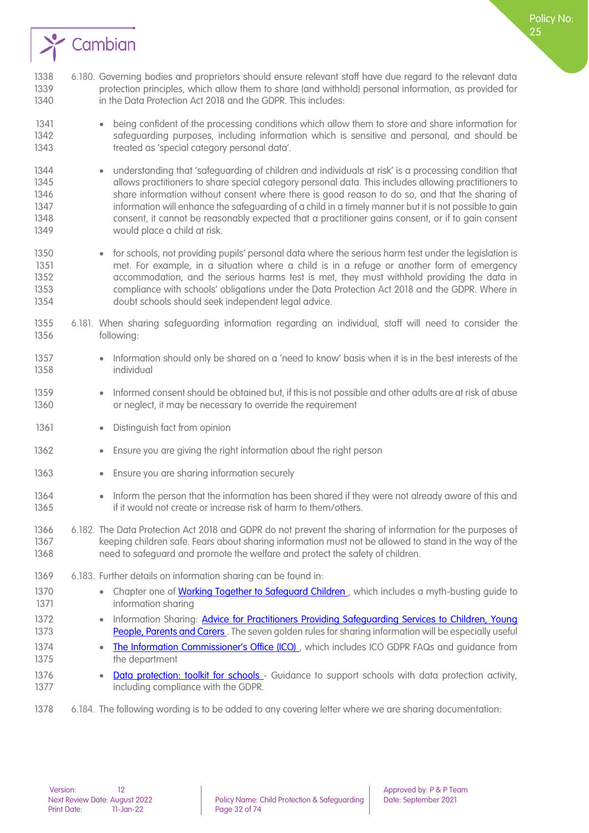

- 1338 6.180. Governing bodies and proprietors should ensure relevant staff have due regard to the relevant data 1339 protection principles, which allow them to share (and withhold) personal information, as provided for 1340 in the Data Protection Act 2018 and the GDPR. This includes:
- 1341 being confident of the processing conditions which allow them to store and share information for 1342 safeguarding purposes, including information which is sensitive and personal, and should be 1343 treated as 'special category personal data'.
- 1344 understanding that 'safeguarding of children and individuals at risk' is a processing condition that 1345 allows practitioners to share special category personal data. This includes allowing practitioners to 1346 share information without consent where there is good reason to do so, and that the sharing of 1347 information will enhance the safeguarding of a child in a timely manner but it is not possible to gain 1348 consent, it cannot be reasonably expected that a practitioner gains consent, or if to gain consent 1349 would place a child at risk.
- 1350 for schools, not providing pupils' personal data where the serious harm test under the legislation is met. For example, in a situation where a child is in a refuge or another form of emergency 1352 accommodation, and the serious harms test is met, they must withhold providing the data in 1353 compliance with schools' obligations under the Data Protection Act 2018 and the GDPR. Where in 1354 doubt schools should seek independent legal advice.
- 1355 6.181. When sharing safeguarding information regarding an individual, staff will need to consider the 1356 following:
- 1357 Information should only be shared on a 'need to know' basis when it is in the best interests of the 1358 individual
- 1359 Informed consent should be obtained but, if this is not possible and other adults are at risk of abuse 1360 or neglect, it may be necessary to override the requirement
- 1361 Distinguish fact from opinion
- 1362 Ensure you are giving the right information about the right person
- 1363 Ensure you are sharing information securely
- 1364 Inform the person that the information has been shared if they were not already aware of this and 1365 if it would not create or increase risk of harm to them/others.
- 1366 6.182. The Data Protection Act 2018 and GDPR do not prevent the sharing of information for the purposes of 1367 keeping children safe. Fears about sharing information must not be allowed to stand in the way of the 1368 need to safeguard and promote the welfare and protect the safety of children.
- 1369 6.183. Further details on information sharing can be found in:
- 1370 Chapter one of Working Together to Safeguard Children, which includes a myth-busting quide to 1371 **information sharing**
- 1372 Information Sharing: Advice for Practitioners Providing Safeguarding Services to Children, Young 1373 People, Parents and Carers. The seven golden rules for sharing information will be especially useful
- 1374 The Information Commissioner's Office (ICO), which includes ICO GDPR FAQs and quidance from 1375 the department
- 1376 [Data protection: toolkit for schools -](https://assets.publishing.service.gov.uk/government/uploads/system/uploads/attachment_data/file/747620/Data_Protection_Toolkit_for_Schools_OpenBeta.pdf) Guidance to support schools with data protection activity, 1377 **including compliance with the GDPR.**
- 1378 6.184. The following wording is to be added to any covering letter where we are sharing documentation: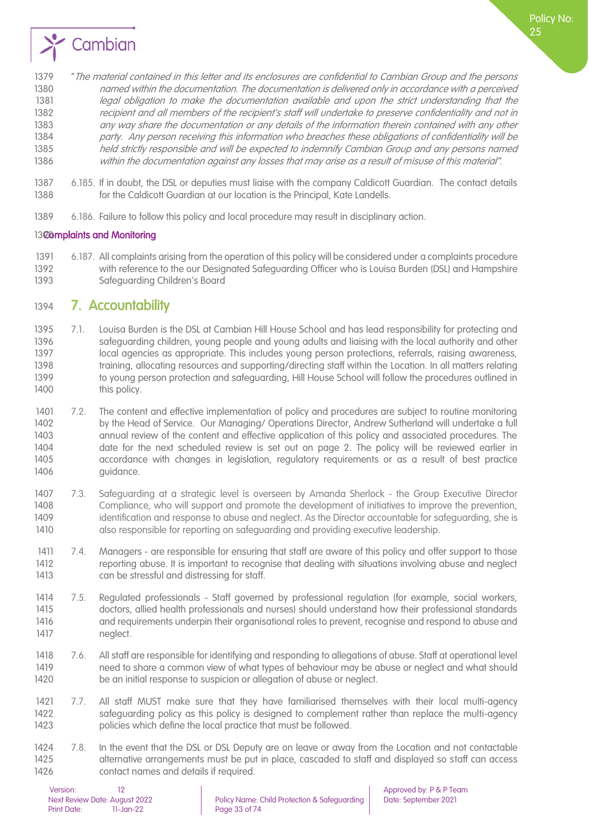

- 1379 "The material contained in this letter and its enclosures are confidential to Cambian Group and the persons 1380 named within the documentation. The documentation is delivered only in accordance with a perceived 1381 legal obligation to make the documentation available and upon the strict understanding that the 1382 recipient and all members of the recipient's staff will undertake to preserve confidentiality and not in 1383 any way share the documentation or any details of the information therein contained with any other 1384 party. Any person receiving this information who breaches these obligations of confidentiality will be 1385 held strictly responsible and will be expected to indemnify Cambian Group and any persons named 1386 within the documentation against any losses that may arise as a result of misuse of this material".
- 1387 6.185. If in doubt, the DSL or deputies must ligise with the company Caldicott Guardian. The contact details 1388 for the Caldicott Guardian at our location is the Principal, Kate Landells.
- 1389 6.186. Failure to follow this policy and local procedure may result in disciplinary action.

#### <span id="page-32-0"></span>1300mplaints and Monitoring

1391 6.187. All complaints arising from the operation of this policy will be considered under a complaints procedure 1392 with reference to the our Designated Safeguarding Officer who is Louisa Burden (DSL) and Hampshire 1393 Safeguarding Children's Board

## <span id="page-32-1"></span>1394 7. Accountability

- 1395 7.1. Louisa Burden is the DSL at Cambian Hill House School and has lead responsibility for protecting and 1396 safeguarding children, young people and young adults and liaising with the local authority and other 1397 local agencies as appropriate. This includes young person protections, referrals, raising awareness, 1398 training, allocating resources and supporting/directing staff within the Location. In all matters relating 1399 to young person protection and safeguarding, Hill House School will follow the procedures outlined in 1400 this policy.
- 1401 7.2. The content and effective implementation of policy and procedures are subject to routine monitoring 1402 by the Head of Service. Our Managing/ Operations Director, Andrew Sutherland will undertake a full 1403 annual review of the content and effective application of this policy and associated procedures. The 1404 date for the next scheduled review is set out on page 2. The policy will be reviewed earlier in<br>1405 accordance with changes in legislation, regulatory requirements or as a result of best practice accordance with changes in legislation, regulatory requirements or as a result of best practice 1406 quidance.
- 1407 7.3. Safeguarding at a strategic level is overseen by Amanda Sherlock the Group Executive Director 1408 Compliance, who will support and promote the development of initiatives to improve the prevention, 1409 identification and response to abuse and neglect. As the Director accountable for safeguarding, she is 1410 also responsible for reporting on safeguarding and providing executive leadership.
- 1411 7.4. Managers are responsible for ensuring that staff are aware of this policy and offer support to those 1412 reporting abuse. It is important to recognise that dealing with situations involving abuse and neglect 1413 can be stressful and distressing for staff.
- 1414 7.5. Regulated professionals Staff governed by professional regulation (for example, social workers, 1415 doctors, allied health professionals and nurses) should understand how their professional standards 1416 and requirements underpin their organisational roles to prevent, recognise and respond to abuse and 1417 neglect.
- 1418 7.6. All staff are responsible for identifying and responding to allegations of abuse. Staff at operational level 1419 need to share a common view of what types of behaviour may be abuse or neglect and what should 1420 be an initial response to suspicion or allegation of abuse or neglect.
- 1421 7.7. All staff MUST make sure that they have familiarised themselves with their local multi-agency 1422 safeguarding policy as this policy is designed to complement rather than replace the multi-agency 1423 policies which define the local practice that must be followed.
- 1424 7.8. In the event that the DSL or DSL Deputy are on leave or away from the Location and not contactable 1425 alternative arrangements must be put in place, cascaded to staff and displayed so staff can access 1426 contact names and details if required.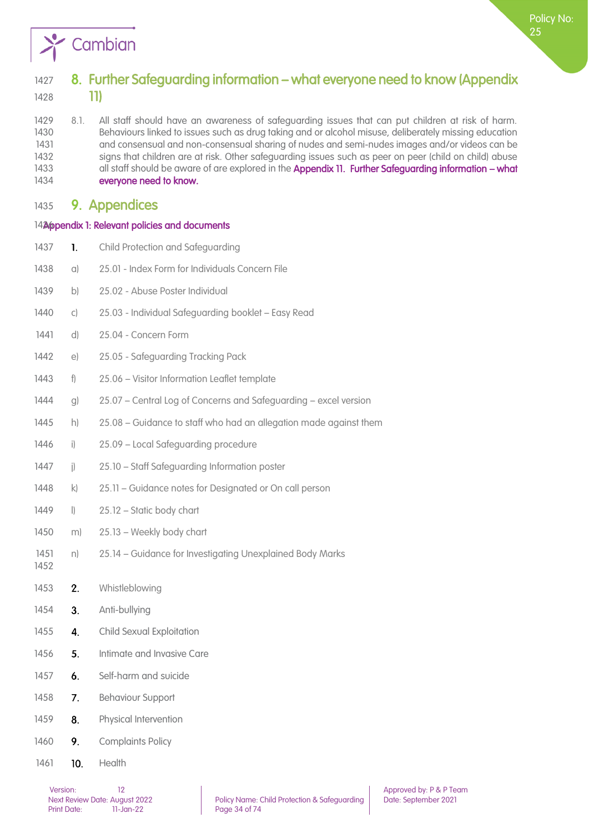

# <span id="page-33-0"></span>1427 8. Further Safeguarding information – what everyone need to know (Appendix 1428 11)

 8.1. All staff should have an awareness of safeguarding issues that can put children at risk of harm. Behaviours linked to issues such as drug taking and or alcohol misuse, deliberately missing education and consensual and non-consensual sharing of nudes and semi-nudes images and/or videos can be 1432 signs that children are at risk. Other safeguarding issues such as peer on peer (child on child) abuse 1433 all staff should be aware of are explored in the Appendix 11. Further Safeguarding information – what everyone need to know.

### <span id="page-33-1"></span>1435 9. Appendices

#### <span id="page-33-2"></span>1426 pendix 1: Relevant policies and documents

- 1437 **1.** Child Protection and Safeguarding
- 1438 a) 25.01 Index Form for Individuals Concern File
- 1439 b) 25.02 Abuse Poster Individual
- 1440 c) 25.03 Individual Safeguarding booklet Easy Read
- 1441 d) 25.04 Concern Form
- 1442 e) 25.05 Safeguarding Tracking Pack
- 1443 f) 25.06 Visitor Information Leaflet template
- 1444 g) 25.07 Central Log of Concerns and Safeguarding excel version
- 1445 h) 25.08 Guidance to staff who had an allegation made against them
- 1446 i) 25.09 Local Safeguarding procedure
- 1447 i) 25.10 Staff Safeguarding Information poster
- 1448 k) 25.11 Guidance notes for Designated or On call person
- 1449 | 25.12 Static body chart
- 1450 m) 25.13 Weekly body chart
- 1451 n) 25.14 Guidance for Investigating Unexplained Body Marks
- 1453 **2.** Whistleblowing
- 1454 **3.** Anti-bullying

- 1455 **4.** Child Sexual Exploitation
- 1456 **5.** Intimate and Invasive Care
- 1457 **6.** Self-harm and suicide
- 1458 7. Behaviour Support
- 1459 **8.** Physical Intervention
- 1460 9. Complaints Policy
- 1461 **10.** Health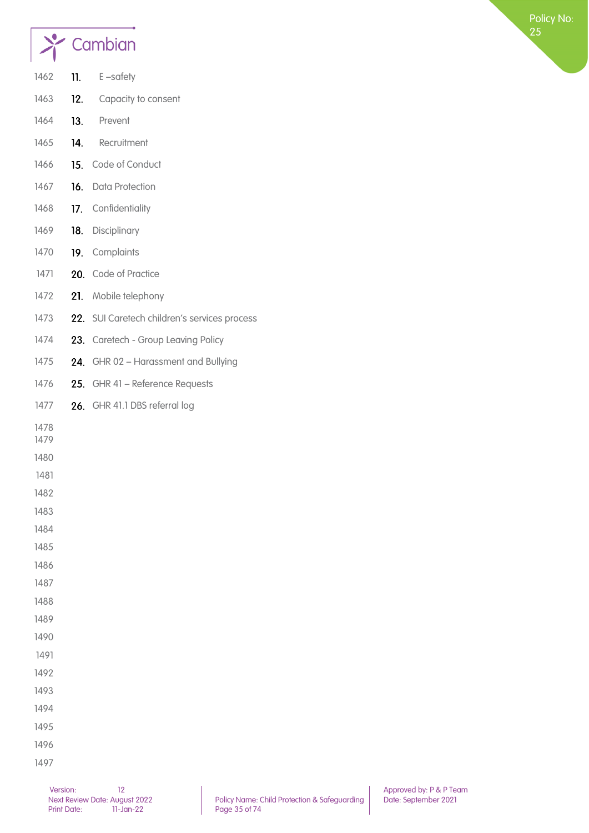

| 1462         | 11. | E-safety                                     |
|--------------|-----|----------------------------------------------|
| 1463         | 12. | Capacity to consent                          |
| 1464         | 13. | Prevent                                      |
| 1465         | 14. | Recruitment                                  |
| 1466         | 15. | Code of Conduct                              |
| 1467         |     | 16. Data Protection                          |
| 1468         |     | 17. Confidentiality                          |
| 1469         | 18. | Disciplinary                                 |
| 1470         |     | 19. Complaints                               |
| 1471         |     | 20. Code of Practice                         |
| 1472         | 21. | Mobile telephony                             |
| 1473         |     | 22. SUI Caretech children's services process |
| 1474         | 23. | <b>Caretech - Group Leaving Policy</b>       |
| 1475         |     | 24. GHR 02 - Harassment and Bullying         |
| 1476         |     | 25. GHR 41 - Reference Requests              |
| 1477         |     | 26. GHR 41.1 DBS referral log                |
| 1478         |     |                                              |
| 1479         |     |                                              |
| 1480         |     |                                              |
| 1481         |     |                                              |
| 1482         |     |                                              |
| 1483         |     |                                              |
| 1484         |     |                                              |
| 1485<br>1486 |     |                                              |
|              |     |                                              |
| 1487<br>1488 |     |                                              |
| 1489         |     |                                              |
| 1490         |     |                                              |
| 1491         |     |                                              |
| 1492         |     |                                              |
| 1493         |     |                                              |
| 1494         |     |                                              |
|              |     |                                              |
| 1495         |     |                                              |
| 1496         |     |                                              |
| 1497         |     |                                              |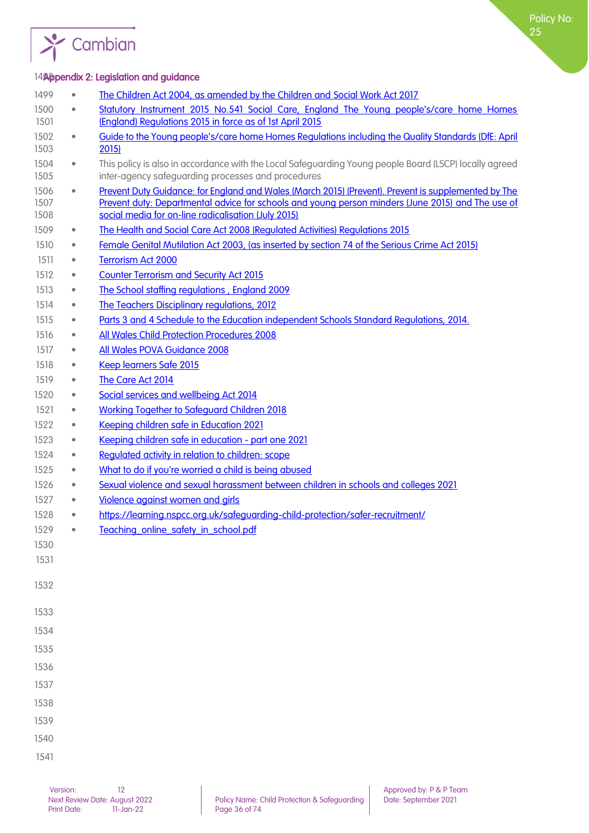

#### <span id="page-35-0"></span>14% appendix 2: Legislation and guidance

<span id="page-35-1"></span>

| 1499                 | $\bullet$ | The Children Act 2004, as amended by the Children and Social Work Act 2017                                                                                                                                                                                      |
|----------------------|-----------|-----------------------------------------------------------------------------------------------------------------------------------------------------------------------------------------------------------------------------------------------------------------|
| 1500<br>1501         | $\bullet$ | Statutory Instrument 2015 No.541 Social Care, England The Young people's/care home Homes<br>(England) Regulations 2015 in force as of 1st April 2015                                                                                                            |
| 1502<br>1503         | $\bullet$ | Guide to the Young people's/care home Homes Regulations including the Quality Standards (DfE: April<br>2015                                                                                                                                                     |
| 1504<br>1505         | $\bullet$ | This policy is also in accordance with the Local Safeguarding Young people Board (LSCP) locally agreed<br>inter-agency safeguarding processes and procedures                                                                                                    |
| 1506<br>1507<br>1508 | $\bullet$ | Prevent Duty Guidance: for England and Wales (March 2015) (Prevent). Prevent is supplemented by The<br>Prevent duty: Departmental advice for schools and young person minders (June 2015) and The use of<br>social media for on-line radicalisation (July 2015) |
| 1509                 | $\bullet$ | The Health and Social Care Act 2008 (Regulated Activities) Regulations 2015                                                                                                                                                                                     |
| 1510                 | $\bullet$ | Female Genital Mutilation Act 2003, (as inserted by section 74 of the Serious Crime Act 2015)                                                                                                                                                                   |
| 1511                 | $\bullet$ | <b>Terrorism Act 2000</b>                                                                                                                                                                                                                                       |
| 1512                 | $\bullet$ | <b>Counter Terrorism and Security Act 2015</b>                                                                                                                                                                                                                  |
| 1513                 | $\bullet$ | The School staffing regulations, England 2009                                                                                                                                                                                                                   |
| 1514                 | $\bullet$ | The Teachers Disciplinary regulations, 2012                                                                                                                                                                                                                     |
| 1515                 | $\bullet$ | Parts 3 and 4 Schedule to the Education independent Schools Standard Regulations, 2014.                                                                                                                                                                         |
| 1516                 | $\bullet$ | All Wales Child Protection Procedures 2008                                                                                                                                                                                                                      |
| 1517                 | $\bullet$ | All Wales POVA Guidance 2008                                                                                                                                                                                                                                    |
| 1518                 | $\bullet$ | Keep learners Safe 2015                                                                                                                                                                                                                                         |
| 1519                 | ۰         | The Care Act 2014                                                                                                                                                                                                                                               |
| 1520                 | $\bullet$ | Social services and wellbeing Act 2014                                                                                                                                                                                                                          |
| 1521                 | $\bullet$ | <b>Working Together to Safeguard Children 2018</b>                                                                                                                                                                                                              |
| 1522                 | $\bullet$ | Keeping children safe in Education 2021                                                                                                                                                                                                                         |
| 1523                 | $\bullet$ | Keeping children safe in education - part one 2021                                                                                                                                                                                                              |
| 1524                 | $\bullet$ | Regulated activity in relation to children: scope                                                                                                                                                                                                               |
| 1525                 | $\bullet$ | What to do if you're worried a child is being abused                                                                                                                                                                                                            |
| 1526                 | ۰         | Sexual violence and sexual harassment between children in schools and colleges 2021                                                                                                                                                                             |
| 1527                 | $\bullet$ | Violence against women and girls                                                                                                                                                                                                                                |
| 1528                 |           | https://learning.nspcc.org.uk/safeguarding-child-protection/safer-recruitment/                                                                                                                                                                                  |
| 1529                 |           | Teaching online safety in school.pdf                                                                                                                                                                                                                            |
| 1530                 |           |                                                                                                                                                                                                                                                                 |
| 1531                 |           |                                                                                                                                                                                                                                                                 |
| 1532                 |           |                                                                                                                                                                                                                                                                 |
| 1533                 |           |                                                                                                                                                                                                                                                                 |
| 1534                 |           |                                                                                                                                                                                                                                                                 |
| 1535                 |           |                                                                                                                                                                                                                                                                 |
| 1536                 |           |                                                                                                                                                                                                                                                                 |
| 1537                 |           |                                                                                                                                                                                                                                                                 |
| 1538                 |           |                                                                                                                                                                                                                                                                 |
| 1539                 |           |                                                                                                                                                                                                                                                                 |
| 1540                 |           |                                                                                                                                                                                                                                                                 |
| 1541                 |           |                                                                                                                                                                                                                                                                 |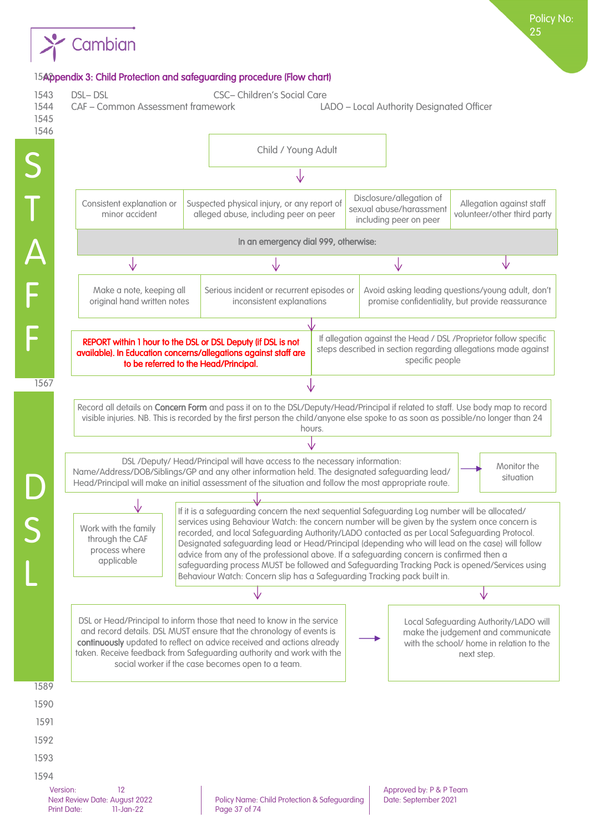

### 15Appendix 3: Child Protection and safeguarding procedure (Flow chart)

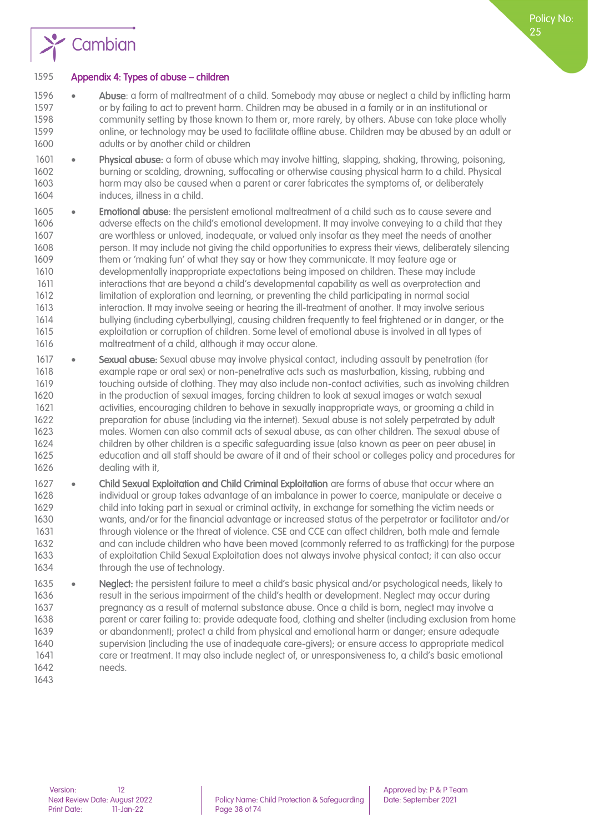

#### Appendix 4: Types of abuse – children

- 1596 Abuse: a form of maltreatment of a child. Somebody may abuse or neglect a child by inflicting harm or by failing to act to prevent harm. Children may be abused in a family or in an institutional or community setting by those known to them or, more rarely, by others. Abuse can take place wholly online, or technology may be used to facilitate offline abuse. Children may be abused by an adult or 1600 adults or by another child or children
- 1601 Physical abuse: a form of abuse which may involve hitting, slapping, shaking, throwing, poisoning, burning or scalding, drowning, suffocating or otherwise causing physical harm to a child. Physical harm may also be caused when a parent or carer fabricates the symptoms of, or deliberately induces, illness in a child.
- 1605 Emotional abuse: the persistent emotional maltreatment of a child such as to cause severe and 1606 adverse effects on the child's emotional development. It may involve conveying to a child that they are worthless or unloved, inadequate, or valued only insofar as they meet the needs of another person. It may include not giving the child opportunities to express their views, deliberately silencing them or 'making fun' of what they say or how they communicate. It may feature age or developmentally inappropriate expectations being imposed on children. These may include interactions that are beyond a child's developmental capability as well as overprotection and limitation of exploration and learning, or preventing the child participating in normal social interaction. It may involve seeing or hearing the ill-treatment of another. It may involve serious bullying (including cyberbullying), causing children frequently to feel frightened or in danger, or the exploitation or corruption of children. Some level of emotional abuse is involved in all types of maltreatment of a child, although it may occur alone.
- 1617 Sexual abuse: Sexual abuse may involve physical contact, including assault by penetration (for example rape or oral sex) or non-penetrative acts such as masturbation, kissing, rubbing and touching outside of clothing. They may also include non-contact activities, such as involving children in the production of sexual images, forcing children to look at sexual images or watch sexual activities, encouraging children to behave in sexually inappropriate ways, or grooming a child in preparation for abuse (including via the internet). Sexual abuse is not solely perpetrated by adult males. Women can also commit acts of sexual abuse, as can other children. The sexual abuse of children by other children is a specific safeguarding issue (also known as peer on peer abuse) in education and all staff should be aware of it and of their school or colleges policy and procedures for dealing with it,
- 1627 Child Sexual Exploitation and Child Criminal Exploitation are forms of abuse that occur where an individual or group takes advantage of an imbalance in power to coerce, manipulate or deceive a child into taking part in sexual or criminal activity, in exchange for something the victim needs or wants, and/or for the financial advantage or increased status of the perpetrator or facilitator and/or through violence or the threat of violence. CSE and CCE can affect children, both male and female and can include children who have been moved (commonly referred to as trafficking) for the purpose of exploitation Child Sexual Exploitation does not always involve physical contact; it can also occur 1634 through the use of technology.
- 1635 Neglect: the persistent failure to meet a child's basic physical and/or psychological needs, likely to result in the serious impairment of the child's health or development. Neglect may occur during pregnancy as a result of maternal substance abuse. Once a child is born, neglect may involve a parent or carer failing to: provide adequate food, clothing and shelter (including exclusion from home or abandonment); protect a child from physical and emotional harm or danger; ensure adequate supervision (including the use of inadequate care-givers); or ensure access to appropriate medical care or treatment. It may also include neglect of, or unresponsiveness to, a child's basic emotional needs.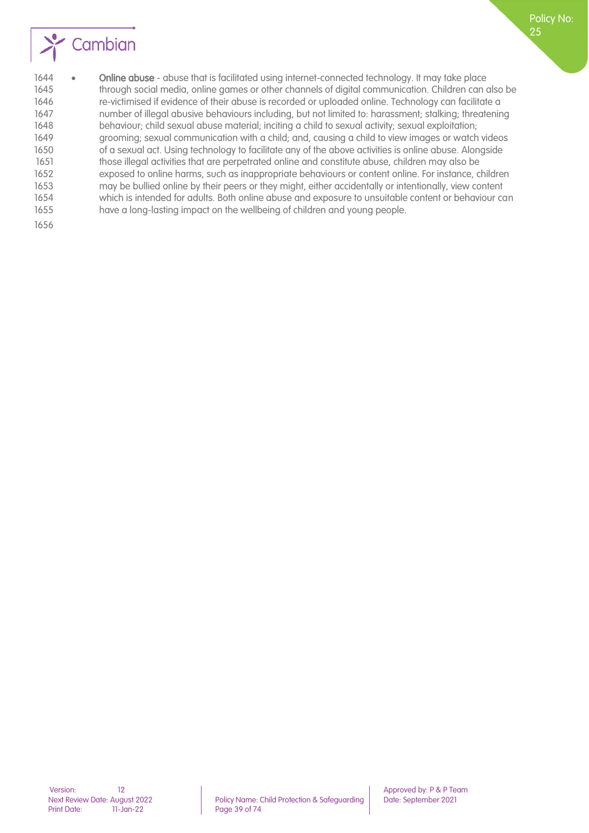

1644 • Online abuse - abuse that is facilitated using internet-connected technology. It may take place through social media, online games or other channels of digital communication. Children can also be re-victimised if evidence of their abuse is recorded or uploaded online. Technology can facilitate a number of illegal abusive behaviours including, but not limited to: harassment; stalking; threatening behaviour; child sexual abuse material; inciting a child to sexual activity; sexual exploitation; grooming; sexual communication with a child; and, causing a child to view images or watch videos of a sexual act. Using technology to facilitate any of the above activities is online abuse. Alongside those illegal activities that are perpetrated online and constitute abuse, children may also be exposed to online harms, such as inappropriate behaviours or content online. For instance, children may be bullied online by their peers or they might, either accidentally or intentionally, view content which is intended for adults. Both online abuse and exposure to unsuitable content or behaviour can have a long-lasting impact on the wellbeing of children and young people.

Policy No: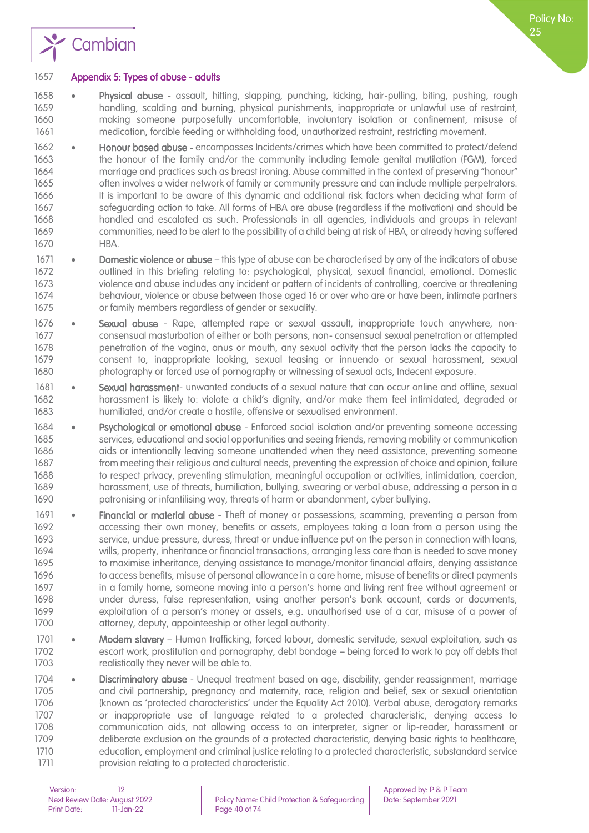

#### Appendix 5: Types of abuse - adults

- Physical abuse assault, hitting, slapping, punching, kicking, hair-pulling, biting, pushing, rough handling, scalding and burning, physical punishments, inappropriate or unlawful use of restraint, making someone purposefully uncomfortable, involuntary isolation or confinement, misuse of medication, forcible feeding or withholding food, unauthorized restraint, restricting movement.
- Honour based abuse encompasses Incidents/crimes which have been committed to protect/defend the honour of the family and/or the community including female genital mutilation (FGM), forced marriage and practices such as breast ironing. Abuse committed in the context of preserving "honour" often involves a wider network of family or community pressure and can include multiple perpetrators. It is important to be aware of this dynamic and additional risk factors when deciding what form of safeguarding action to take. All forms of HBA are abuse (regardless if the motivation) and should be handled and escalated as such. Professionals in all agencies, individuals and groups in relevant communities, need to be alert to the possibility of a child being at risk of HBA, or already having suffered HBA.
- 1671 Domestic violence or abuse this type of abuse can be characterised by any of the indicators of abuse outlined in this briefing relating to: psychological, physical, sexual financial, emotional. Domestic violence and abuse includes any incident or pattern of incidents of controlling, coercive or threatening behaviour, violence or abuse between those aged 16 or over who are or have been, intimate partners or family members regardless of gender or sexuality.
- Sexual abuse Rape, attempted rape or sexual assault, inappropriate touch anywhere, non- consensual masturbation of either or both persons, non- consensual sexual penetration or attempted penetration of the vagina, anus or mouth, any sexual activity that the person lacks the capacity to consent to, inappropriate looking, sexual teasing or innuendo or sexual harassment, sexual photography or forced use of pornography or witnessing of sexual acts, Indecent exposure.
- 1681 Sexual harassment- unwanted conducts of a sexual nature that can occur online and offline, sexual harassment is likely to: violate a child's dignity, and/or make them feel intimidated, degraded or humiliated, and/or create a hostile, offensive or sexualised environment.
- Psychological or emotional abuse Enforced social isolation and/or preventing someone accessing services, educational and social opportunities and seeing friends, removing mobility or communication aids or intentionally leaving someone unattended when they need assistance, preventing someone from meeting their religious and cultural needs, preventing the expression of choice and opinion, failure to respect privacy, preventing stimulation, meaningful occupation or activities, intimidation, coercion, harassment, use of threats, humiliation, bullying, swearing or verbal abuse, addressing a person in a patronising or infantilising way, threats of harm or abandonment, cyber bullying.
- 1691 Financial or material abuse Theft of money or possessions, scamming, preventing a person from accessing their own money, benefits or assets, employees taking a loan from a person using the service, undue pressure, duress, threat or undue influence put on the person in connection with loans, wills, property, inheritance or financial transactions, arranging less care than is needed to save money to maximise inheritance, denying assistance to manage/monitor financial affairs, denying assistance to access benefits, misuse of personal allowance in a care home, misuse of benefits or direct payments in a family home, someone moving into a person's home and living rent free without agreement or under duress, false representation, using another person's bank account, cards or documents, exploitation of a person's money or assets, e.g. unauthorised use of a car, misuse of a power of 1700 attorney, deputy, appointeeship or other legal authority.
- 1701 Modern slavery Human trafficking, forced labour, domestic servitude, sexual exploitation, such as escort work, prostitution and pornography, debt bondage – being forced to work to pay off debts that 1703 realistically they never will be able to.
- 1704 Discriminatory abuse Unequal treatment based on age, disability, gender reassignment, marriage and civil partnership, pregnancy and maternity, race, religion and belief, sex or sexual orientation (known as 'protected characteristics' under the Equality Act 2010). Verbal abuse, derogatory remarks or inappropriate use of language related to a protected characteristic, denying access to communication aids, not allowing access to an interpreter, signer or lip-reader, harassment or deliberate exclusion on the grounds of a protected characteristic, denying basic rights to healthcare, education, employment and criminal justice relating to a protected characteristic, substandard service provision relating to a protected characteristic.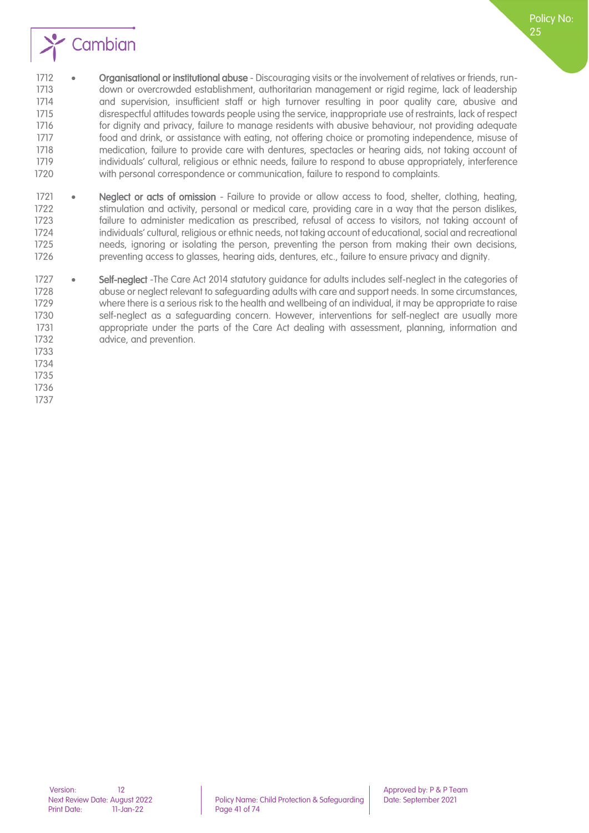

1712 • Organisational or institutional abuse - Discouraging visits or the involvement of relatives or friends, run- down or overcrowded establishment, authoritarian management or rigid regime, lack of leadership and supervision, insufficient staff or high turnover resulting in poor quality care, abusive and disrespectful attitudes towards people using the service, inappropriate use of restraints, lack of respect for dignity and privacy, failure to manage residents with abusive behaviour, not providing adequate food and drink, or assistance with eating, not offering choice or promoting independence, misuse of medication, failure to provide care with dentures, spectacles or hearing aids, not taking account of individuals' cultural, religious or ethnic needs, failure to respond to abuse appropriately, interference with personal correspondence or communication, failure to respond to complaints.

- 1721 Neglect or acts of omission Failure to provide or allow access to food, shelter, clothing, heating, stimulation and activity, personal or medical care, providing care in a way that the person dislikes, failure to administer medication as prescribed, refusal of access to visitors, not taking account of individuals' cultural, religious or ethnic needs, not taking account of educational, social and recreational needs, ignoring or isolating the person, preventing the person from making their own decisions, preventing access to glasses, hearing aids, dentures, etc., failure to ensure privacy and dignity.
- 1727 Self-neglect -The Care Act 2014 statutory auidance for adults includes self-neglect in the categories of abuse or neglect relevant to safeguarding adults with care and support needs. In some circumstances, 1729 where there is a serious risk to the health and wellbeing of an individual, it may be appropriate to raise self-neglect as a safeguarding concern. However, interventions for self-neglect are usually more appropriate under the parts of the Care Act dealing with assessment, planning, information and 1732 advice, and prevention.
- 
- 
- 

Policy No: りに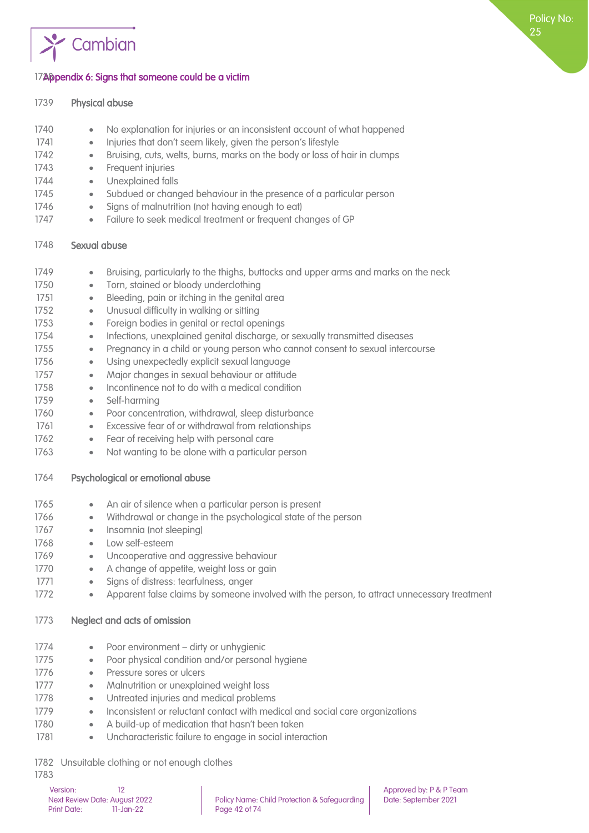

#### 17<sup>2</sup> Appendix 6: Signs that someone could be a victim

| 1739 | <b>Physical abuse</b>                                                                                    |
|------|----------------------------------------------------------------------------------------------------------|
| 1740 | No explanation for injuries or an inconsistent account of what happened<br>$\bullet$                     |
| 1741 | Injuries that don't seem likely, given the person's lifestyle<br>$\bullet$                               |
| 1742 | Bruising, cuts, welts, burns, marks on the body or loss of hair in clumps<br>$\bullet$                   |
| 1743 | Frequent injuries<br>$\bullet$                                                                           |
| 1744 | Unexplained falls<br>$\bullet$                                                                           |
| 1745 | Subdued or changed behaviour in the presence of a particular person<br>$\bullet$                         |
| 1746 | Signs of malnutrition (not having enough to eat)<br>$\bullet$                                            |
| 1747 | Failure to seek medical treatment or frequent changes of GP<br>$\bullet$                                 |
| 1748 | Sexual abuse                                                                                             |
| 1749 | Bruising, particularly to the thighs, buttocks and upper arms and marks on the neck<br>$\bullet$         |
| 1750 | Torn, stained or bloody underclothing<br>$\bullet$                                                       |
| 1751 | Bleeding, pain or itching in the genital area<br>$\bullet$                                               |
| 1752 | Unusual difficulty in walking or sitting<br>$\bullet$                                                    |
| 1753 | Foreign bodies in genital or rectal openings<br>$\bullet$                                                |
| 1754 | Infections, unexplained genital discharge, or sexually transmitted diseases<br>$\bullet$                 |
| 1755 | Pregnancy in a child or young person who cannot consent to sexual intercourse<br>$\bullet$               |
| 1756 | Using unexpectedly explicit sexual language<br>$\bullet$                                                 |
| 1757 | Major changes in sexual behaviour or attitude<br>$\bullet$                                               |
| 1758 | Incontinence not to do with a medical condition<br>$\bullet$                                             |
| 1759 | Self-harming<br>$\bullet$                                                                                |
| 1760 | Poor concentration, withdrawal, sleep disturbance<br>$\bullet$                                           |
| 1761 | Excessive fear of or withdrawal from relationships<br>$\bullet$                                          |
| 1762 | Fear of receiving help with personal care<br>$\bullet$                                                   |
| 1763 | Not wanting to be alone with a particular person<br>$\bullet$                                            |
| 1764 | Psychological or emotional abuse                                                                         |
| 1765 | An air of silence when a particular person is present<br>$\bullet$                                       |
| 1766 | Withdrawal or change in the psychological state of the person<br>$\bullet$                               |
| 1767 | Insomnia (not sleeping)<br>$\bullet$                                                                     |
| 1768 | Low self-esteem<br>$\bullet$                                                                             |
| 1769 | Uncooperative and aggressive behaviour<br>$\bullet$                                                      |
| 1770 | A change of appetite, weight loss or gain<br>۰                                                           |
| 1771 | Signs of distress: tearfulness, anger<br>$\bullet$                                                       |
| 1772 | Apparent false claims by someone involved with the person, to attract unnecessary treatment<br>$\bullet$ |
| 1773 | Neglect and acts of omission                                                                             |
| 1774 | Poor environment - dirty or unhygienic<br>$\bullet$                                                      |
| 1775 | Poor physical condition and/or personal hygiene<br>$\bullet$                                             |
| 1776 | Pressure sores or ulcers<br>$\bullet$                                                                    |
| 1777 | Malnutrition or unexplained weight loss<br>$\bullet$                                                     |
| 1778 | Untreated injuries and medical problems<br>$\bullet$                                                     |
| 1779 | Inconsistent or reluctant contact with medical and social care organizations<br>$\bullet$                |
| 1780 | A build-up of medication that hasn't been taken<br>$\bullet$                                             |
| 1781 | Uncharacteristic failure to engage in social interaction<br>$\bullet$                                    |
|      |                                                                                                          |

1782 Unsuitable clothing or not enough clothes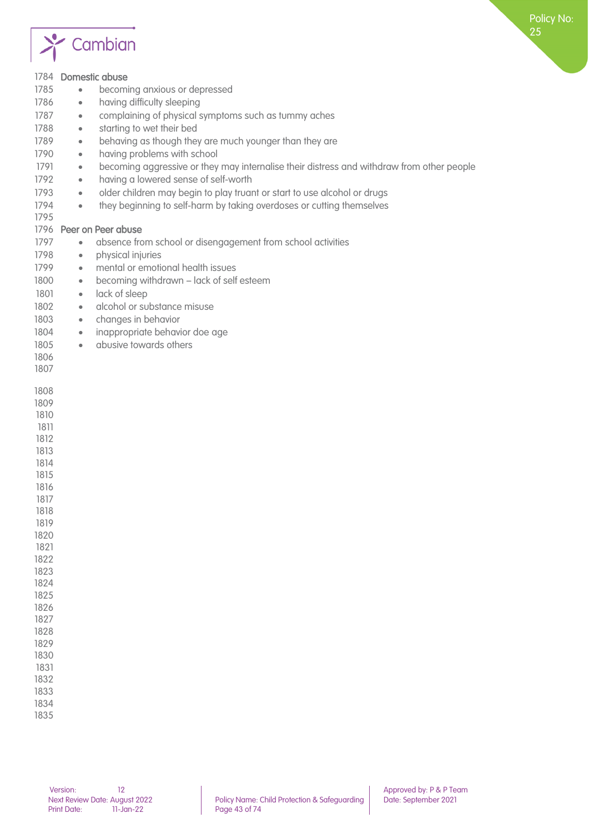

| 1785<br>1786<br>1787<br>1788<br>1789<br>1790<br>1791<br>1792<br>1793<br>1794<br>1795<br>1797<br>1798<br>1799<br>1800<br>1801<br>1802<br>1803<br>1804<br>1805<br>1806<br>1807                                                 | 1784 Domestic abuse<br>becoming anxious or depressed<br>$\bullet$<br>having difficulty sleeping<br>$\bullet$<br>complaining of physical symptoms such as tummy aches<br>$\bullet$<br>starting to wet their bed<br>$\bullet$<br>behaving as though they are much younger than they are<br>$\bullet$<br>having problems with school<br>$\bullet$<br>becoming aggressive or they may internalise their distress and withdraw from other people<br>$\bullet$<br>having a lowered sense of self-worth<br>$\bullet$<br>older children may begin to play truant or start to use alcohol or drugs<br>$\bullet$<br>they beginning to self-harm by taking overdoses or cutting themselves<br>$\bullet$<br>1796 Peer on Peer abuse<br>absence from school or disengagement from school activities<br>$\bullet$<br>physical injuries<br>$\bullet$<br>mental or emotional health issues<br>$\bullet$<br>becoming withdrawn - lack of self esteem<br>$\bullet$<br>lack of sleep<br>$\bullet$<br>alcohol or substance misuse<br>$\bullet$<br>changes in behavior<br>$\bullet$<br>inappropriate behavior doe age<br>$\bullet$<br>abusive towards others<br>$\bullet$ |
|------------------------------------------------------------------------------------------------------------------------------------------------------------------------------------------------------------------------------|------------------------------------------------------------------------------------------------------------------------------------------------------------------------------------------------------------------------------------------------------------------------------------------------------------------------------------------------------------------------------------------------------------------------------------------------------------------------------------------------------------------------------------------------------------------------------------------------------------------------------------------------------------------------------------------------------------------------------------------------------------------------------------------------------------------------------------------------------------------------------------------------------------------------------------------------------------------------------------------------------------------------------------------------------------------------------------------------------------------------------------------------------|
| 1808<br>1809<br>1810<br>1811<br>1812<br>1813<br>1814<br>1815<br>1816<br>1817<br>1818<br>1819<br>1820<br>1821<br>1822<br>1823<br>1824<br>1825<br>1826<br>1827<br>1828<br>1829<br>1830<br>1831<br>1832<br>1833<br>1834<br>1835 |                                                                                                                                                                                                                                                                                                                                                                                                                                                                                                                                                                                                                                                                                                                                                                                                                                                                                                                                                                                                                                                                                                                                                      |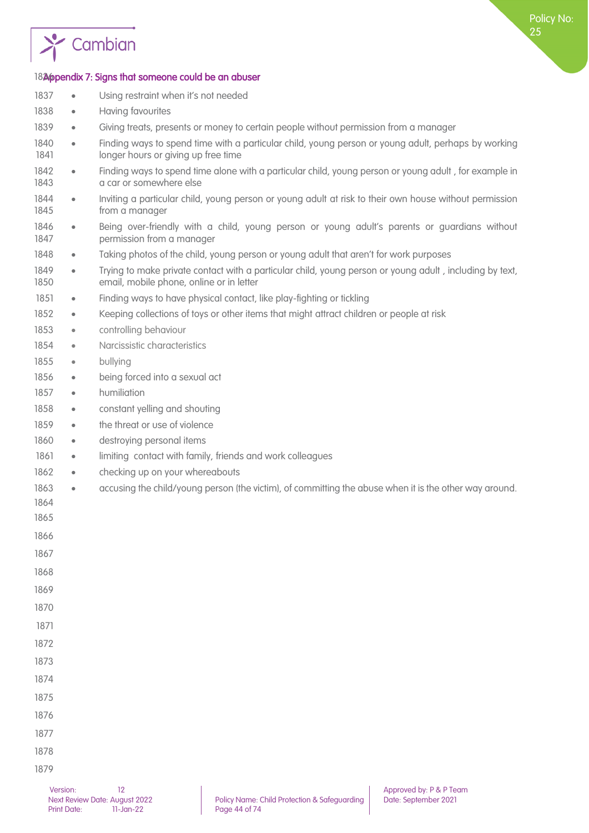

## 1826 pendix 7: Signs that someone could be an abuser

| 1837         | $\bullet$ | Using restraint when it's not needed                                                                                                                |
|--------------|-----------|-----------------------------------------------------------------------------------------------------------------------------------------------------|
| 1838         | $\bullet$ | Having favourites                                                                                                                                   |
| 1839         | $\bullet$ | Giving treats, presents or money to certain people without permission from a manager                                                                |
| 1840<br>1841 | $\bullet$ | Finding ways to spend time with a particular child, young person or young adult, perhaps by working<br>longer hours or giving up free time          |
| 1842<br>1843 | $\bullet$ | Finding ways to spend time alone with a particular child, young person or young adult, for example in<br>a car or somewhere else                    |
| 1844<br>1845 | $\bullet$ | Inviting a particular child, young person or young adult at risk to their own house without permission<br>from a manager                            |
| 1846<br>1847 | $\bullet$ | Being over-friendly with a child, young person or young adult's parents or guardians without<br>permission from a manager                           |
| 1848         | $\bullet$ | Taking photos of the child, young person or young adult that aren't for work purposes                                                               |
| 1849<br>1850 | $\bullet$ | Trying to make private contact with a particular child, young person or young adult, including by text,<br>email, mobile phone, online or in letter |
| 1851         | $\bullet$ | Finding ways to have physical contact, like play-fighting or tickling                                                                               |
| 1852         | $\bullet$ | Keeping collections of toys or other items that might attract children or people at risk                                                            |
| 1853         | $\bullet$ | controlling behaviour                                                                                                                               |
| 1854         | $\bullet$ | Narcissistic characteristics                                                                                                                        |
| 1855         | $\bullet$ | bullying                                                                                                                                            |
| 1856         | $\bullet$ | being forced into a sexual act                                                                                                                      |
| 1857         | $\bullet$ | humiliation                                                                                                                                         |
| 1858         | $\bullet$ | constant yelling and shouting                                                                                                                       |
| 1859         | $\bullet$ | the threat or use of violence                                                                                                                       |
| 1860         | $\bullet$ | destroying personal items                                                                                                                           |
| 1861         | $\bullet$ | limiting contact with family, friends and work colleagues                                                                                           |
| 1862         | $\bullet$ | checking up on your whereabouts                                                                                                                     |
| 1863         | $\bullet$ | accusing the child/young person (the victim), of committing the abuse when it is the other way around.                                              |
| 1864         |           |                                                                                                                                                     |
| 1865         |           |                                                                                                                                                     |
| 1866<br>1867 |           |                                                                                                                                                     |
|              |           |                                                                                                                                                     |
| 1868<br>1869 |           |                                                                                                                                                     |
| 1870         |           |                                                                                                                                                     |
| 1871         |           |                                                                                                                                                     |
| 1872         |           |                                                                                                                                                     |
| 1873         |           |                                                                                                                                                     |
| 1874         |           |                                                                                                                                                     |
| 1875         |           |                                                                                                                                                     |
| 1876         |           |                                                                                                                                                     |
| 1877         |           |                                                                                                                                                     |
| 1878         |           |                                                                                                                                                     |
| 1879         |           |                                                                                                                                                     |
|              |           |                                                                                                                                                     |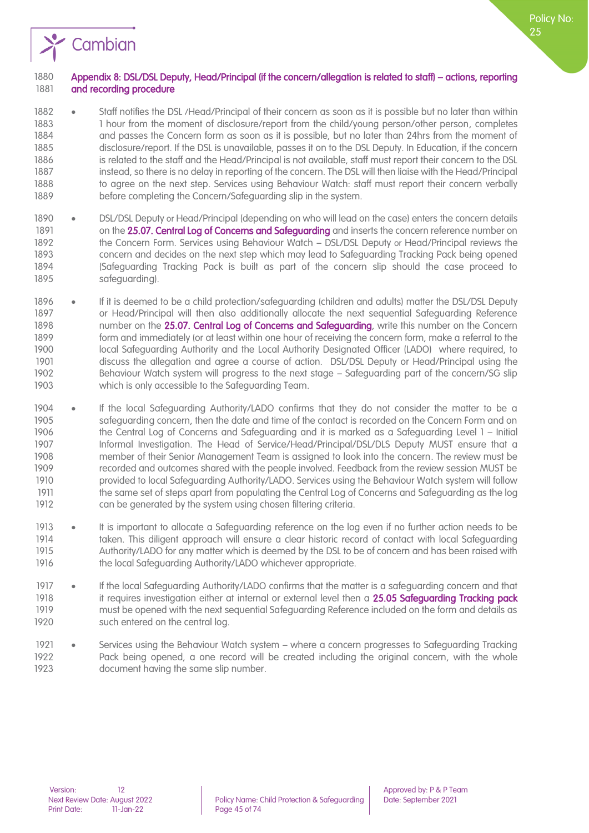

#### Appendix 8: DSL/DSL Deputy, Head/Principal (if the concern/allegation is related to staff) – actions, reporting 1881 and recording procedure

- 1882 Staff notifies the DSL /Head/Principal of their concern as soon as it is possible but no later than within 1883 1883 1 hour from the moment of disclosure/report from the child/young person/other person, completes and passes the Concern form as soon as it is possible, but no later than 24hrs from the moment of disclosure/report. If the DSL is unavailable, passes it on to the DSL Deputy. In Education, if the concern 1886 is related to the staff and the Head/Principal is not available, staff must report their concern to the DSL instead, so there is no delay in reporting of the concern. The DSL will then liaise with the Head/Principal 1888 to agree on the next step. Services using Behaviour Watch: staff must report their concern verbally before completing the Concern/Safeguarding slip in the system.
- DSL/DSL Deputy or Head/Principal (depending on who will lead on the case) enters the concern details 1891 on the 25.07. Central Log of Concerns and Safeguarding and inserts the concern reference number on 1892 the Concern Form. Services using Behaviour Watch – DSL/DSL Deputy or Head/Principal reviews the concern and decides on the next step which may lead to Safeguarding Tracking Pack being opened (Safeguarding Tracking Pack is built as part of the concern slip should the case proceed to safeguarding).
- 1896 If it is deemed to be a child protection/safeguarding (children and adults) matter the DSL/DSL Deputy or Head/Principal will then also additionally allocate the next sequential Safeguarding Reference 1898 number on the 25.07. Central Log of Concerns and Safeguarding, write this number on the Concern form and immediately (or at least within one hour of receiving the concern form, make a referral to the local Safeguarding Authority and the Local Authority Designated Officer (LADO) where required, to discuss the allegation and agree a course of action. DSL/DSL Deputy or Head/Principal using the Behaviour Watch system will progress to the next stage – Safeguarding part of the concern/SG slip which is only accessible to the Safeguarding Team.
- If the local Safeguarding Authority/LADO confirms that they do not consider the matter to be a safeguarding concern, then the date and time of the contact is recorded on the Concern Form and on the Central Log of Concerns and Safeguarding and it is marked as a Safeguarding Level 1 – Initial Informal Investigation. The Head of Service/Head/Principal/DSL/DLS Deputy MUST ensure that a member of their Senior Management Team is assigned to look into the concern. The review must be recorded and outcomes shared with the people involved. Feedback from the review session MUST be provided to local Safeguarding Authority/LADO. Services using the Behaviour Watch system will follow 1911 the same set of steps apart from populating the Central Log of Concerns and Safeguarding as the log can be generated by the system using chosen filtering criteria.
- It is important to allocate a Safeguarding reference on the log even if no further action needs to be taken. This diligent approach will ensure a clear historic record of contact with local Safeguarding Authority/LADO for any matter which is deemed by the DSL to be of concern and has been raised with the local Safeguarding Authority/LADO whichever appropriate.
- If the local Safeguarding Authority/LADO confirms that the matter is a safeguarding concern and that 1918 it requires investigation either at internal or external level then a 25.05 Safeguarding Tracking pack must be opened with the next sequential Safeguarding Reference included on the form and details as 1920 such entered on the central log.
- Services using the Behaviour Watch system where a concern progresses to Safeguarding Tracking Pack being opened, a one record will be created including the original concern, with the whole document having the same slip number.

Policy No: りに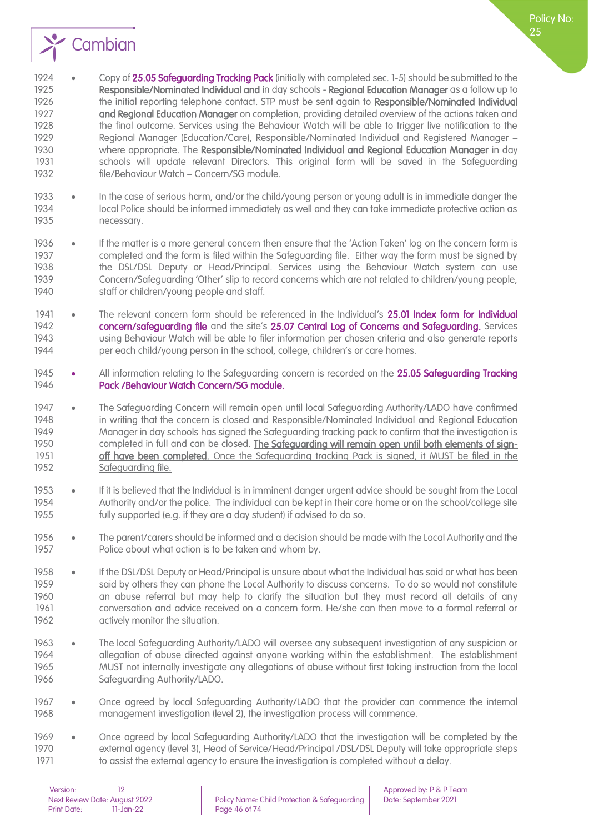

Policy No:

 file/Behaviour Watch – Concern/SG module. • In the case of serious harm, and/or the child/young person or young adult is in immediate danger the local Police should be informed immediately as well and they can take immediate protective action as necessary.

schools will update relevant Directors. This original form will be saved in the Safeguarding

- 1936 If the matter is a more general concern then ensure that the 'Action Taken' log on the concern form is completed and the form is filed within the Safeguarding file. Either way the form must be signed by 1938 the DSL/DSL Deputy or Head/Principal. Services using the Behaviour Watch system can use Concern/Safeguarding 'Other' slip to record concerns which are not related to children/young people, staff or children/young people and staff.
- 1941 The relevant concern form should be referenced in the Individual's 25.01 Index form for Individual 1942 concern/safeguarding file and the site's 25.07 Central Log of Concerns and Safeguarding. Services using Behaviour Watch will be able to filer information per chosen criteria and also generate reports per each child/young person in the school, college, children's or care homes.
- 1945 All information relating to the Safeguarding concern is recorded on the 25.05 Safeguarding Tracking Pack /Behaviour Watch Concern/SG module.
- The Safeguarding Concern will remain open until local Safeguarding Authority/LADO have confirmed in writing that the concern is closed and Responsible/Nominated Individual and Regional Education Manager in day schools has signed the Safeguarding tracking pack to confirm that the investigation is completed in full and can be closed. The Safeguarding will remain open until both elements of sign-**off have been completed.** Once the Safeguarding tracking Pack is signed, it MUST be filed in the 1952 Safeguarding file.
- If it is believed that the Individual is in imminent danger urgent advice should be sought from the Local Authority and/or the police. The individual can be kept in their care home or on the school/college site fully supported (e.g. if they are a day student) if advised to do so.
- 1956 The parent/carers should be informed and a decision should be made with the Local Authority and the Police about what action is to be taken and whom by.
- If the DSL/DSL Deputy or Head/Principal is unsure about what the Individual has said or what has been said by others they can phone the Local Authority to discuss concerns. To do so would not constitute an abuse referral but may help to clarify the situation but they must record all details of any conversation and advice received on a concern form. He/she can then move to a formal referral or 1962 actively monitor the situation.
- 1963 The local Safeguarding Authority/LADO will oversee any subsequent investigation of any suspicion or allegation of abuse directed against anyone working within the establishment. The establishment MUST not internally investigate any allegations of abuse without first taking instruction from the local Safeguarding Authority/LADO.
- Once agreed by local Safeguarding Authority/LADO that the provider can commence the internal management investigation (level 2), the investigation process will commence.
- Once agreed by local Safeguarding Authority/LADO that the investigation will be completed by the external agency (level 3), Head of Service/Head/Principal /DSL/DSL Deputy will take appropriate steps to assist the external agency to ensure the investigation is completed without a delay.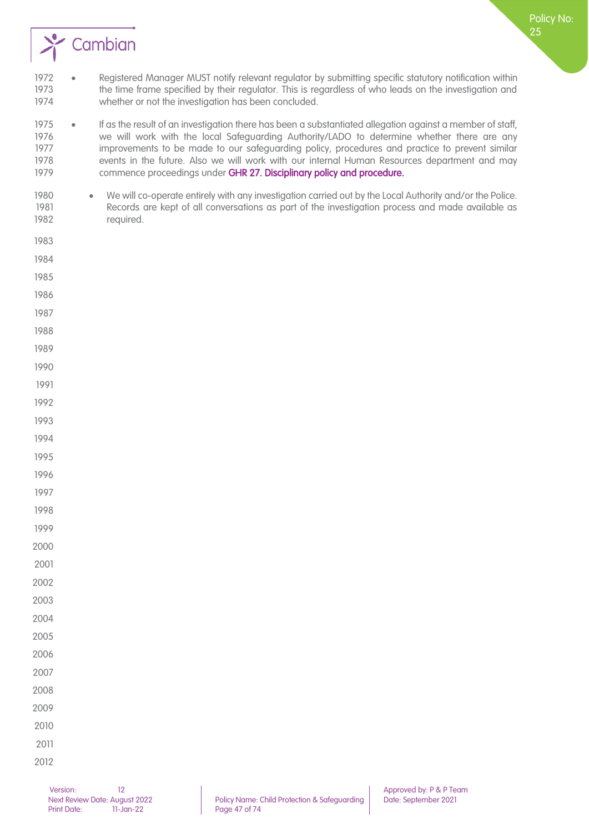

 • If as the result of an investigation there has been a substantiated allegation against a member of staff, we will work with the local Safeguarding Authority/LADO to determine whether there are any 1977 improvements to be made to our safeguarding policy, procedures and practice to prevent similar events in the future. Also we will work with our internal Human Resources department and may 1979 commence proceedings under GHR 27. Disciplinary policy and procedure.

- 1980 We will co-operate entirely with any investigation carried out by the Local Authority and/or the Police. Records are kept of all conversations as part of the investigation process and made available as required.
- 

Policy No: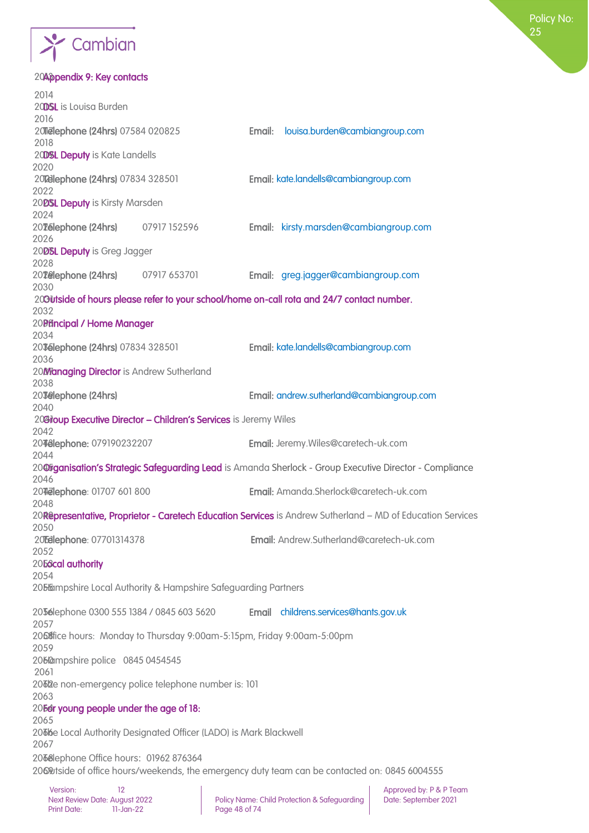

#### 20Appendix 9: Key contacts

| 2014<br>20DSL is Louisa Burden                    |                                                                        |        |                                                                                                            |
|---------------------------------------------------|------------------------------------------------------------------------|--------|------------------------------------------------------------------------------------------------------------|
| 2016                                              |                                                                        | Email: |                                                                                                            |
| 201elephone (24hrs) 07584 020825<br>2018          |                                                                        |        | louisa.burden@cambiangroup.com                                                                             |
| 20DSL Deputy is Kate Landells<br>2020             |                                                                        |        |                                                                                                            |
| 20 Zelephone (24hrs) 07834 328501                 |                                                                        |        | Email: kate.landells@cambiangroup.com                                                                      |
| 2022                                              |                                                                        |        |                                                                                                            |
| 20DSL Deputy is Kirsty Marsden<br>2024            |                                                                        |        |                                                                                                            |
| 20Telephone (24hrs)<br>2026                       | 07917 152596                                                           |        | Email: kirsty.marsden@cambiangroup.com                                                                     |
| 2008L Deputy is Greg Jagger<br>2028               |                                                                        |        |                                                                                                            |
| 20 <b>Telephone (24hrs)</b><br>2030               | 07917 653701                                                           |        | Email: greg.jagger@cambiangroup.com                                                                        |
| 2032                                              |                                                                        |        | 203 Utside of hours please refer to your school/home on-call rota and 24/7 contact number.                 |
| 20Präncipal / Home Manager<br>2034                |                                                                        |        |                                                                                                            |
| 20 Telephone (24hrs) 07834 328501<br>2036         |                                                                        |        | Email: kate.landells@cambiangroup.com                                                                      |
| 20Managing Director is Andrew Sutherland          |                                                                        |        |                                                                                                            |
| 2038<br>20 Jelephone (24hrs)                      |                                                                        |        | Email: andrew.sutherland@cambiangroup.com                                                                  |
| 2040                                              |                                                                        |        |                                                                                                            |
| 2042                                              | 20Gioup Executive Director - Children's Services is Jeremy Wiles       |        |                                                                                                            |
| 2048lephone: 079190232207                         |                                                                        |        | Email: Jeremy. Wiles@caretech-uk.com                                                                       |
| 2044<br>2046                                      |                                                                        |        | 20@Fganisation's Strategic Safeguarding Lead is Amanda Sherlock - Group Executive Director - Compliance    |
| 207 Telephone: 01707 601 800<br>2048              |                                                                        |        | Email: Amanda.Sherlock@caretech-uk.com                                                                     |
|                                                   |                                                                        |        | 20Representative, Proprietor - Caretech Education Services is Andrew Sutherland - MD of Education Services |
| 2050<br>20 Telephone: 07701314378<br>2052         |                                                                        |        | Email: Andrew.Sutherland@caretech-uk.com                                                                   |
| 20 <b><i><u>E6cal</u></i></b> authority           |                                                                        |        |                                                                                                            |
| 2054                                              | 2055 mpshire Local Authority & Hampshire Safeguarding Partners         |        |                                                                                                            |
| 2056lephone 0300 555 1384 / 0845 603 5620<br>2057 |                                                                        | Email  | childrens.services@hants.gov.uk                                                                            |
| 2059                                              | 2068fice hours: Monday to Thursday 9:00am-5:15pm, Friday 9:00am-5:00pm |        |                                                                                                            |
| 206@mpshire police 0845 0454545                   |                                                                        |        |                                                                                                            |
| 2061<br>2063                                      | 2062e non-emergency police telephone number is: 101                    |        |                                                                                                            |
| 205dr young people under the age of 18:           |                                                                        |        |                                                                                                            |
| 2065<br>2067                                      | 2066e Local Authority Designated Officer (LADO) is Mark Blackwell      |        |                                                                                                            |
| 2068lephone Office hours: 01962 876364            |                                                                        |        |                                                                                                            |
|                                                   |                                                                        |        | 2069broard of office hours/weekends, the emergency duty team can be contacted on: 0845 6004555             |
|                                                   |                                                                        |        |                                                                                                            |

Print Date: 11-Jan-22 Page 48 of 74

Next Review Date: August 2022 Policy Name: Child Protection & Safeguarding Date: September 2021

Version: 12 Approved by: P & P Team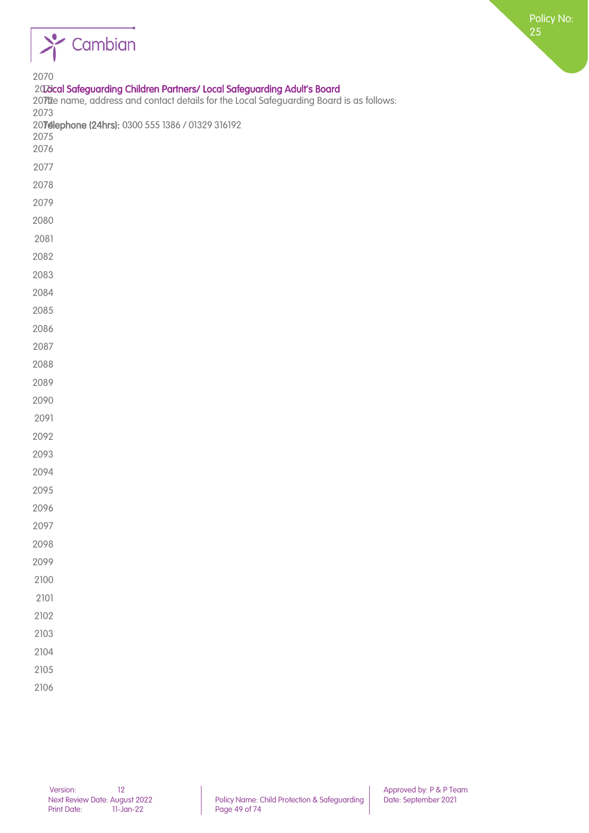

| 2070<br>20 Zidcal Safeguarding Children Partners/ Local Safeguarding Adult's Board<br>2072e name, address and contact details for the Local Safeguarding Board is as follows:<br>2073<br>20Telephone (24hrs): 0300 555 1386 / 01329 316192<br>2075<br>2076 |
|------------------------------------------------------------------------------------------------------------------------------------------------------------------------------------------------------------------------------------------------------------|
| 2077                                                                                                                                                                                                                                                       |
| 2078                                                                                                                                                                                                                                                       |
| 2079                                                                                                                                                                                                                                                       |
| 2080                                                                                                                                                                                                                                                       |
| 2081                                                                                                                                                                                                                                                       |
| 2082                                                                                                                                                                                                                                                       |
| 2083                                                                                                                                                                                                                                                       |
| 2084                                                                                                                                                                                                                                                       |
| 2085                                                                                                                                                                                                                                                       |
| 2086                                                                                                                                                                                                                                                       |
| 2087                                                                                                                                                                                                                                                       |
| 2088                                                                                                                                                                                                                                                       |
| 2089                                                                                                                                                                                                                                                       |
| 2090                                                                                                                                                                                                                                                       |
| 2091                                                                                                                                                                                                                                                       |
| 2092                                                                                                                                                                                                                                                       |
| 2093                                                                                                                                                                                                                                                       |
| 2094                                                                                                                                                                                                                                                       |
| 2095                                                                                                                                                                                                                                                       |
| 2096                                                                                                                                                                                                                                                       |
| 2097                                                                                                                                                                                                                                                       |
| 2098                                                                                                                                                                                                                                                       |
| 2099                                                                                                                                                                                                                                                       |
| 2100                                                                                                                                                                                                                                                       |
| 2101                                                                                                                                                                                                                                                       |
| 2102                                                                                                                                                                                                                                                       |
| 2103                                                                                                                                                                                                                                                       |
| 2104                                                                                                                                                                                                                                                       |
| 2105                                                                                                                                                                                                                                                       |
|                                                                                                                                                                                                                                                            |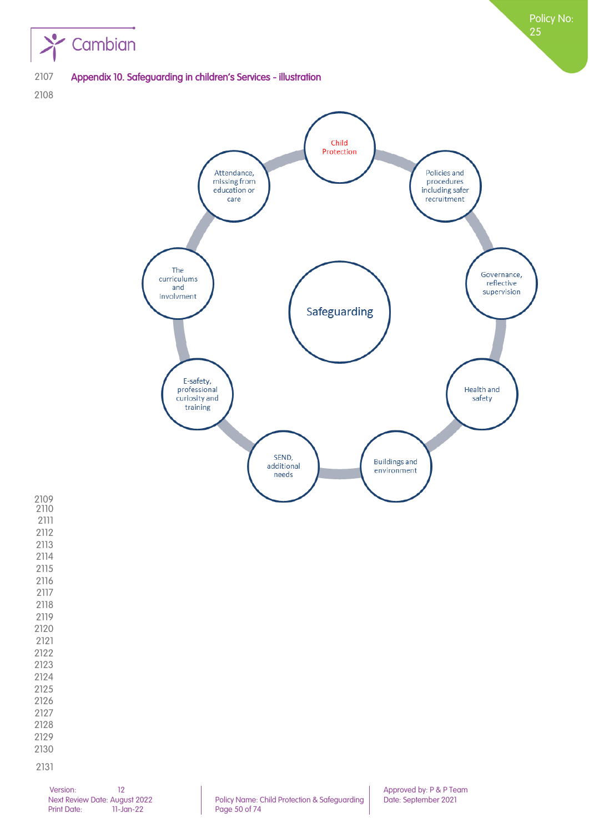

Appendix 10. Safeguarding in children's Services - illustration

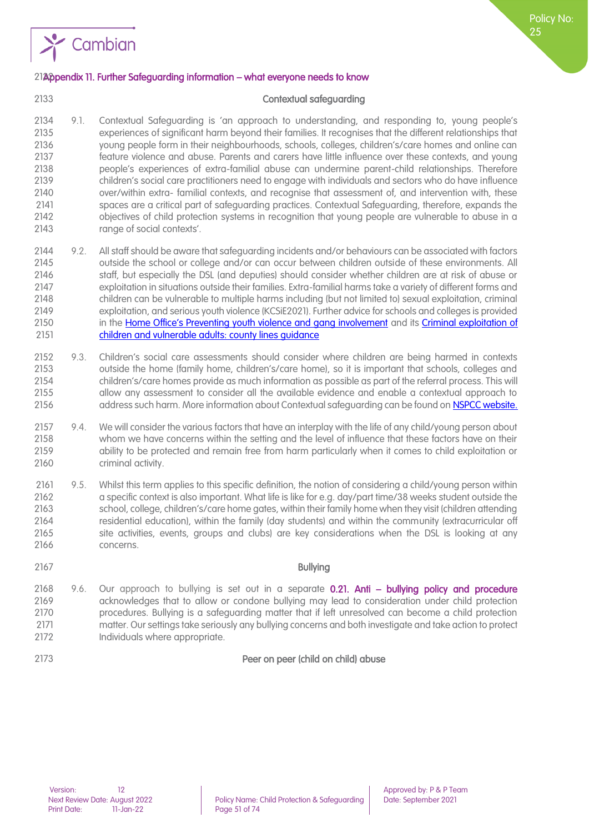

#### 2132Appendix 11. Further Safeguarding information – what everyone needs to know

#### Contextual safeguarding

- 9.1. Contextual Safeguarding is 'an approach to understanding, and responding to, young people's experiences of significant harm beyond their families. It recognises that the different relationships that young people form in their neighbourhoods, schools, colleges, children's/care homes and online can feature violence and abuse. Parents and carers have little influence over these contexts, and young people's experiences of extra-familial abuse can undermine parent-child relationships. Therefore children's social care practitioners need to engage with individuals and sectors who do have influence over/within extra- familial contexts, and recognise that assessment of, and intervention with, these spaces are a critical part of safeguarding practices. Contextual Safeguarding, therefore, expands the objectives of child protection systems in recognition that young people are vulnerable to abuse in a range of social contexts'.
- 9.2. All staff should be aware that safeguarding incidents and/or behaviours can be associated with factors outside the school or college and/or can occur between children outside of these environments. All staff, but especially the DSL (and deputies) should consider whether children are at risk of abuse or exploitation in situations outside their families. Extra-familial harms take a variety of different forms and children can be vulnerable to multiple harms including (but not limited to) sexual exploitation, criminal exploitation, and serious youth violence (KCSiE2021). Further advice for schools and colleges is provided 2150 in the [Home Office's Preventing youth violence and gang involvement](https://assets.publishing.service.gov.uk/government/uploads/system/uploads/attachment_data/file/418131/Preventing_youth_violence_and_gang_involvement_v3_March2015.pdf) and its Criminal exploitation of [children and vulnerable adults: county lines guidance](https://www.gov.uk/government/publications/criminal-exploitation-of-children-and-vulnerable-adults-county-lines/criminal-exploitation-of-children-and-vulnerable-adults-county-lines)
- 9.3. Children's social care assessments should consider where children are being harmed in contexts outside the home (family home, children's/care home), so it is important that schools, colleges and children's/care homes provide as much information as possible as part of the referral process. This will allow any assessment to consider all the available evidence and enable a contextual approach to 2156 address such harm. More information about Contextual safequarding can be found on [NSPCC website.](https://learning.nspcc.org.uk/news/2019/october/what-is-contextual-safeguarding)
- 2157 9.4. We will consider the various factors that have an interplay with the life of any child/young person about whom we have concerns within the setting and the level of influence that these factors have on their ability to be protected and remain free from harm particularly when it comes to child exploitation or criminal activity.
- 9.5. Whilst this term applies to this specific definition, the notion of considering a child/young person within a specific context is also important. What life is like for e.g. day/part time/38 weeks student outside the school, college, children's/care home gates, within their family home when they visit (children attending residential education), within the family (day students) and within the community (extracurricular off site activities, events, groups and clubs) are key considerations when the DSL is looking at any concerns.
- Bullying 2168 9.6. Our approach to bullying is set out in a separate 0.21. Anti - bullying policy and procedure acknowledges that to allow or condone bullying may lead to consideration under child protection procedures. Bullying is a safeguarding matter that if left unresolved can become a child protection matter. Our settings take seriously any bullying concerns and both investigate and take action to protect 2172 Individuals where appropriate.
- Peer on peer (child on child) abuse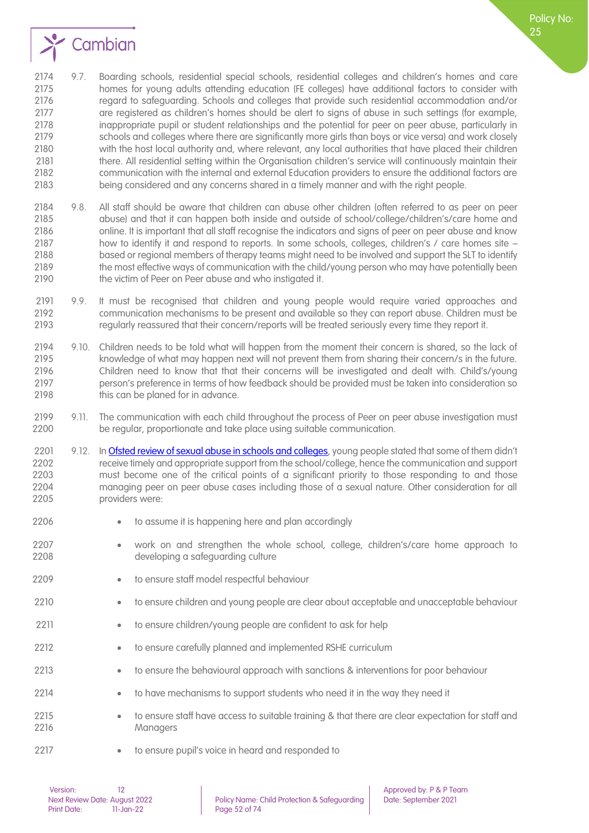

 9.7. Boarding schools, residential special schools, residential colleges and children's homes and care homes for young adults attending education (FE colleges) have additional factors to consider with 2176 regard to safeguarding. Schools and colleges that provide such residential accommodation and/or are registered as children's homes should be alert to signs of abuse in such settings (for example, inappropriate pupil or student relationships and the potential for peer on peer abuse, particularly in schools and colleges where there are significantly more girls than boys or vice versa) and work closely with the host local authority and, where relevant, any local authorities that have placed their children there. All residential setting within the Organisation children's service will continuously maintain their communication with the internal and external Education providers to ensure the additional factors are being considered and any concerns shared in a timely manner and with the right people.

- 9.8. All staff should be aware that children can abuse other children (often referred to as peer on peer abuse) and that it can happen both inside and outside of school/college/children's/care home and online. It is important that all staff recognise the indicators and signs of peer on peer abuse and know how to identify it and respond to reports. In some schools, colleges, children's / care homes site – based or regional members of therapy teams might need to be involved and support the SLT to identify the most effective ways of communication with the child/young person who may have potentially been 2190 the victim of Peer on Peer abuse and who instigated it.
- 9.9. It must be recognised that children and young people would require varied approaches and communication mechanisms to be present and available so they can report abuse. Children must be regularly reassured that their concern/reports will be treated seriously every time they report it.
- 9.10. Children needs to be told what will happen from the moment their concern is shared, so the lack of knowledge of what may happen next will not prevent them from sharing their concern/s in the future. Children need to know that that their concerns will be investigated and dealt with. Child's/young person's preference in terms of how feedback should be provided must be taken into consideration so 2198 this can be planed for in advance.
- 2199 9.11. The communication with each child throughout the process of Peer on peer abuse investigation must<br>2200 be reaular, proportionate and take place using suitable communication. be regular, proportionate and take place using suitable communication.
- 2201 9.12. In [Ofsted review of sexual abuse in schools and colleges](https://www.gov.uk/government/publications/review-of-sexual-abuse-in-schools-and-colleges), young people stated that some of them didn't receive timely and appropriate support from the school/college, hence the communication and support must become one of the critical points of a significant priority to those responding to and those managing peer on peer abuse cases including those of a sexual nature. Other consideration for all providers were:
- to assume it is happening here and plan accordingly
- work on and strengthen the whole school, college, children's/care home approach to developing a safeguarding culture
- 2209 to ensure staff model respectful behaviour
- to ensure children and young people are clear about acceptable and unacceptable behaviour
- 2211 to ensure children/young people are confident to ask for help
- to ensure carefully planned and implemented RSHE curriculum
- to ensure the behavioural approach with sanctions & interventions for poor behaviour
- to have mechanisms to support students who need it in the way they need it
- to ensure staff have access to suitable training & that there are clear expectation for staff and Managers
- 2217 to ensure pupil's voice in heard and responded to

Policy No: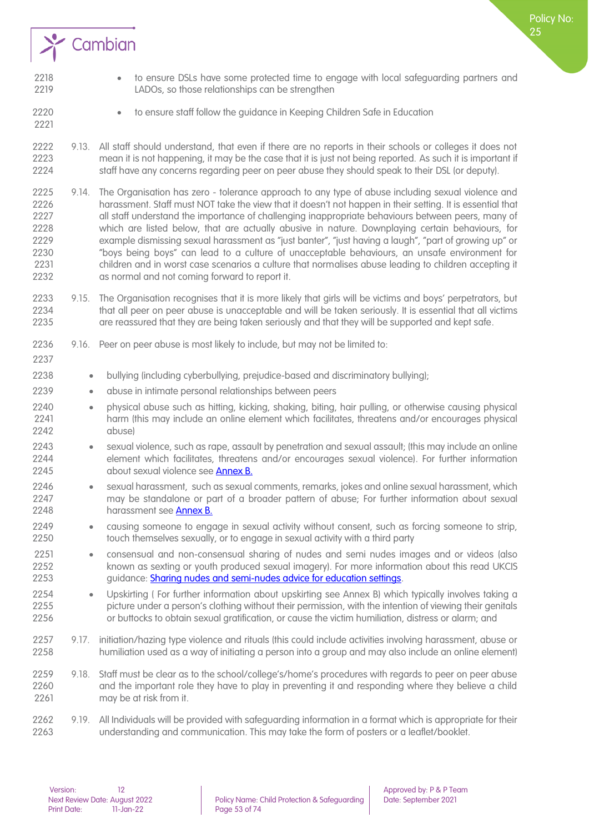

- to ensure DSLs have some protected time to engage with local safeguarding partners and LADOs, so those relationships can be strengthen
- to ensure staff follow the guidance in Keeping Children Safe in Education
- 9.13. All staff should understand, that even if there are no reports in their schools or colleges it does not mean it is not happening, it may be the case that it is just not being reported. As such it is important if staff have any concerns regarding peer on peer abuse they should speak to their DSL (or deputy).
- 2225 9.14. The Organisation has zero tolerance approach to any type of abuse including sexual violence and<br>2226 harassment. Staff must NOT take the view that it doesn't not happen in their setting. It is essential that harassment. Staff must NOT take the view that it doesn't not happen in their setting. It is essential that all staff understand the importance of challenging inappropriate behaviours between peers, many of which are listed below, that are actually abusive in nature. Downplaying certain behaviours, for example dismissing sexual harassment as "just banter", "just having a laugh", "part of growing up" or "boys being boys" can lead to a culture of unacceptable behaviours, an unsafe environment for 2231 children and in worst case scenarios a culture that normalises abuse leading to children accepting it<br>2232 as normal and not comina forward to report it. as normal and not coming forward to report it.
- 2233 9.15. The Organisation recognises that it is more likely that girls will be victims and boys' perpetrators, but<br>2234 that all peer on peer abuse is unacceptable and will be taken seriously. It is essential that all vi that all peer on peer abuse is unacceptable and will be taken seriously. It is essential that all victims are reassured that they are being taken seriously and that they will be supported and kept safe.
- 9.16. Peer on peer abuse is most likely to include, but may not be limited to:
- bullying (including cyberbullying, prejudice-based and discriminatory bullying);
- abuse in intimate personal relationships between peers
- physical abuse such as hitting, kicking, shaking, biting, hair pulling, or otherwise causing physical harm (this may include an online element which facilitates, threatens and/or encourages physical abuse)
- sexual violence, such as rape, assault by penetration and sexual assault; (this may include an online 2244 element which facilitates, threatens and/or encourages sexual violence). For further information<br>2245 about sexual violence see Annex B. about sexual violence see **Annex B.**
- sexual harassment, such as sexual comments, remarks, jokes and online sexual harassment, which may be standalone or part of a broader pattern of abuse; For further information about sexual 2248 harassment see [Annex B.](https://assets.publishing.service.gov.uk/government/uploads/system/uploads/attachment_data/file/999348/Keeping_children_safe_in_education_2021.pdf)
- causing someone to engage in sexual activity without consent, such as forcing someone to strip, touch themselves sexually, or to engage in sexual activity with a third party
- consensual and non-consensual sharing of nudes and semi nudes images and or videos (also known as sexting or youth produced sexual imagery). For more information about this read UKCIS 2253 guidance: [Sharing nudes and semi-nudes advice for education settings.](https://www.gov.uk/government/publications/sharing-nudes-and-semi-nudes-advice-for-education-settings-working-with-children-and-young-people/sharing-nudes-and-semi-nudes-how-to-respond-to-an-incident-overview)
- Upskirting ( For further information about upskirting see Annex B) which typically involves taking a picture under a person's clothing without their permission, with the intention of viewing their genitals or buttocks to obtain sexual gratification, or cause the victim humiliation, distress or alarm; and
- 9.17. initiation/hazing type violence and rituals (this could include activities involving harassment, abuse or humiliation used as a way of initiating a person into a group and may also include an online element)
- 9.18. Staff must be clear as to the school/college's/home's procedures with regards to peer on peer abuse and the important role they have to play in preventing it and responding where they believe a child may be at risk from it.
- 9.19. All Individuals will be provided with safeguarding information in a format which is appropriate for their understanding and communication. This may take the form of posters or a leaflet/booklet.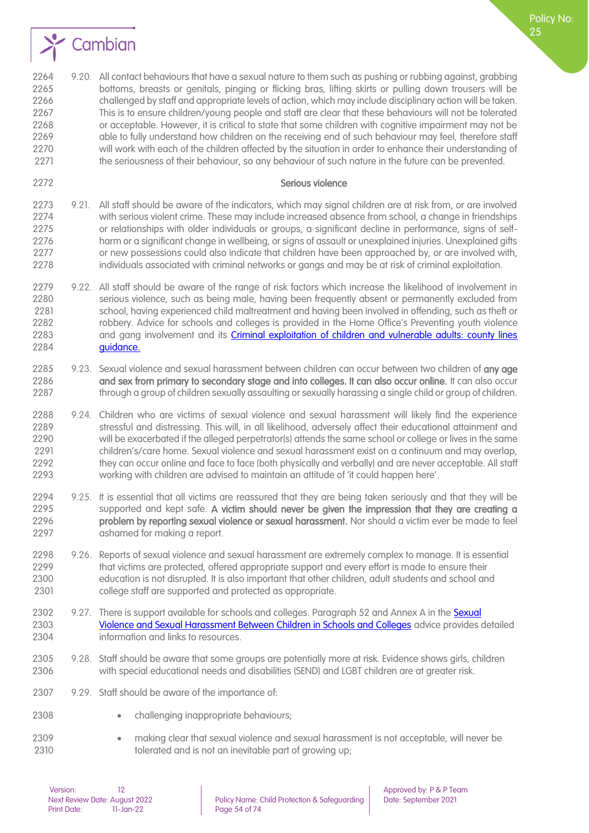

2264 9.20. All contact behaviours that have a sexual nature to them such as pushing or rubbing against, grabbing bottoms, breasts or genitals, pinging or flicking bras, lifting skirts or pulling down trousers will be challenged by staff and appropriate levels of action, which may include disciplinary action will be taken. This is to ensure children/young people and staff are clear that these behaviours will not be tolerated or acceptable. However, it is critical to state that some children with cognitive impairment may not be 2269 able to fully understand how children on the receiving end of such behaviour may feel, therefore staff will work with each of the children affected by the situation in order to enhance their understanding of the seriousness of their behaviour, so any behaviour of such nature in the future can be prevented.

#### Serious violence

Policy No:

- 9.21. All staff should be aware of the indicators, which may signal children are at risk from, or are involved with serious violent crime. These may include increased absence from school, a change in friendships or relationships with older individuals or groups, a significant decline in performance, signs of self- harm or a significant change in wellbeing, or signs of assault or unexplained injuries. Unexplained gifts or new possessions could also indicate that children have been approached by, or are involved with, individuals associated with criminal networks or gangs and may be at risk of criminal exploitation.
- 2279 9.22. All staff should be aware of the range of risk factors which increase the likelihood of involvement in serious violence, such as being male, having been frequently absent or permanently excluded from school, having experienced child maltreatment and having been involved in offending, such as theft or robbery. Advice for schools and colleges is provided in the Home Office's Preventing youth violence 2283 and gang involvement and its Criminal exploitation of children and vulnerable adults: county lines **guidance**.
- 2285 9.23. Sexual violence and sexual harassment between children can occur between two children of any age 2286 and sex from primary to secondary stage and into colleges. It can also occur online. It can also occur 2287 through a group of children sexually assaulting or sexually harassing a single child or group of children.
- 2288 9.24. Children who are victims of sexual violence and sexual harassment will likely find the experience<br>2289 stressful and distressing. This will, in all likelihood, adversely affect their educational attainment and stressful and distressing. This will, in all likelihood, adversely affect their educational attainment and will be exacerbated if the alleged perpetrator(s) attends the same school or college or lives in the same children's/care home. Sexual violence and sexual harassment exist on a continuum and may overlap, 2292 they can occur online and face to face (both physically and verbally) and are never acceptable. All staff working with children are advised to maintain an attitude of 'it could happen here'.
- 9.25. It is essential that all victims are reassured that they are being taken seriously and that they will be 2295 supported and kept safe. A victim should never be given the impression that they are creating a<br>2296 **problem by reporting sexual violence or sexual harassment**. Nor should a victim ever be made to feel problem by reporting sexual violence or sexual harassment. Nor should a victim ever be made to feel ashamed for making a report.
- 9.26. Reports of sexual violence and sexual harassment are extremely complex to manage. It is essential that victims are protected, offered appropriate support and every effort is made to ensure their education is not disrupted. It is also important that other children, adult students and school and college staff are supported and protected as appropriate.
- 2302 9.27. There is support available for schools and colleges. Paragraph 52 and Annex A in the Sexual [Violence and Sexual Harassment Between Children in Schools and Colleges](https://www.gov.uk/government/publications/sexual-violence-and-sexual-harassment-between-children-in-schools-and-colleges) advice provides detailed information and links to resources.
- 9.28. Staff should be aware that some groups are potentially more at risk. Evidence shows girls, children with special educational needs and disabilities (SEND) and LGBT children are at greater risk.
- 9.29. Staff should be aware of the importance of:
- 2308 challenging inappropriate behaviours;
- making clear that sexual violence and sexual harassment is not acceptable, will never be tolerated and is not an inevitable part of growing up;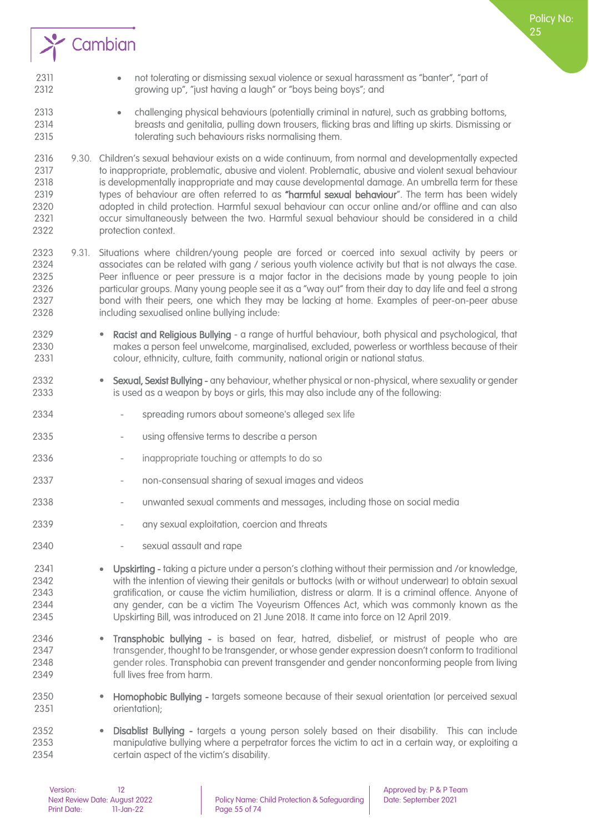

- 2311 not tolerating or dismissing sexual violence or sexual harassment as "banter", "part of growing up", "just having a laugh" or "boys being boys"; and
- challenging physical behaviours (potentially criminal in nature), such as grabbing bottoms, breasts and genitalia, pulling down trousers, flicking bras and lifting up skirts. Dismissing or tolerating such behaviours risks normalising them.
- 9.30. Children's sexual behaviour exists on a wide continuum, from normal and developmentally expected to inappropriate, problematic, abusive and violent. Problematic, abusive and violent sexual behaviour is developmentally inappropriate and may cause developmental damage. An umbrella term for these 2319 types of behaviour are often referred to as "harmful sexual behaviour". The term has been widely adopted in child protection. Harmful sexual behaviour can occur online and/or offline and can also occur simultaneously between the two. Harmful sexual behaviour should be considered in a child protection context.
- 9.31. Situations where children/young people are forced or coerced into sexual activity by peers or 2324 associates can be related with gang / serious youth violence activity but that is not always the case.<br>2325 Peer influence or peer pressure is a major factor in the decisions made by young people to join Peer influence or peer pressure is a major factor in the decisions made by young people to join particular groups. Many young people see it as a "way out" from their day to day life and feel a strong bond with their peers, one which they may be lacking at home. Examples of peer-on-peer abuse including sexualised online bullying include:
- Racist and Religious Bullying a range of hurtful behaviour, both physical and psychological, that makes a person feel unwelcome, marginalised, excluded, powerless or worthless because of their colour, ethnicity, culture, faith community, national origin or national status.
- 2332 Sexual, Sexist Bullying any behaviour, whether physical or non-physical, where sexuality or gender is used as a weapon by boys or girls, this may also include any of the following:
- 2334 spreading rumors about someone's alleged [sex life](https://en.wikipedia.org/wiki/Sex_life)
- using offensive terms to describe a person
- inappropriate touching or attempts to do so
- 2337 non-consensual sharing of sexual images and videos
- unwanted sexual comments and messages, including those on social media
- 2339 any sexual exploitation, coercion and threats
- 2340 sexual assault and rape
- Upskirting taking a picture under a person's clothing without their permission and /or knowledge, with the intention of viewing their genitals or buttocks (with or without underwear) to obtain sexual gratification, or cause the victim humiliation, distress or alarm. It is a criminal offence. Anyone of any gender, can be a victim The Voyeurism Offences Act, which was commonly known as the Upskirting Bill, was introduced on 21 June 2018. It came into force on 12 April 2019.
- Transphobic bullying is based on fear, hatred, disbelief, or mistrust of people who are [transgender,](https://www.plannedparenthood.org/learn/sexual-orientation-gender/trans-and-gender-nonconforming-identities) thought to be transgender, or whose gender expression doesn't conform to traditional [gender roles.](https://www.plannedparenthood.org/learn/sexual-orientation-gender/gender-gender-identity/what-are-gender-roles-and-stereotypes) Transphobia can prevent transgender and gender nonconforming people from living full lives free from harm.
- Homophobic Bullying targets someone because of their sexual orientation (or perceived sexual orientation);
- Disablist Bullying targets a young person solely based on their disability. This can include manipulative bullying where a perpetrator forces the victim to act in a certain way, or exploiting a certain aspect of the victim's disability.

Policy No: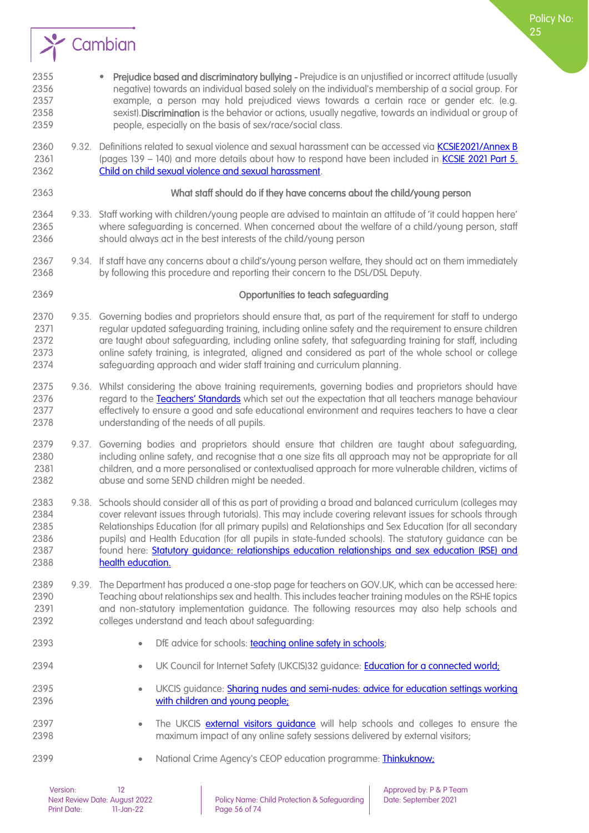

- 2355 Prejudice based and discriminatory bullying Prejudice is an unjustified or incorrect attitude (usually negative) towards an individual based solely on the individual's membership of a social group. For example, a person may hold prejudiced views towards a certain race or gender etc. (e.g. 2358 sexist). Discrimination is the behavior or actions, usually negative, towards an individual or group of people, especially on the basis of sex/race/social class.
- 2360 9.32. Definitions related to sexual violence and sexual harassment can be accessed via [KCSIE2021/Annex B](https://assets.publishing.service.gov.uk/government/uploads/system/uploads/attachment_data/file/999348/Keeping_children_safe_in_education_2021.pdf) 2361 (pages 139 – 140) and more details about how to respond have been included in **KCSIE 2021 Part 5.**<br>2362 **Child on child sexual violence and sexual harassment** [Child on child sexual violence and sexual harassment.](https://assets.publishing.service.gov.uk/government/uploads/system/uploads/attachment_data/file/999348/Keeping_children_safe_in_education_2021.pdf)
- 

#### 2363 What staff should do if they have concerns about the child/young person

Policy No:

- 9.33. Staff working with children/young people are advised to maintain an attitude of 'it could happen here' where safeguarding is concerned. When concerned about the welfare of a child/young person, staff should always act in the best interests of the child/young person
- 9.34. If staff have any concerns about a child's/young person welfare, they should act on them immediately by following this procedure and reporting their concern to the DSL/DSL Deputy.

#### Opportunities to teach safeguarding

- 9.35. Governing bodies and proprietors should ensure that, as part of the requirement for staff to undergo regular updated safeguarding training, including online safety and the requirement to ensure children are taught about safeguarding, including online safety, that safeguarding training for staff, including online safety training, is integrated, aligned and considered as part of the whole school or college safeguarding approach and wider staff training and curriculum planning.
- 2375 9.36. Whilst considering the above training requirements, governing bodies and proprietors should have<br>2376 regard to the Teachers' Standards which set out the expectation that all teachers manage behaviour regard to the [Teachers' Standards](https://www.gov.uk/government/publications/teachers-standards) which set out the expectation that all teachers manage behaviour effectively to ensure a good and safe educational environment and requires teachers to have a clear understanding of the needs of all pupils.
- 9.37. Governing bodies and proprietors should ensure that children are taught about safeguarding, 2380 including online safety, and recognise that a one size fits all approach may not be appropriate for all children, and a more personalised or contextualised approach for more vulnerable children, victims of abuse and some SEND children might be needed.
- 9.38. Schools should consider all of this as part of providing a broad and balanced curriculum (colleges may cover relevant issues through tutorials). This may include covering relevant issues for schools through Relationships Education (for all primary pupils) and Relationships and Sex Education (for all secondary 2386 pupils) and Health Education (for all pupils in state-funded schools). The statutory auidance can be found here: [Statutory guidance: relationships education relationships and sex education \(RSE\) and](https://www.gov.uk/government/publications/relationships-education-relationships-and-sex-education-rse-and-health-education)  [health education.](https://www.gov.uk/government/publications/relationships-education-relationships-and-sex-education-rse-and-health-education)
- 9.39. The Department has produced a one-stop page for teachers on GOV.UK, which can be accessed here: Teaching about relationships sex and health. This includes teacher training modules on the RSHE topics and non-statutory implementation guidance. The following resources may also help schools and colleges understand and teach about safeguarding:
- 
- **•** DfE advice for schools: **teaching online safety in schools**;
- UK Council for Internet Safety (UKCIS)32 guidance: [Education for a connected world;](https://www.gov.uk/government/publications/education-for-a-connected-world)
- UKCIS guidance: [Sharing nudes and semi-nudes: advice for education settings working](https://www.gov.uk/government/publications/sharing-nudes-and-semi-nudes-advice-for-education-settings-working-with-children-and-young-people)  **[with children and young people;](https://www.gov.uk/government/publications/sharing-nudes-and-semi-nudes-advice-for-education-settings-working-with-children-and-young-people)**
- 2397 The UKCIS external visitors quidance will help schools and colleges to ensure the maximum impact of any online safety sessions delivered by external visitors;
- 2399 National Crime Agency's CEOP education programme: Thinkuknow: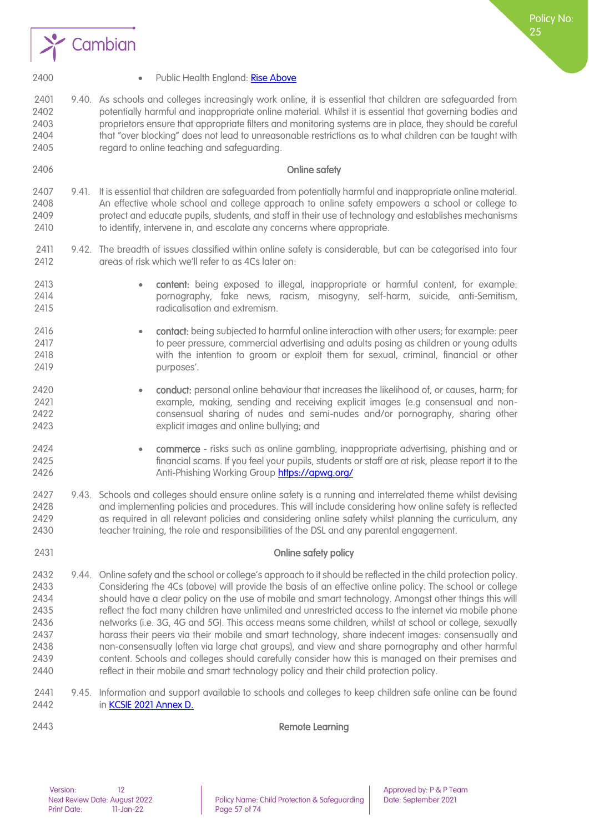



- 
- 2400 Public Health England[: Rise Above](https://campaignresources.phe.gov.uk/schools/topics/mental-wellbeing/overview)
- 9.40. As schools and colleges increasingly work online, it is essential that children are safeguarded from potentially harmful and inappropriate online material. Whilst it is essential that governing bodies and proprietors ensure that appropriate filters and monitoring systems are in place, they should be careful that "over blocking" does not lead to unreasonable restrictions as to what children can be taught with regard to online teaching and safeguarding.
- Online safety
- 9.41. It is essential that children are safeguarded from potentially harmful and inappropriate online material. An effective whole school and college approach to online safety empowers a school or college to protect and educate pupils, students, and staff in their use of technology and establishes mechanisms 2410 to identify, intervene in, and escalate any concerns where appropriate.
- 9.42. The breadth of issues classified within online safety is considerable, but can be categorised into four **areas of risk which we'll refer to as 4Cs later on:**
- 
- content: being exposed to illegal, inappropriate or harmful content, for example: pornography, fake news, racism, misogyny, self-harm, suicide, anti-Semitism, radicalisation and extremism.
- 2416  **contact:** being subjected to harmful online interaction with other users; for example: peer<br>2417  **Contact:** peer pressure commercial advertising and adults posing as children or young adults to peer pressure, commercial advertising and adults posing as children or young adults with the intention to groom or exploit them for sexual, criminal, financial or other purposes'.
- conduct: personal online behaviour that increases the likelihood of, or causes, harm; for example, making, sending and receiving explicit images (e.g consensual and non- consensual sharing of nudes and semi-nudes and/or pornography, sharing other explicit images and online bullying; and
- commerce risks such as online gambling, inappropriate advertising, phishing and or financial scams. If you feel your pupils, students or staff are at risk, please report it to the Anti-Phishing Working Group<https://apwg.org/>
- 9.43. Schools and colleges should ensure online safety is a running and interrelated theme whilst devising and implementing policies and procedures. This will include considering how online safety is reflected as required in all relevant policies and considering online safety whilst planning the curriculum, any teacher training, the role and responsibilities of the DSL and any parental engagement.
- Online safety policy
- 9.44. Online safety and the school or college's approach to it should be reflected in the child protection policy. Considering the 4Cs (above) will provide the basis of an effective online policy. The school or college should have a clear policy on the use of mobile and smart technology. Amongst other things this will reflect the fact many children have unlimited and unrestricted access to the internet via mobile phone networks (i.e. 3G, 4G and 5G). This access means some children, whilst at school or college, sexually harass their peers via their mobile and smart technology, share indecent images: consensually and non-consensually (often via large chat groups), and view and share pornography and other harmful content. Schools and colleges should carefully consider how this is managed on their premises and reflect in their mobile and smart technology policy and their child protection policy.
- 9.45. Information and support available to schools and colleges to keep children safe online can be found in [KCSIE 2021 Annex D.](https://assets.publishing.service.gov.uk/government/uploads/system/uploads/attachment_data/file/999348/Keeping_children_safe_in_education_2021.pdf)

Remote Learning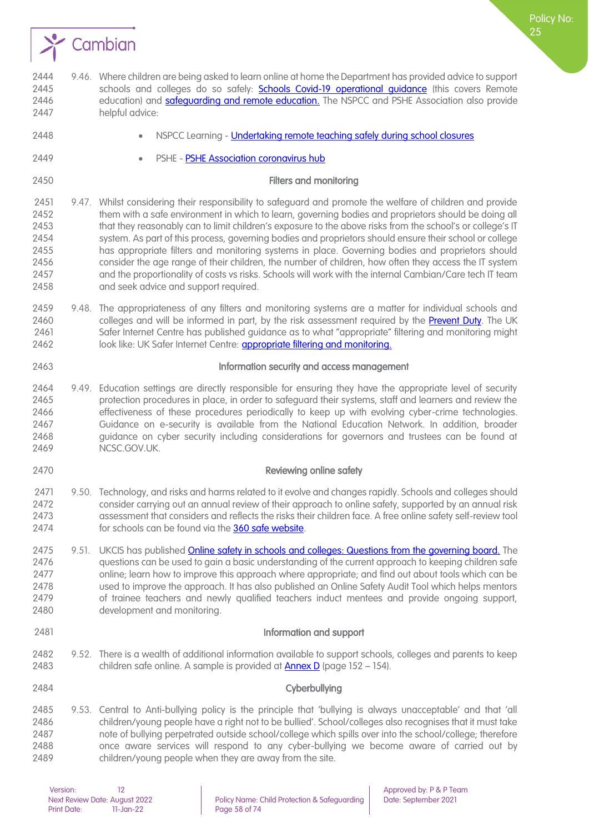

2444 9.46. Where children are being asked to learn online at home the Department has provided advice to support 2445 schools and colleges do so safely: **Schools Covid-19 operational quidance** (this covers Remote 2446 education) and **safeguarding and remote education**. The NSPCC and PSHE Association also provide helpful advice: • NSPCC Learning - [Undertaking remote teaching safely during school closures](https://learning.nspcc.org.uk/news/covid/undertaking-remote-teaching-safely) • PSHE - [PSHE Association coronavirus hub](https://learning.nspcc.org.uk/news/covid/undertaking-remote-teaching-safely) **Filters and monitoring**  9.47. Whilst considering their responsibility to safeguard and promote the welfare of children and provide 2452 them with a safe environment in which to learn, governing bodies and proprietors should be doing all that they reasonably can to limit children's exposure to the above risks from the school's or college's IT system. As part of this process, governing bodies and proprietors should ensure their school or college has appropriate filters and monitoring systems in place. Governing bodies and proprietors should consider the age range of their children, the number of children, how often they access the IT system and the proportionality of costs vs risks. Schools will work with the internal Cambian/Care tech IT team and seek advice and support required. 9.48. The appropriateness of any filters and monitoring systems are a matter for individual schools and 2460 colleges and will be informed in part, by the risk assessment required by the **Prevent Duty**. The UK Safer Internet Centre has published guidance as to what "appropriate" filtering and monitoring might 2462 look like: UK Safer Internet Centre: [appropriate filtering and monitoring.](https://www.saferinternet.org.uk/advice-centre/teachers-and-school-staff/appropriate-filtering-and-monitoring) Information security and access management 9.49. Education settings are directly responsible for ensuring they have the appropriate level of security protection procedures in place, in order to safeguard their systems, staff and learners and review the effectiveness of these procedures periodically to keep up with evolving cyber-crime technologies. Guidance on e-security is available from the National Education Network. In addition, broader 2468 guidance on cyber security including considerations for governors and trustees can be found at 2469 NCSC.GOV.UK. Reviewing online safety 2471 9.50. Technology, and risks and harms related to it evolve and changes rapidly. Schools and colleges should consider carrying out an annual review of their approach to online safety, supported by an annual risk 2473 assessment that considers and reflects the risks their children face. A free online safety self-review tool 2474 for schools can be found via the [360 safe website.](https://360safe.org.uk/) 2475 9.51. UKCIS has published [Online safety in schools and colleges: Questions from the governing board.](https://www.gov.uk/government/publications/online-safety-in-schools-and-colleges-questions-from-the-governing-board) The questions can be used to gain a basic understanding of the current approach to keeping children safe online; learn how to improve this approach where appropriate; and find out about tools which can be used to improve the approach. It has also published an Online Safety Audit Tool which helps mentors of trainee teachers and newly qualified teachers induct mentees and provide ongoing support, development and monitoring. Information and support 9.52. There is a wealth of additional information available to support schools, colleges and parents to keep 2483 children safe online. A sample is provided at **Annex D** (page 152 – 154). Cyberbullying 9.53. Central to Anti-bullying policy is the principle that 'bullying is always unacceptable' and that 'all children/young people have a right not to be bullied'. School/colleges also recognises that it must take note of bullying perpetrated outside school/college which spills over into the school/college; therefore once aware services will respond to any cyber-bullying we become aware of carried out by children/young people when they are away from the site.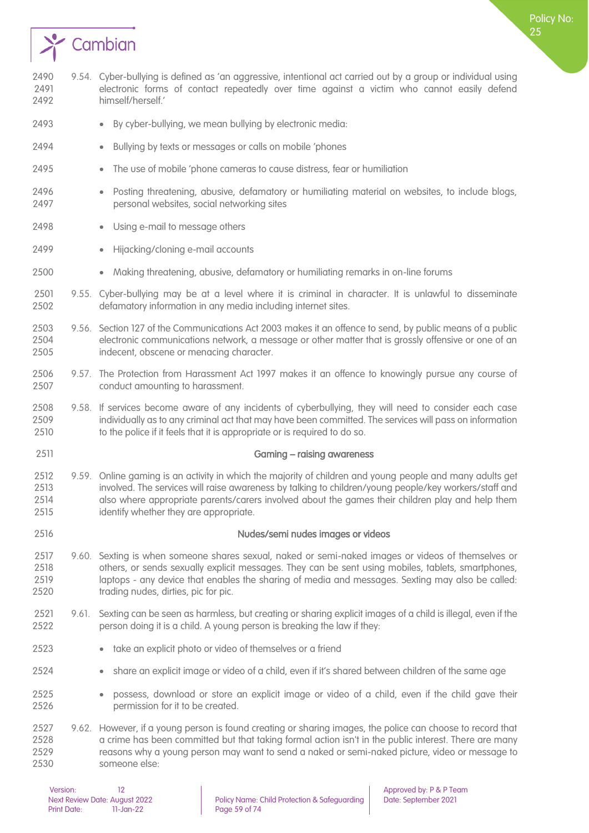

- By cyber-bullying, we mean bullying by electronic media:
- Bullying by texts or messages or calls on mobile 'phones
- The use of mobile 'phone cameras to cause distress, fear or humiliation
- Posting threatening, abusive, defamatory or humiliating material on websites, to include blogs, personal websites, social networking sites
- 2498 Using e-mail to message others
- 2499 Hijacking/cloning e-mail accounts
- Making threatening, abusive, defamatory or humiliating remarks in on-line forums
- 9.55. Cyber-bullying may be at a level where it is criminal in character. It is unlawful to disseminate defamatory information in any media including internet sites.
- 9.56. Section 127 of the Communications Act 2003 makes it an offence to send, by public means of a public electronic communications network, a message or other matter that is grossly offensive or one of an indecent, obscene or menacing character.
- 9.57. The Protection from Harassment Act 1997 makes it an offence to knowingly pursue any course of conduct amounting to harassment.
- 9.58. If services become aware of any incidents of cyberbullying, they will need to consider each case individually as to any criminal act that may have been committed. The services will pass on information 2510 to the police if it feels that it is appropriate or is required to do so.
- Gaming raising awareness
- 9.59. Online gaming is an activity in which the majority of children and young people and many adults get involved. The services will raise awareness by talking to children/young people/key workers/staff and also where appropriate parents/carers involved about the games their children play and help them identify whether they are appropriate.
- 

Nudes/semi nudes images or videos

- 9.60. Sexting is when someone shares sexual, naked or semi-naked images or videos of themselves or others, or sends sexually explicit messages. They can be sent using mobiles, tablets, smartphones, laptops - any device that enables the sharing of media and messages. Sexting may also be called: trading nudes, dirties, pic for pic.
- 9.61. Sexting can be seen as harmless, but creating or sharing explicit images of a child is illegal, even if the person doing it is a child. A young person is breaking the law if they:
- take an explicit photo or video of themselves or a friend
- share an explicit image or video of a child, even if it's shared between children of the same age
- possess, download or store an explicit image or video of a child, even if the child gave their permission for it to be created.
- 9.62. However, if a young person is found creating or sharing images, the police can choose to record that 2528 a crime has been committed but that taking formal action isn't in the public interest. There are many reasons why a young person may want to send a naked or semi-naked picture, video or message to someone else:

Policy No: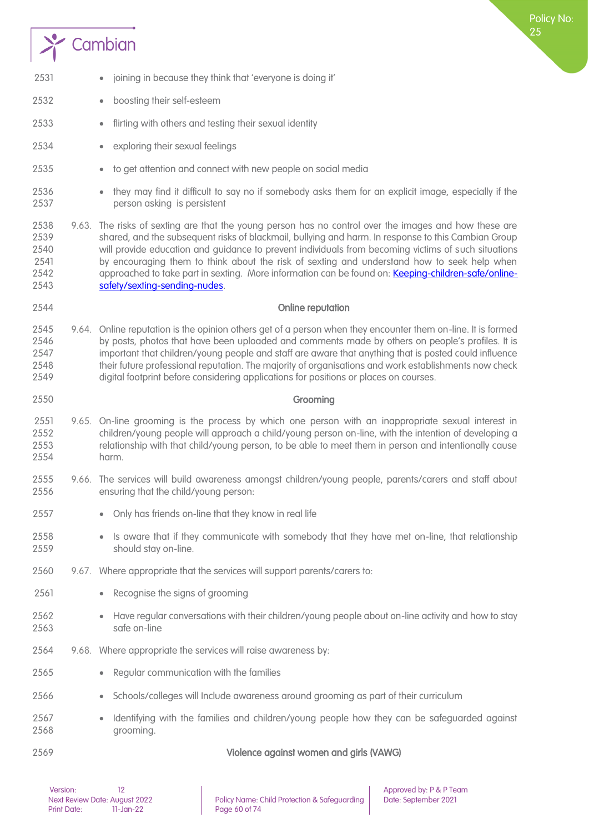# $\rightarrow$  Cambian

| 2531                                         | joining in because they think that 'everyone is doing it'<br>$\bullet$                                                                                                                                                                                                                                                                                                                                                                                                                                                                                     |
|----------------------------------------------|------------------------------------------------------------------------------------------------------------------------------------------------------------------------------------------------------------------------------------------------------------------------------------------------------------------------------------------------------------------------------------------------------------------------------------------------------------------------------------------------------------------------------------------------------------|
| 2532                                         | boosting their self-esteem<br>$\bullet$                                                                                                                                                                                                                                                                                                                                                                                                                                                                                                                    |
| 2533                                         | flirting with others and testing their sexual identity                                                                                                                                                                                                                                                                                                                                                                                                                                                                                                     |
| 2534                                         | exploring their sexual feelings                                                                                                                                                                                                                                                                                                                                                                                                                                                                                                                            |
| 2535                                         | to get attention and connect with new people on social media<br>$\bullet$                                                                                                                                                                                                                                                                                                                                                                                                                                                                                  |
| 2536<br>2537                                 | they may find it difficult to say no if somebody asks them for an explicit image, especially if the<br>person asking is persistent                                                                                                                                                                                                                                                                                                                                                                                                                         |
| 2538<br>2539<br>2540<br>2541<br>2542<br>2543 | 9.63. The risks of sexting are that the young person has no control over the images and how these are<br>shared, and the subsequent risks of blackmail, bullying and harm. In response to this Cambian Group<br>will provide education and guidance to prevent individuals from becoming victims of such situations<br>by encouraging them to think about the risk of sexting and understand how to seek help when<br>approached to take part in sexting. More information can be found on: Keeping-children-safe/online-<br>safety/sexting-sending-nudes. |
| 2544                                         | Online reputation                                                                                                                                                                                                                                                                                                                                                                                                                                                                                                                                          |
| 2545<br>2546<br>2547<br>2548<br>2549         | 9.64. Online reputation is the opinion others get of a person when they encounter them on-line. It is formed<br>by posts, photos that have been uploaded and comments made by others on people's profiles. It is<br>important that children/young people and staff are aware that anything that is posted could influence<br>their future professional reputation. The majority of organisations and work establishments now check<br>digital footprint before considering applications for positions or places on courses.                                |
| 2550                                         | Grooming                                                                                                                                                                                                                                                                                                                                                                                                                                                                                                                                                   |
| 2551<br>2552<br>2553<br>2554                 | 9.65. On-line grooming is the process by which one person with an inappropriate sexual interest in<br>children/young people will approach a child/young person on-line, with the intention of developing a<br>relationship with that child/young person, to be able to meet them in person and intentionally cause<br>harm.                                                                                                                                                                                                                                |
| 2555<br>2556                                 | 9.66. The services will build awareness amongst children/young people, parents/carers and staff about<br>ensuring that the child/young person:                                                                                                                                                                                                                                                                                                                                                                                                             |
| 2557                                         | Only has friends on-line that they know in real life                                                                                                                                                                                                                                                                                                                                                                                                                                                                                                       |
| 2558<br>2559                                 | Is aware that if they communicate with somebody that they have met on-line, that relationship<br>should stay on-line.                                                                                                                                                                                                                                                                                                                                                                                                                                      |
| 2560                                         | 9.67. Where appropriate that the services will support parents/carers to:                                                                                                                                                                                                                                                                                                                                                                                                                                                                                  |
| 2561                                         | Recognise the signs of grooming<br>$\bullet$                                                                                                                                                                                                                                                                                                                                                                                                                                                                                                               |
| 2562<br>2563                                 | Have regular conversations with their children/young people about on-line activity and how to stay<br>safe on-line                                                                                                                                                                                                                                                                                                                                                                                                                                         |
| 2564                                         | 9.68. Where appropriate the services will raise awareness by:                                                                                                                                                                                                                                                                                                                                                                                                                                                                                              |
| 2565                                         | Regular communication with the families<br>$\bullet$                                                                                                                                                                                                                                                                                                                                                                                                                                                                                                       |
| 2566                                         | Schools/colleges will Include awareness around grooming as part of their curriculum                                                                                                                                                                                                                                                                                                                                                                                                                                                                        |
| 2567<br>2568                                 | Identifying with the families and children/young people how they can be safeguarded against<br>grooming.                                                                                                                                                                                                                                                                                                                                                                                                                                                   |
| 2569                                         | Violence against women and girls (VAWG)                                                                                                                                                                                                                                                                                                                                                                                                                                                                                                                    |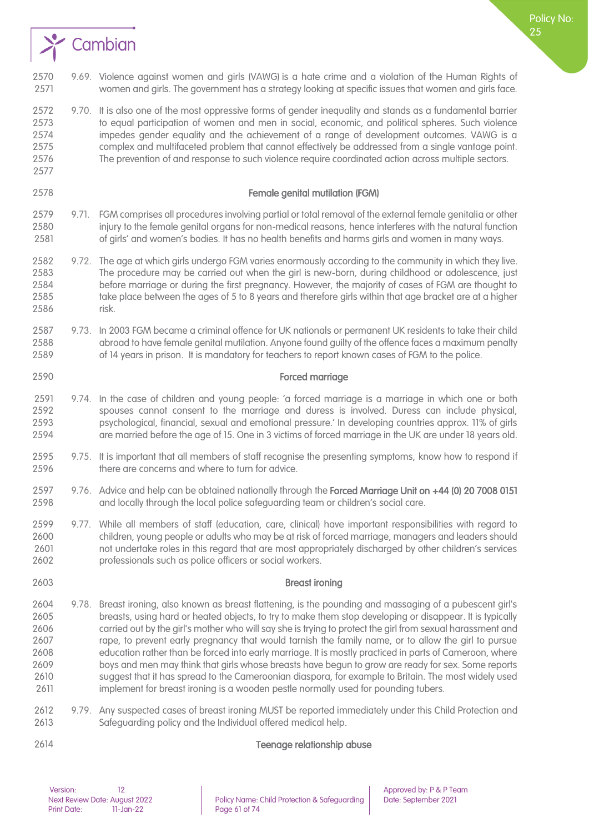

 9.70. It is also one of the most oppressive forms of gender inequality and stands as a fundamental barrier to equal participation of women and men in social, economic, and political spheres. Such violence impedes gender equality and the achievement of a range of development outcomes. VAWG is a complex and multifaceted problem that cannot effectively be addressed from a single vantage point. The prevention of and response to such violence require coordinated action across multiple sectors. 

#### Female genital mutilation (FGM)

- 9.71. FGM comprises all procedures involving partial or total removal of the external female genitalia or other injury to the female genital organs for non-medical reasons, hence interferes with the natural function of girls' and women's bodies. It has no health benefits and harms girls and women in many ways.
- 9.72. The age at which girls undergo FGM varies enormously according to the community in which they live. The procedure may be carried out when the girl is new-born, during childhood or adolescence, just before marriage or during the first pregnancy. However, the majority of cases of FGM are thought to take place between the ages of 5 to 8 years and therefore girls within that age bracket are at a higher risk.
- 9.73. In 2003 FGM became a criminal offence for UK nationals or permanent UK residents to take their child abroad to have female genital mutilation. Anyone found guilty of the offence faces a maximum penalty of 14 years in prison. It is mandatory for teachers to report known cases of FGM to the police.

#### Forced marriage

- 9.74. In the case of children and young people: 'a forced marriage is a marriage in which one or both spouses cannot consent to the marriage and duress is involved. Duress can include physical, psychological, financial, sexual and emotional pressure.' In developing countries approx. 11% of girls are married before the age of 15. One in 3 victims of forced marriage in the UK are under 18 years old.
- 9.75. It is important that all members of staff recognise the presenting symptoms, know how to respond if 2596 there are concerns and where to turn for advice.
- 2597 9.76. Advice and help can be obtained nationally through the Forced Marriage Unit on +44 (0) 20 7008 0151 and locally through the local police safeguarding team or children's social care.
- 9.77. While all members of staff (education, care, clinical) have important responsibilities with regard to children, young people or adults who may be at risk of forced marriage, managers and leaders should not undertake roles in this regard that are most appropriately discharged by other children's services professionals such as police officers or social workers.
- Breast ironing
	- 9.78. Breast ironing, also known as breast flattening, is the pounding and massaging of a pubescent girl's breasts, using hard or heated objects, to try to make them stop developing or disappear. It is typically carried out by the girl's mother who will say she is trying to protect the girl from sexual harassment and rape, to prevent early pregnancy that would tarnish the family name, or to allow the girl to pursue education rather than be forced into early marriage. It is mostly practiced in parts of Cameroon, where boys and men may think that girls whose breasts have begun to grow are ready for sex. Some reports suggest that it has spread to the Cameroonian diaspora, for example to Britain. The most widely used implement for breast ironing is a wooden pestle normally used for pounding tubers.
	- 9.79. Any suspected cases of breast ironing MUST be reported immediately under this Child Protection and Safeguarding policy and the Individual offered medical help.

Teenage relationship abuse

# Version: 12 12<br>Next Review Date: August 2022 Policy Name: Child Protection & Safeguarding Date: September 2021 Print Date: 11-Jan-22 Page 61 of 74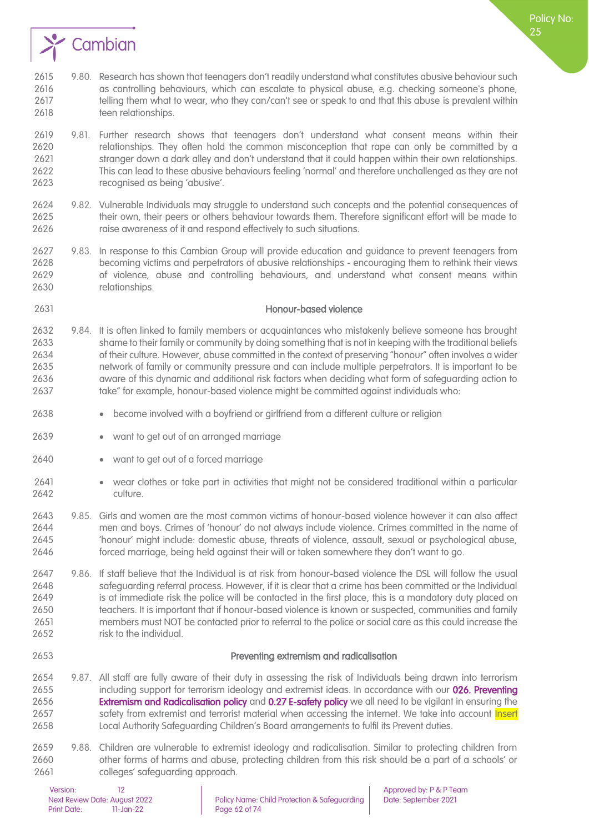

- 9.80. Research has shown that teenagers don't readily understand what constitutes abusive behaviour such as controlling behaviours, which can escalate to physical abuse, e.g. checking someone's phone, 2617 telling them what to wear, who they can/can't see or speak to and that this abuse is prevalent within 2618 teen relationships.
- 9.81. Further research shows that teenagers don't understand what consent means within their relationships. They often hold the common misconception that rape can only be committed by a 2621 stranger down a dark alley and don't understand that it could happen within their own relationships.<br>2622 This can lead to these abusive behaviours feeling 'normal' and therefore unchallenged as they are not This can lead to these abusive behaviours feeling 'normal' and therefore unchallenged as they are not recognised as being 'abusive'.
- 9.82. Vulnerable Individuals may struggle to understand such concepts and the potential consequences of their own, their peers or others behaviour towards them. Therefore significant effort will be made to 2626 raise awareness of it and respond effectively to such situations.
- 9.83. In response to this Cambian Group will provide education and guidance to prevent teenagers from becoming victims and perpetrators of abusive relationships - encouraging them to rethink their views of violence, abuse and controlling behaviours, and understand what consent means within relationships.

### Honour-based violence

- 9.84. It is often linked to family members or acquaintances who mistakenly believe someone has brought shame to their family or community by doing something that is not in keeping with the traditional beliefs of their culture. However, abuse committed in the context of preserving "honour" often involves a wider network of family or community pressure and can include multiple perpetrators. It is important to be aware of this dynamic and additional risk factors when deciding what form of safeguarding action to take" for example, honour-based violence might be committed against individuals who:
- become involved with a boyfriend or girlfriend from a different culture or religion
- want to get out of an arranged marriage
- want to get out of a forced marriage
- wear clothes or take part in activities that might not be considered traditional within a particular culture.
- 9.85. Girls and women are the most common victims of honour-based violence however it can also affect men and boys. Crimes of 'honour' do not always include violence. Crimes committed in the name of 'honour' might include: domestic abuse, threats of violence, assault, sexual or psychological abuse, forced marriage, being held against their will or taken somewhere they don't want to go.
- 9.86. If staff believe that the Individual is at risk from honour-based violence the DSL will follow the usual safeguarding referral process. However, if it is clear that a crime has been committed or the Individual 2649 is at immediate risk the police will be contacted in the first place, this is a mandatory duty placed on teachers. It is important that if honour-based violence is known or suspected, communities and family members must NOT be contacted prior to referral to the police or social care as this could increase the 2652 risk to the individual.

#### Preventing extremism and radicalisation

- 9.87. All staff are fully aware of their duty in assessing the risk of Individuals being drawn into terrorism 2655 including support for terrorism ideology and extremist ideas. In accordance with our 026. Preventing **Extremism and Radicalisation policy** and **0.27 E-safety policy** we all need to be vigilant in ensuring the 2657 safety from extremist and terrorist material when accessing the internet. We take into account Insert Local Authority Safeguarding Children's Board arrangements to fulfil its Prevent duties.
- 9.88. Children are vulnerable to extremist ideology and radicalisation. Similar to protecting children from other forms of harms and abuse, protecting children from this risk should be a part of a schools' or colleges' safeguarding approach.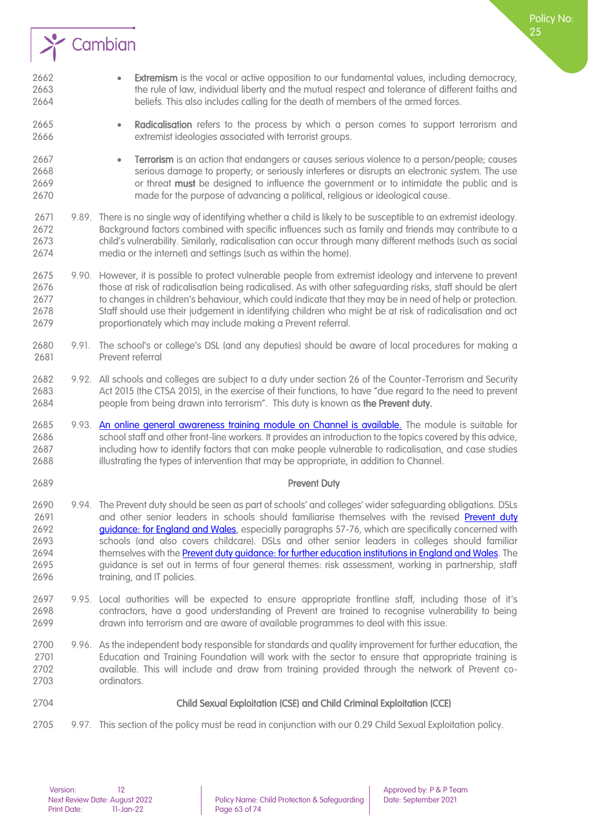

- Extremism is the vocal or active opposition to our fundamental values, including democracy, the rule of law, individual liberty and the mutual respect and tolerance of different faiths and beliefs. This also includes calling for the death of members of the armed forces.
- Radicalisation refers to the process by which a person comes to support terrorism and extremist ideologies associated with terrorist groups.
- Terrorism is an action that endangers or causes serious violence to a person/people; causes serious damage to property; or seriously interferes or disrupts an electronic system. The use 2669 or threat must be designed to influence the government or to intimidate the public and is made for the purpose of advancing a political, religious or ideological cause.
- 9.89. There is no single way of identifying whether a child is likely to be susceptible to an extremist ideology. Background factors combined with specific influences such as family and friends may contribute to a child's vulnerability. Similarly, radicalisation can occur through many different methods (such as social media or the internet) and settings (such as within the home).
- 2675 9.90. However, it is possible to protect vulnerable people from extremist ideology and intervene to prevent<br>2676 those at risk of radicalisation being radicalised. As with other safeauarding risks, staff should be ale those at risk of radicalisation being radicalised. As with other safeguarding risks, staff should be alert to changes in children's behaviour, which could indicate that they may be in need of help or protection. Staff should use their judgement in identifying children who might be at risk of radicalisation and act proportionately which may include making a Prevent referral.
- 9.91. The school's or college's DSL (and any deputies) should be aware of local procedures for making a Prevent referral
- 9.92. All schools and colleges are subject to a duty under section 26 of the Counter-Terrorism and Security Act 2015 (the CTSA 2015), in the exercise of their functions, to have "due regard to the need to prevent 2684 people from being drawn into terrorism". This duty is known as the Prevent duty.
- 2685 9.93. [An online general awareness training module on Channel is available.](https://www.elearning.prevent.homeoffice.gov.uk/channel_awareness/01-welcome.html) The module is suitable for school staff and other front-line workers. It provides an introduction to the topics covered by this advice, including how to identify factors that can make people vulnerable to radicalisation, and case studies illustrating the types of intervention that may be appropriate, in addition to Channel.
- 
- **Prevent Duty**
- 9.94. The Prevent duty should be seen as part of schools' and colleges' wider safeguarding obligations. DSLs 2691 and other senior leaders in schools should familiarise themselves with the revised Prevent duty [guidance: for England and Wales,](https://www.gov.uk/government/publications/prevent-duty-guidance) especially paragraphs 57-76, which are specifically concerned with schools (and also covers childcare). DSLs and other senior leaders in colleges should familiar 2694 themselves with th[e Prevent duty guidance: for further education institutions in England and Wales.](https://www.gov.uk/government/publications/prevent-duty-guidance/prevent-duty-guidance-for-further-education-institutions-in-england-and-wales) The guidance is set out in terms of four general themes: risk assessment, working in partnership, staff **training**, and IT policies.
- 9.95. Local authorities will be expected to ensure appropriate frontline staff, including those of it's contractors, have a good understanding of Prevent are trained to recognise vulnerability to being drawn into terrorism and are aware of available programmes to deal with this issue.
- 9.96. As the independent body responsible for standards and quality improvement for further education, the Education and Training Foundation will work with the sector to ensure that appropriate training is available. This will include and draw from training provided through the network of Prevent co-ordinators.
- 

### Child Sexual Exploitation (CSE) and Child Criminal Exploitation (CCE)

2705 9.97. This section of the policy must be read in conjunction with our 0.29 Child Sexual Exploitation policy.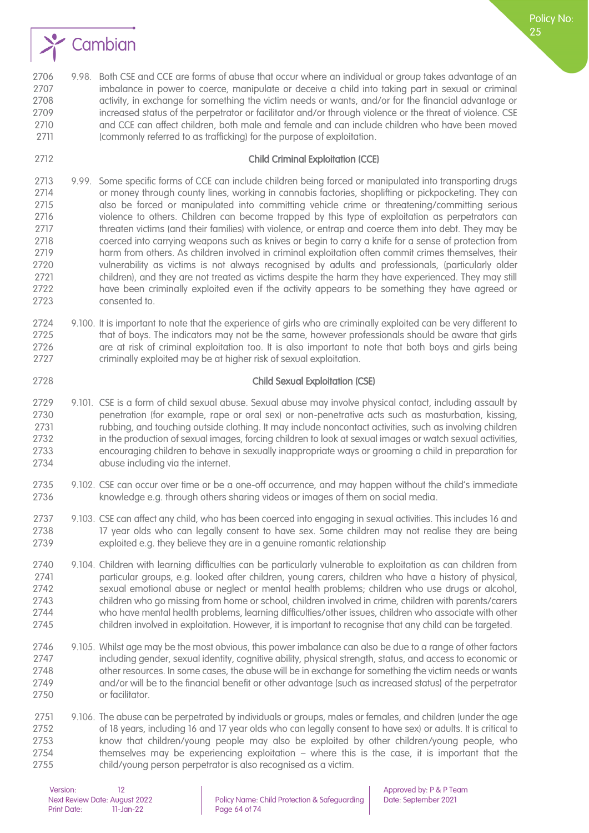

#### Child Criminal Exploitation (CCE)

- 9.99. Some specific forms of CCE can include children being forced or manipulated into transporting drugs 2714 or money through county lines, working in cannabis factories, shoplifting or pickpocketing. They can also be forced or manipulated into committing vehicle crime or threatening/committing serious violence to others. Children can become trapped by this type of exploitation as perpetrators can threaten victims (and their families) with violence, or entrap and coerce them into debt. They may be coerced into carrying weapons such as knives or begin to carry a knife for a sense of protection from harm from others. As children involved in criminal exploitation often commit crimes themselves, their 2720 vulnerability as victims is not always recognised by adults and professionals, (particularly older<br>2721 children), and they are not treated as victims despite the harm they have experienced. They may still children), and they are not treated as victims despite the harm they have experienced. They may still have been criminally exploited even if the activity appears to be something they have agreed or consented to.
- 9.100. It is important to note that the experience of girls who are criminally exploited can be very different to that of boys. The indicators may not be the same, however professionals should be aware that girls are at risk of criminal exploitation too. It is also important to note that both boys and girls being criminally exploited may be at higher risk of sexual exploitation.
- 

#### Child Sexual Exploitation (CSE)

- 9.101. CSE is a form of child sexual abuse. Sexual abuse may involve physical contact, including assault by penetration (for example, rape or oral sex) or non-penetrative acts such as masturbation, kissing, rubbing, and touching outside clothing. It may include noncontact activities, such as involving children in the production of sexual images, forcing children to look at sexual images or watch sexual activities, encouraging children to behave in sexually inappropriate ways or grooming a child in preparation for abuse including via the internet.
- 9.102. CSE can occur over time or be a one-off occurrence, and may happen without the child's immediate knowledge e.g. through others sharing videos or images of them on social media.
- 9.103. CSE can affect any child, who has been coerced into engaging in sexual activities. This includes 16 and 2738 17 year olds who can legally consent to have sex. Some children may not realise they are being exploited e.g. they believe they are in a genuine romantic relationship
- 2740 9.104. Children with learning difficulties can be particularly vulnerable to exploitation as can children from<br>2741 particular aroups, e.g. looked after children, voung carers, children who have a history of physical, particular groups, e.g. looked after children, young carers, children who have a history of physical, sexual emotional abuse or neglect or mental health problems; children who use drugs or alcohol, children who go missing from home or school, children involved in crime, children with parents/carers who have mental health problems, learning difficulties/other issues, children who associate with other children involved in exploitation. However, it is important to recognise that any child can be targeted.
- 9.105. Whilst age may be the most obvious, this power imbalance can also be due to a range of other factors including gender, sexual identity, cognitive ability, physical strength, status, and access to economic or 2748 other resources. In some cases, the abuse will be in exchange for something the victim needs or wants and/or will be to the financial benefit or other advantage (such as increased status) of the perpetrator or facilitator.
- 2751 9.106. The abuse can be perpetrated by individuals or groups, males or females, and children (under the age of 18 years, including 16 and 17 year olds who can legally consent to have sex) or adults. It is critical to know that children/young people may also be exploited by other children/young people, who themselves may be experiencing exploitation – where this is the case, it is important that the child/young person perpetrator is also recognised as a victim.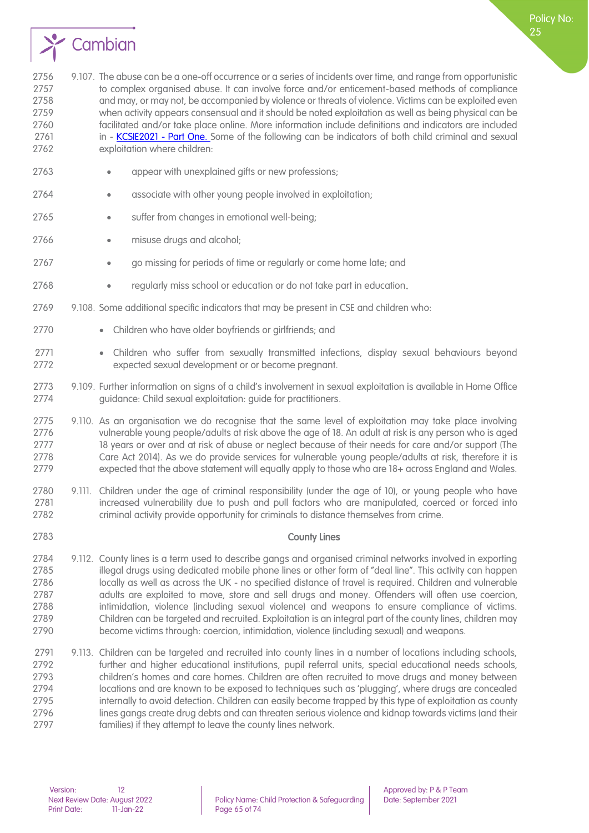

2756 9.107. The abuse can be a one-off occurrence or a series of incidents over time, and range from opportunistic to complex organised abuse. It can involve force and/or enticement-based methods of compliance and may, or may not, be accompanied by violence or threats of violence. Victims can be exploited even when activity appears consensual and it should be noted exploitation as well as being physical can be facilitated and/or take place online. More information include definitions and indicators are included 2761 in - [KCSIE2021 -](https://assets.publishing.service.gov.uk/government/uploads/system/uploads/attachment_data/file/912593/Keeping_children_safe_in_education_part_1_Sep_2020.pdf) Part One. Some of the following can be indicators of both child criminal and sexual exploitation where children:

- 2763 appear with unexplained gifts or new professions:
- 2764 associate with other young people involved in exploitation;
- 2765 suffer from changes in emotional well-being;
- 2766 misuse drugs and alcohol;
- go missing for periods of time or regularly or come home late; and
- regularly miss school or education or do not take part in education.
- 9.108. Some additional specific indicators that may be present in CSE and children who:
- 2770 Children who have older boyfriends or girlfriends; and
- Children who suffer from sexually transmitted infections, display sexual behaviours beyond expected sexual development or or become pregnant.
- 2773 9.109. Further information on signs of a child's involvement in sexual exploitation is available in Home Office<br>2774 and auidance: Child sexual exploitation: quide for practitioners. quidance: Child sexual exploitation: quide for practitioners.
- 9.110. As an organisation we do recognise that the same level of exploitation may take place involving vulnerable young people/adults at risk above the age of 18. An adult at risk is any person who is aged 2777 18 years or over and at risk of abuse or neglect because of their needs for care and/or support (The Care Act 2014). As we do provide services for vulnerable young people/adults at risk, therefore it is expected that the above statement will equally apply to those who are 18+ across England and Wales.
- 9.111. Children under the age of criminal responsibility (under the age of 10), or young people who have increased vulnerability due to push and pull factors who are manipulated, coerced or forced into criminal activity provide opportunity for criminals to distance themselves from crime.
- 

### County Lines

- 9.112. County lines is a term used to describe gangs and organised criminal networks involved in exporting illegal drugs using dedicated mobile phone lines or other form of "deal line". This activity can happen locally as well as across the UK - no specified distance of travel is required. Children and vulnerable adults are exploited to move, store and sell drugs and money. Offenders will often use coercion, intimidation, violence (including sexual violence) and weapons to ensure compliance of victims. Children can be targeted and recruited. Exploitation is an integral part of the county lines, children may become victims through: coercion, intimidation, violence (including sexual) and weapons.
- 2791 9.113. Children can be targeted and recruited into county lines in a number of locations including schools, further and higher educational institutions, pupil referral units, special educational needs schools, children's homes and care homes. Children are often recruited to move drugs and money between locations and are known to be exposed to techniques such as 'plugging', where drugs are concealed 2795 internally to avoid detection. Children can easily become trapped by this type of exploitation as county lines gangs create drug debts and can threaten serious violence and kidnap towards victims (and their families) if they attempt to leave the county lines network.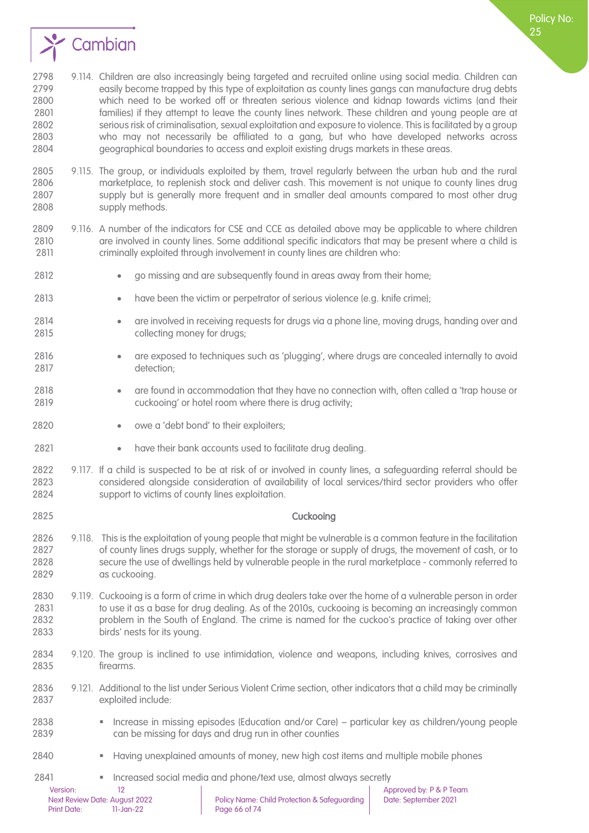

- 9.115. The group, or individuals exploited by them, travel regularly between the urban hub and the rural marketplace, to replenish stock and deliver cash. This movement is not unique to county lines drug supply but is generally more frequent and in smaller deal amounts compared to most other drug supply methods.
- 9.116. A number of the indicators for CSE and CCE as detailed above may be applicable to where children are involved in county lines. Some additional specific indicators that may be present where a child is criminally exploited through involvement in county lines are children who:
- 2812 go missing and are subsequently found in areas away from their home;
- have been the victim or perpetrator of serious violence (e.g. knife crime);
- are involved in receiving requests for drugs via a phone line, moving drugs, handing over and collecting money for drugs;
- are exposed to techniques such as 'plugging', where drugs are concealed internally to avoid 2817 detection:
- are found in accommodation that they have no connection with, often called a 'trap house or cuckooing' or hotel room where there is drug activity;
- 2820 owe a 'debt bond' to their exploiters:
- 2821 have their bank accounts used to facilitate drug dealing.
- 9.117. If a child is suspected to be at risk of or involved in county lines, a safeguarding referral should be considered alongside consideration of availability of local services/third sector providers who offer support to victims of county lines exploitation.
- Cuckooing
- 9.118. This is the exploitation of young people that might be vulnerable is a common feature in the facilitation of county lines drugs supply, whether for the storage or supply of drugs, the movement of cash, or to secure the use of dwellings held by vulnerable people in the rural marketplace - commonly referred to as cuckooing.
- 9.119. Cuckooing is a form of crime in which drug dealers take over the home of a vulnerable person in order to use it as a base for drug dealing. As of the 2010s, cuckooing is becoming an increasingly common problem in the South of England. The crime is named for the cuckoo's practice of taking over other birds' nests for its young.
- 9.120. The group is inclined to use intimidation, violence and weapons, including knives, corrosives and firearms.
- 9.121. Additional to the list under Serious Violent Crime section, other indicators that a child may be criminally 2837 exploited include:
- Increase in missing episodes (Education and/or Care) particular key as children/young people can be missing for days and drug run in other counties
- 2840 Having unexplained amounts of money, new high cost items and multiple mobile phones
- **Increased social media and phone/text use, almost always secretly**

Policy No: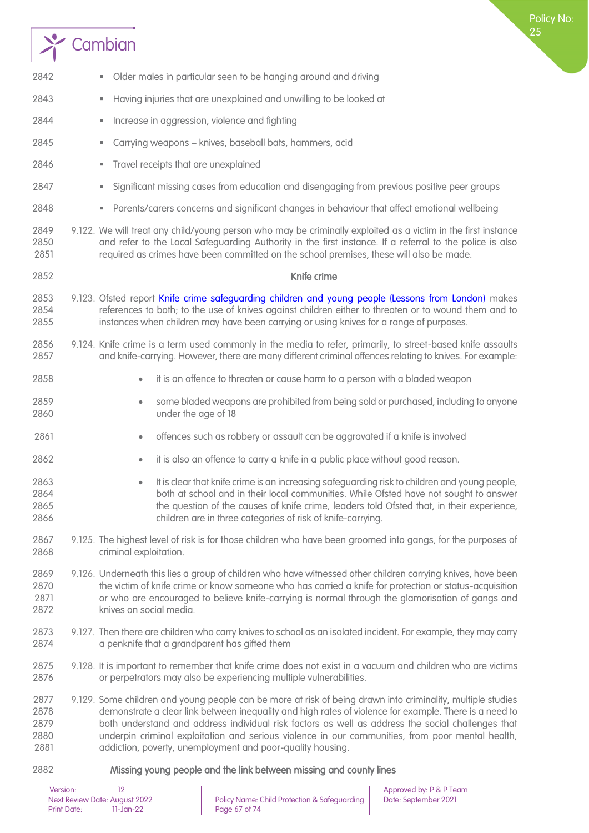# $\sum$  Cambian

| 2842                                 | Older males in particular seen to be hanging around and driving<br>ш                                                                                                                                                                                                                                                                                                                                                                                                                         |
|--------------------------------------|----------------------------------------------------------------------------------------------------------------------------------------------------------------------------------------------------------------------------------------------------------------------------------------------------------------------------------------------------------------------------------------------------------------------------------------------------------------------------------------------|
| 2843                                 | Having injuries that are unexplained and unwilling to be looked at<br>ш                                                                                                                                                                                                                                                                                                                                                                                                                      |
| 2844                                 | Increase in aggression, violence and fighting<br>U,                                                                                                                                                                                                                                                                                                                                                                                                                                          |
| 2845                                 | Carrying weapons - knives, baseball bats, hammers, acid<br>ш                                                                                                                                                                                                                                                                                                                                                                                                                                 |
| 2846                                 | Travel receipts that are unexplained<br>ш                                                                                                                                                                                                                                                                                                                                                                                                                                                    |
| 2847                                 | Significant missing cases from education and disengaging from previous positive peer groups<br>ш                                                                                                                                                                                                                                                                                                                                                                                             |
| 2848                                 | Parents/carers concerns and significant changes in behaviour that affect emotional wellbeing<br>Ш                                                                                                                                                                                                                                                                                                                                                                                            |
| 2849<br>2850<br>2851                 | 9.122. We will treat any child/young person who may be criminally exploited as a victim in the first instance<br>and refer to the Local Safeguarding Authority in the first instance. If a referral to the police is also<br>required as crimes have been committed on the school premises, these will also be made.                                                                                                                                                                         |
| 2852                                 | Knife crime                                                                                                                                                                                                                                                                                                                                                                                                                                                                                  |
| 2853<br>2854<br>2855                 | 9.123. Ofsted report Knife crime safeguarding children and young people (Lessons from London) makes<br>references to both; to the use of knives against children either to threaten or to wound them and to<br>instances when children may have been carrying or using knives for a range of purposes.                                                                                                                                                                                       |
| 2856<br>2857                         | 9.124. Knife crime is a term used commonly in the media to refer, primarily, to street-based knife assaults<br>and knife-carrying. However, there are many different criminal offences relating to knives. For example:                                                                                                                                                                                                                                                                      |
| 2858                                 | it is an offence to threaten or cause harm to a person with a bladed weapon<br>$\bullet$                                                                                                                                                                                                                                                                                                                                                                                                     |
| 2859<br>2860                         | some bladed weapons are prohibited from being sold or purchased, including to anyone<br>$\bullet$<br>under the age of 18                                                                                                                                                                                                                                                                                                                                                                     |
| 2861                                 | offences such as robbery or assault can be aggravated if a knife is involved<br>$\bullet$                                                                                                                                                                                                                                                                                                                                                                                                    |
| 2862                                 | it is also an offence to carry a knife in a public place without good reason.<br>$\bullet$                                                                                                                                                                                                                                                                                                                                                                                                   |
| 2863<br>2864<br>2865<br>2866         | It is clear that knife crime is an increasing safeguarding risk to children and young people,<br>$\bullet$<br>both at school and in their local communities. While Ofsted have not sought to answer<br>the question of the causes of knife crime, leaders told Ofsted that, in their experience,<br>children are in three categories of risk of knife-carrying.                                                                                                                              |
| 2867<br>2868                         | 9.125. The highest level of risk is for those children who have been groomed into gangs, for the purposes of<br>criminal exploitation.                                                                                                                                                                                                                                                                                                                                                       |
| 2869<br>2870<br>2871<br>2872         | 9.126. Underneath this lies a group of children who have witnessed other children carrying knives, have been<br>the victim of knife crime or know someone who has carried a knife for protection or status-acquisition<br>or who are encouraged to believe knife-carrying is normal through the glamorisation of gangs and<br>knives on social media.                                                                                                                                        |
| 2873<br>2874                         | 9.127. Then there are children who carry knives to school as an isolated incident. For example, they may carry<br>a penknife that a grandparent has gifted them                                                                                                                                                                                                                                                                                                                              |
| 2875<br>2876                         | 9.128. It is important to remember that knife crime does not exist in a vacuum and children who are victims<br>or perpetrators may also be experiencing multiple vulnerabilities.                                                                                                                                                                                                                                                                                                            |
| 2877<br>2878<br>2879<br>2880<br>2881 | 9.129. Some children and young people can be more at risk of being drawn into criminality, multiple studies<br>demonstrate a clear link between inequality and high rates of violence for example. There is a need to<br>both understand and address individual risk factors as well as address the social challenges that<br>underpin criminal exploitation and serious violence in our communities, from poor mental health,<br>addiction, poverty, unemployment and poor-quality housing. |
| 2882                                 | Missing young people and the link between missing and county lines                                                                                                                                                                                                                                                                                                                                                                                                                           |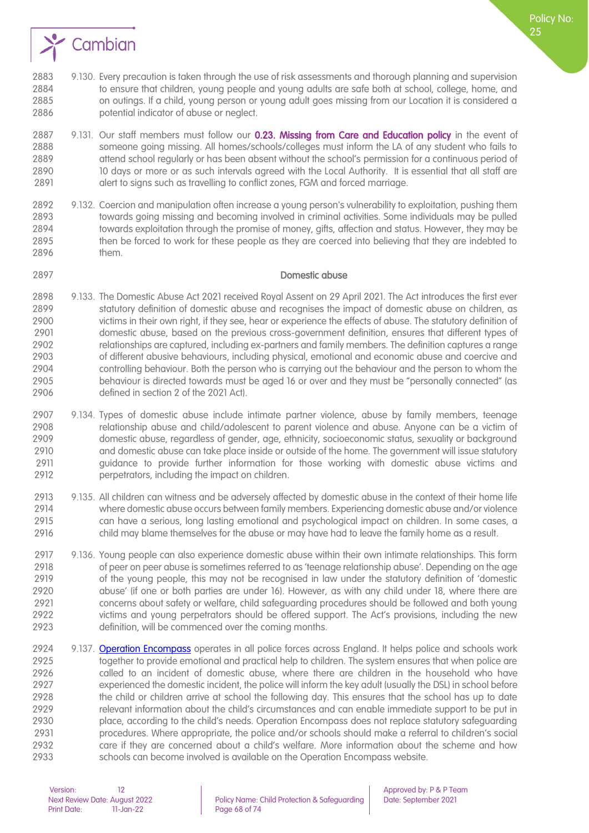

Policy No:

- 9.130. Every precaution is taken through the use of risk assessments and thorough planning and supervision to ensure that children, young people and young adults are safe both at school, college, home, and on outings. If a child, young person or young adult goes missing from our Location it is considered a potential indicator of abuse or neglect.
- 2887 9.131. Our staff members must follow our 0.23. [Missing from Care](#page-33-0) and Education policy in the event of someone going missing. All homes/schools/colleges must inform the LA of any student who fails to 2889 attend school regularly or has been absent without the school's permission for a continuous period of 10 days or more or as such intervals agreed with the Local Authority. It is essential that all staff are alert to signs such as travelling to conflict zones, FGM and forced marriage.
- 9.132. Coercion and manipulation often increase a young person's vulnerability to exploitation, pushing them towards going missing and becoming involved in criminal activities. Some individuals may be pulled towards exploitation through the promise of money, gifts, affection and status. However, they may be then be forced to work for these people as they are coerced into believing that they are indebted to them.

#### Domestic abuse

- 9.133. The Domestic Abuse Act 2021 received Royal Assent on 29 April 2021. The Act introduces the first ever 2899 statutory definition of domestic abuse and recognises the impact of domestic abuse on children, as<br>2900 victims in their own right, if they see, hear or experience the effects of abuse. The statutory definition of victims in their own right, if they see, hear or experience the effects of abuse. The statutory definition of domestic abuse, based on the previous cross-government definition, ensures that different types of relationships are captured, including ex-partners and family members. The definition captures a range of different abusive behaviours, including physical, emotional and economic abuse and coercive and controlling behaviour. Both the person who is carrying out the behaviour and the person to whom the behaviour is directed towards must be aged 16 or over and they must be "personally connected" (as defined in section 2 of the 2021 Act).
- 9.134. Types of domestic abuse include intimate partner violence, abuse by family members, teenage relationship abuse and child/adolescent to parent violence and abuse. Anyone can be a victim of domestic abuse, regardless of gender, age, ethnicity, socioeconomic status, sexuality or background and domestic abuse can take place inside or outside of the home. The government will issue statutory guidance to provide further information for those working with domestic abuse victims and perpetrators, including the impact on children.
- 9.135. All children can witness and be adversely affected by domestic abuse in the context of their home life where domestic abuse occurs between family members. Experiencing domestic abuse and/or violence can have a serious, long lasting emotional and psychological impact on children. In some cases, a child may blame themselves for the abuse or may have had to leave the family home as a result.
- 9.136. Young people can also experience domestic abuse within their own intimate relationships. This form of peer on peer abuse is sometimes referred to as 'teenage relationship abuse'. Depending on the age of the young people, this may not be recognised in law under the statutory definition of 'domestic abuse' (if one or both parties are under 16). However, as with any child under 18, where there are concerns about safety or welfare, child safeguarding procedures should be followed and both young victims and young perpetrators should be offered support. The Act's provisions, including the new definition, will be commenced over the coming months.
- 2924 9.137. [Operation Encompass](https://www.operationencompass.org/) operates in all police forces across England. It helps police and schools work together to provide emotional and practical help to children. The system ensures that when police are called to an incident of domestic abuse, where there are children in the household who have experienced the domestic incident, the police will inform the key adult (usually the DSL) in school before the child or children arrive at school the following day. This ensures that the school has up to date relevant information about the child's circumstances and can enable immediate support to be put in place, according to the child's needs. Operation Encompass does not replace statutory safeguarding procedures. Where appropriate, the police and/or schools should make a referral to children's social care if they are concerned about a child's welfare. More information about the scheme and how schools can become involved is available on the Operation Encompass website.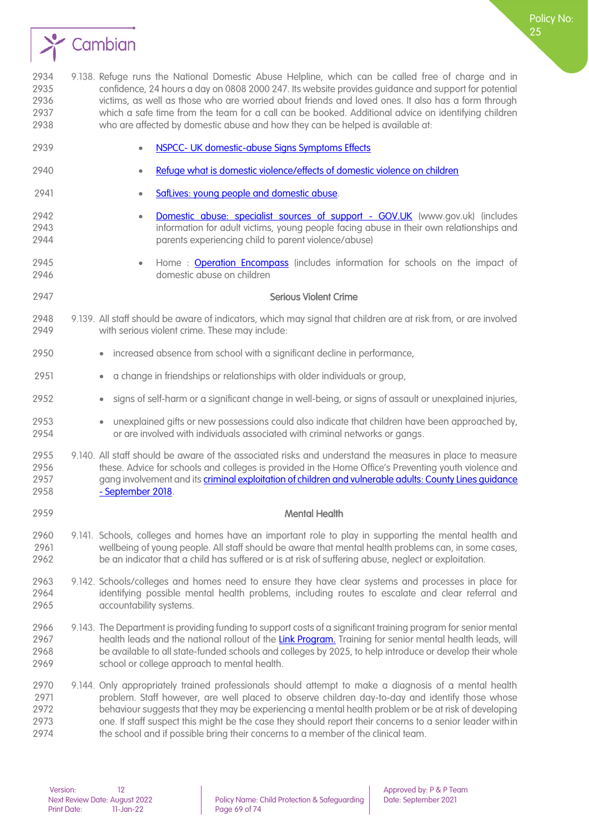

 9.138. Refuge runs the National Domestic Abuse Helpline, which can be called free of charge and in confidence, 24 hours a day on 0808 2000 247. Its website provides guidance and support for potential victims, as well as those who are worried about friends and loved ones. It also has a form through which a safe time from the team for a call can be booked. Additional advice on identifying children who are affected by domestic abuse and how they can be helped is available at:

 • NSPCC- [UK domestic-abuse Signs Symptoms Effects](https://learning.nspcc.org.uk/child-abuse-and-neglect/domestic-abuse#:~:text=Children%20who%20experience%20domestic%20abuse%20may%20feel%20on,in%20immediate%20danger%2C%20contact%20the%20police%20on%20999.)  • [Refuge what is domestic violence/effects of domestic violence on children](http://www.refuge.org.uk/get-help-now/support-for-women/what-about-my-children/)  **• SafLives: young people and domestic abuse.**  • [Domestic abuse: specialist sources of support -](https://www.gov.uk/government/publications/domestic-abuse-get-help-for-specific-needs-or-situations/domestic-abuse-specialist-sources-of-support) GOV.UK (www.gov.uk) (includes information for adult victims, young people facing abuse in their own relationships and parents experiencing child to parent violence/abuse) 2945 • Home : **[Operation Encompass](https://www.operationencompass.org/)** (includes information for schools on the impact of domestic abuse on children Serious Violent Crime 9.139. All staff should be aware of indicators, which may signal that children are at risk from, or are involved with serious violent crime. These may include: • increased absence from school with a significant decline in performance, • a change in friendships or relationships with older individuals or group, • signs of self-harm or a significant change in well-being, or signs of assault or unexplained injuries, • unexplained gifts or new possessions could also indicate that children have been approached by, or are involved with individuals associated with criminal networks or gangs. 9.140. All staff should be aware of the associated risks and understand the measures in place to measure these. Advice for schools and colleges is provided in the Home Office's Preventing youth violence and 2957 gang involvement and its criminal exploitation of children and vulnerable adults: County Lines quidance - [September 2018.](https://assets.publishing.service.gov.uk/government/uploads/system/uploads/attachment_data/file/741194/HOCountyLinesGuidanceSept2018.pdf) Mental Health 9.141. Schools, colleges and homes have an important role to play in supporting the mental health and wellbeing of young people. All staff should be aware that mental health problems can, in some cases, be an indicator that a child has suffered or is at risk of suffering abuse, neglect or exploitation. 9.142. Schools/colleges and homes need to ensure they have clear systems and processes in place for identifying possible mental health problems, including routes to escalate and clear referral and accountability systems. 9.143. The Department is providing funding to support costs of a significant training program for senior mental 2967 health leads and the national rollout of the [Link Program.](https://www.annafreud.org/schools-and-colleges/research-and-practice/the-link-programme-working-together-for-children-and-young-peoples-mental-health/) Training for senior mental health leads, will be available to all state-funded schools and colleges by 2025, to help introduce or develop their whole school or college approach to mental health. 9.144. Only appropriately trained professionals should attempt to make a diagnosis of a mental health 2971 problem. Staff however, are well placed to observe children day-to-day and identify those whose behaviour suggests that they may be experiencing a mental health problem or be at risk of developing one. If staff suspect this might be the case they should report their concerns to a senior leader within the school and if possible bring their concerns to a member of the clinical team.

Policy No: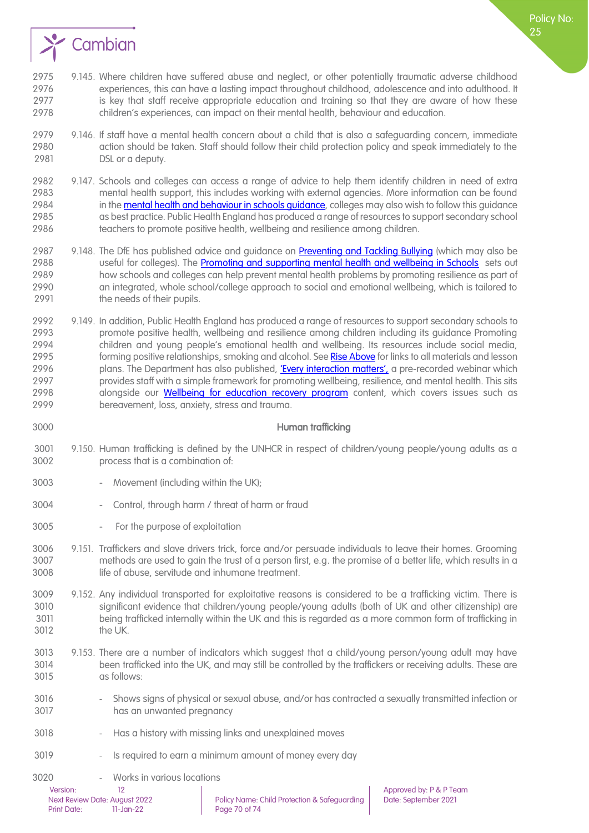

- 9.146. If staff have a mental health concern about a child that is also a safeguarding concern, immediate action should be taken. Staff should follow their child protection policy and speak immediately to the DSL or a deputy.
- 9.147. Schools and colleges can access a range of advice to help them identify children in need of extra mental health support, this includes working with external agencies. More information can be found 2984 in the mental health and behaviour in schools quidance, colleges may also wish to follow this quidance as best practice. Public Health England has produced a range of resources to support secondary school teachers to promote positive health, wellbeing and resilience among children.
- 2987 9.148. The DfE has published advice and guidance on [Preventing and Tackling Bullying](https://assets.publishing.service.gov.uk/government/uploads/system/uploads/attachment_data/file/623895/Preventing_and_tackling_bullying_advice.pdf) (which may also be 2988 useful for colleges). The [Promoting and supporting mental health and wellbeing in Schools](https://www.gov.uk/guidance/mental-health-and-wellbeing-support-in-schools-and-colleges) sets out how schools and colleges can help prevent mental health problems by promoting resilience as part of an integrated, whole school/college approach to social and emotional wellbeing, which is tailored to 2991 the needs of their pupils.
- 2992 9.149. In addition, Public Health England has produced a range of resources to support secondary schools to promote positive health, wellbeing and resilience among children including its guidance Promoting children and young people's emotional health and wellbeing. Its resources include social media, 2995 forming positive relationships, smoking and alcohol. Se[e Rise Above](https://riseabove.org.uk/) for links to all materials and lesson 2996 plans. The Department has also published, ['Every interaction matters',](https://www.minded.org.uk/Component/Details/685525) a pre-recorded webinar which provides staff with a simple framework for promoting wellbeing, resilience, and mental health. This sits 2998 alongside our **[Wellbeing for education recovery program](https://www.gov.uk/government/publications/education-recovery-support)** content, which covers issues such as bereavement, loss, anxiety, stress and trauma.

### Human trafficking

- 9.150. Human trafficking is defined by the UNHCR in respect of children/young people/young adults as a process that is a combination of:
- Movement (including within the UK);
- Control, through harm / threat of harm or fraud
- For the purpose of exploitation
- 9.151. Traffickers and slave drivers trick, force and/or persuade individuals to leave their homes. Grooming methods are used to gain the trust of a person first, e.g. the promise of a better life, which results in a life of abuse, servitude and inhumane treatment.
- 9.152. Any individual transported for exploitative reasons is considered to be a trafficking victim. There is significant evidence that children/young people/young adults (both of UK and other citizenship) are being trafficked internally within the UK and this is regarded as a more common form of trafficking in the UK.
- 9.153. There are a number of indicators which suggest that a child/young person/young adult may have been trafficked into the UK, and may still be controlled by the traffickers or receiving adults. These are as follows:
- Shows signs of physical or sexual abuse, and/or has contracted a sexually transmitted infection or has an unwanted pregnancy
- Has a history with missing links and unexplained moves
- 3019 Is required to earn a minimum amount of money every day
- Works in various locations

Print Date: 11-Jan-22 Page 70 of 74

Version: 12 12<br>Next Review Date: August 2022 Policy Name: Child Protection & Safeguarding Date: September 2021

Policy No: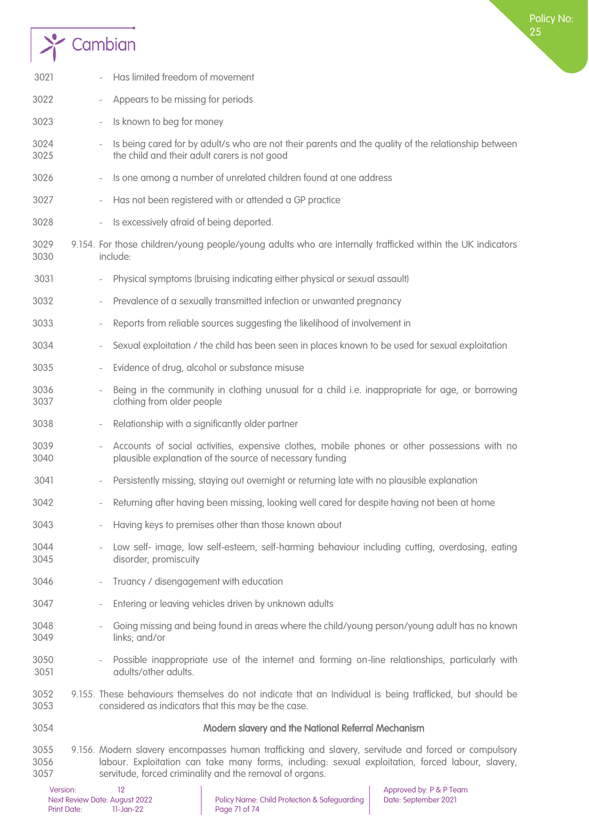

| 3021                 |                              | Has limited freedom of movement                                                                                                                                                                                                                                      |
|----------------------|------------------------------|----------------------------------------------------------------------------------------------------------------------------------------------------------------------------------------------------------------------------------------------------------------------|
| 3022                 | $\qquad \qquad \blacksquare$ | Appears to be missing for periods                                                                                                                                                                                                                                    |
| 3023                 | $\overline{\phantom{a}}$     | Is known to beg for money                                                                                                                                                                                                                                            |
| 3024<br>3025         | $\overline{\phantom{a}}$     | Is being cared for by adult/s who are not their parents and the quality of the relationship between<br>the child and their adult carers is not good                                                                                                                  |
| 3026                 | $\overline{\phantom{a}}$     | Is one among a number of unrelated children found at one address                                                                                                                                                                                                     |
| 3027                 | $\overline{\phantom{a}}$     | Has not been registered with or attended a GP practice                                                                                                                                                                                                               |
| 3028                 | $\overline{\phantom{a}}$     | Is excessively afraid of being deported.                                                                                                                                                                                                                             |
| 3029<br>3030         |                              | 9.154. For those children/young people/young adults who are internally trafficked within the UK indicators<br>include:                                                                                                                                               |
| 3031                 |                              | Physical symptoms (bruising indicating either physical or sexual assault)                                                                                                                                                                                            |
| 3032                 | $\overline{\phantom{a}}$     | Prevalence of a sexually transmitted infection or unwanted pregnancy                                                                                                                                                                                                 |
| 3033                 | $\overline{\phantom{a}}$     | Reports from reliable sources suggesting the likelihood of involvement in                                                                                                                                                                                            |
| 3034                 | $\qquad \qquad -$            | Sexual exploitation / the child has been seen in places known to be used for sexual exploitation                                                                                                                                                                     |
| 3035                 |                              | Evidence of drug, alcohol or substance misuse                                                                                                                                                                                                                        |
| 3036<br>3037         | $\overline{\phantom{a}}$     | Being in the community in clothing unusual for a child i.e. inappropriate for age, or borrowing<br>clothing from older people                                                                                                                                        |
| 3038                 | $\qquad \qquad -$            | Relationship with a significantly older partner                                                                                                                                                                                                                      |
| 3039<br>3040         | $\qquad \qquad -$            | Accounts of social activities, expensive clothes, mobile phones or other possessions with no<br>plausible explanation of the source of necessary funding                                                                                                             |
| 3041                 |                              | Persistently missing, staying out overnight or returning late with no plausible explanation                                                                                                                                                                          |
| 3042                 |                              | Returning after having been missing, looking well cared for despite having not been at home                                                                                                                                                                          |
| 3043                 |                              | Having keys to premises other than those known about                                                                                                                                                                                                                 |
| 3044<br>3045         |                              | Low self- image, low self-esteem, self-harming behaviour including cutting, overdosing, eating<br>disorder, promiscuity                                                                                                                                              |
| 3046                 |                              | Truancy / disengagement with education                                                                                                                                                                                                                               |
| 3047                 | $\overline{\phantom{a}}$     | Entering or leaving vehicles driven by unknown adults                                                                                                                                                                                                                |
| 3048<br>3049         |                              | Going missing and being found in areas where the child/young person/young adult has no known<br>links; and/or                                                                                                                                                        |
| 3050<br>3051         |                              | Possible inappropriate use of the internet and forming on-line relationships, particularly with<br>adults/other adults.                                                                                                                                              |
| 3052<br>3053         |                              | 9.155. These behaviours themselves do not indicate that an Individual is being trafficked, but should be<br>considered as indicators that this may be the case.                                                                                                      |
| 3054                 |                              | Modern slavery and the National Referral Mechanism                                                                                                                                                                                                                   |
| 3055<br>3056<br>3057 |                              | 9.156. Modern slavery encompasses human trafficking and slavery, servitude and forced or compulsory<br>labour. Exploitation can take many forms, including: sexual exploitation, forced labour, slavery,<br>servitude, forced criminality and the removal of organs. |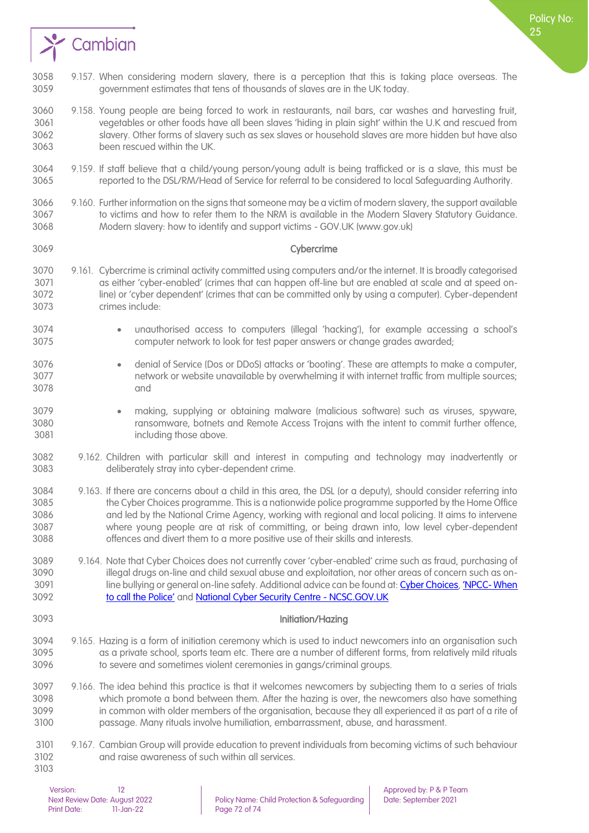

- 9.158. Young people are being forced to work in restaurants, nail bars, car washes and harvesting fruit, vegetables or other foods have all been slaves 'hiding in plain sight' within the U.K and rescued from slavery. Other forms of slavery such as sex slaves or household slaves are more hidden but have also been rescued within the UK.
- 9.159. If staff believe that a child/young person/young adult is being trafficked or is a slave, this must be reported to the DSL/RM/Head of Service for referral to be considered to local Safeguarding Authority.
- 9.160. Further information on the signs that someone may be a victim of modern slavery, the support available to victims and how to refer them to the NRM is available in the Modern Slavery Statutory Guidance. Modern slavery: how to identify and support victims - GOV.UK (www.gov.uk)
- 

Cybercrime

- 9.161. Cybercrime is criminal activity committed using computers and/or the internet. It is broadly categorised as either 'cyber-enabled' (crimes that can happen off-line but are enabled at scale and at speed on- line) or 'cyber dependent' (crimes that can be committed only by using a computer). Cyber-dependent crimes include:
- unauthorised access to computers (illegal 'hacking'), for example accessing a school's computer network to look for test paper answers or change grades awarded;
- denial of Service (Dos or DDoS) attacks or 'booting'. These are attempts to make a computer, network or website unavailable by overwhelming it with internet traffic from multiple sources; and
- making, supplying or obtaining malware (malicious software) such as viruses, spyware, ransomware, botnets and Remote Access Trojans with the intent to commit further offence, including those above.
- 9.162. Children with particular skill and interest in computing and technology may inadvertently or deliberately stray into cyber-dependent crime.
- 9.163. If there are concerns about a child in this area, the DSL (or a deputy), should consider referring into the Cyber Choices programme. This is a nationwide police programme supported by the Home Office and led by the National Crime Agency, working with regional and local policing. It aims to intervene where young people are at risk of committing, or being drawn into, low level cyber-dependent offences and divert them to a more positive use of their skills and interests.
- 9.164. Note that Cyber Choices does not currently cover 'cyber-enabled' crime such as fraud, purchasing of illegal drugs on-line and child sexual abuse and exploitation, nor other areas of concern such as on-3091 line bullying or general on-line safety. Additional advice can be found at[: Cyber Choices,](https://nationalcrimeagency.gov.uk/what-we-do/crime-threats/cyber-crime/cyberchoices) 'NPCC- When [to call the Police'](https://www.npcc.police.uk/documents/Children%20and%20Young%20people/When%20to%20call%20the%20police%20guidance%20for%20schools%20and%20colleges.pdf) and [National Cyber Security Centre -](https://www.ncsc.gov.uk/) NCSC.GOV.UK
- 

#### Initiation/Hazing

- 9.165. Hazing is a form of initiation ceremony which is used to induct newcomers into an organisation such as a private school, sports team etc. There are a number of different forms, from relatively mild rituals to severe and sometimes violent ceremonies in gangs/criminal groups.
- 9.166. The idea behind this practice is that it welcomes newcomers by subjecting them to a series of trials which promote a bond between them. After the hazing is over, the newcomers also have something in common with older members of the organisation, because they all experienced it as part of a rite of passage. Many rituals involve humiliation, embarrassment, abuse, and harassment.
- 9.167. Cambian Group will provide education to prevent individuals from becoming victims of such behaviour and raise awareness of such within all services.

Policy No: りに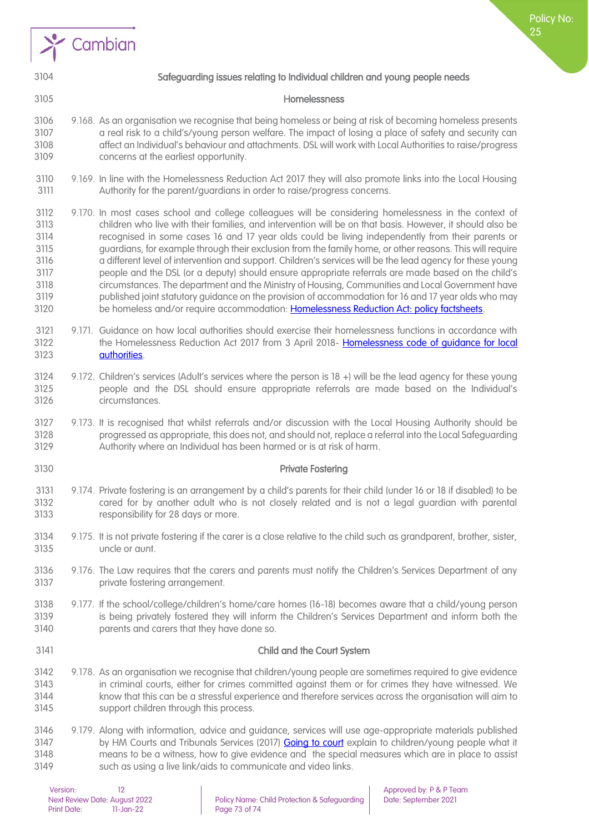



Policy No: